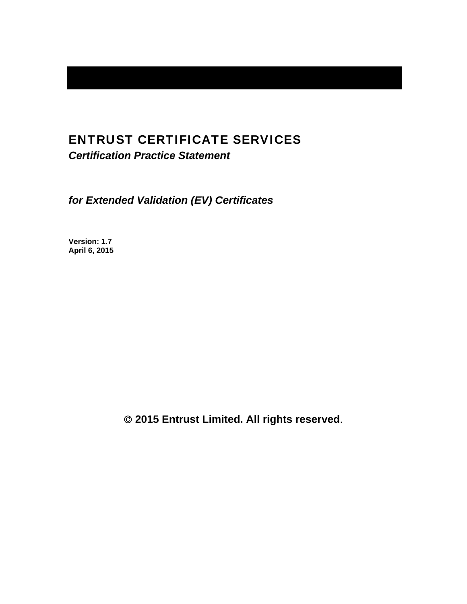# ENTRUST CERTIFICATE SERVICES

*Certification Practice Statement* 

*for Extended Validation (EV) Certificates* 

**Version: 1.7 April 6, 2015** 

 **2015 Entrust Limited. All rights reserved**.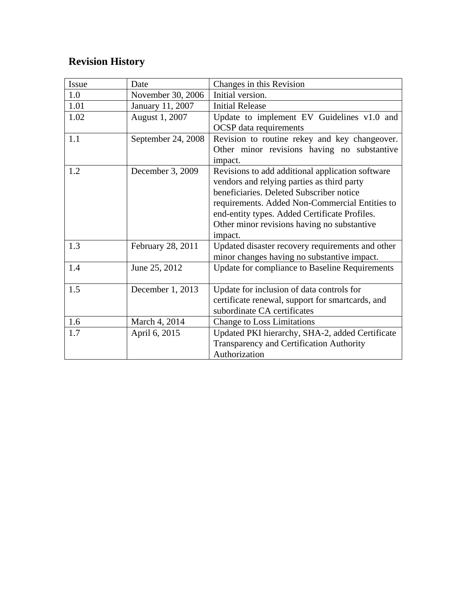# **Revision History**

| Issue | Date               | Changes in this Revision                                                                                                                                                                                                                                                                                |
|-------|--------------------|---------------------------------------------------------------------------------------------------------------------------------------------------------------------------------------------------------------------------------------------------------------------------------------------------------|
| 1.0   | November 30, 2006  | Initial version.                                                                                                                                                                                                                                                                                        |
| 1.01  | January 11, 2007   | <b>Initial Release</b>                                                                                                                                                                                                                                                                                  |
| 1.02  | August 1, 2007     | Update to implement EV Guidelines v1.0 and<br><b>OCSP</b> data requirements                                                                                                                                                                                                                             |
| 1.1   | September 24, 2008 | Revision to routine rekey and key changeover.<br>Other minor revisions having no substantive<br>impact.                                                                                                                                                                                                 |
| 1.2   | December 3, 2009   | Revisions to add additional application software<br>vendors and relying parties as third party<br>beneficiaries. Deleted Subscriber notice<br>requirements. Added Non-Commercial Entities to<br>end-entity types. Added Certificate Profiles.<br>Other minor revisions having no substantive<br>impact. |
| 1.3   | February 28, 2011  | Updated disaster recovery requirements and other<br>minor changes having no substantive impact.                                                                                                                                                                                                         |
| 1.4   | June 25, 2012      | Update for compliance to Baseline Requirements                                                                                                                                                                                                                                                          |
| 1.5   | December 1, 2013   | Update for inclusion of data controls for<br>certificate renewal, support for smartcards, and<br>subordinate CA certificates                                                                                                                                                                            |
| 1.6   | March 4, 2014      | <b>Change to Loss Limitations</b>                                                                                                                                                                                                                                                                       |
| 1.7   | April 6, 2015      | Updated PKI hierarchy, SHA-2, added Certificate<br><b>Transparency and Certification Authority</b><br>Authorization                                                                                                                                                                                     |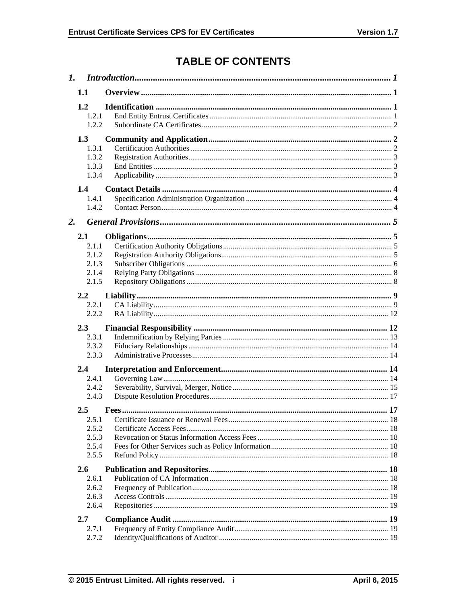# **TABLE OF CONTENTS**

| 1.               |  |  |
|------------------|--|--|
| 1.1              |  |  |
| 1.2              |  |  |
| 1.2.1            |  |  |
| 1.2.2            |  |  |
| 1.3              |  |  |
| 1.3.1            |  |  |
| 1.3.2            |  |  |
| 1.3.3            |  |  |
| 1.3.4            |  |  |
| 1.4              |  |  |
| 1.4.1            |  |  |
| 1.4.2            |  |  |
| $\overline{2}$ . |  |  |
| 2.1              |  |  |
| 2.1.1            |  |  |
| 2.1.2            |  |  |
| 2.1.3            |  |  |
| 2.1.4<br>2.1.5   |  |  |
|                  |  |  |
| 2.2              |  |  |
| 2.2.1            |  |  |
| 2.2.2            |  |  |
| 2.3              |  |  |
| 2.3.1            |  |  |
| 2.3.2            |  |  |
| 2.3.3            |  |  |
| $2.4\phantom{0}$ |  |  |
| 2.4.1<br>2.4.2   |  |  |
| 2.4.3            |  |  |
| 2.5              |  |  |
| 2.5.1            |  |  |
| 2.5.2            |  |  |
| 2.5.3            |  |  |
| 2.5.4            |  |  |
| 2.5.5            |  |  |
| 2.6              |  |  |
| 2.6.1            |  |  |
| 2.6.2            |  |  |
| 2.6.3            |  |  |
| 2.6.4            |  |  |
| 2.7              |  |  |
| 2.7.1            |  |  |
| 2.7.2            |  |  |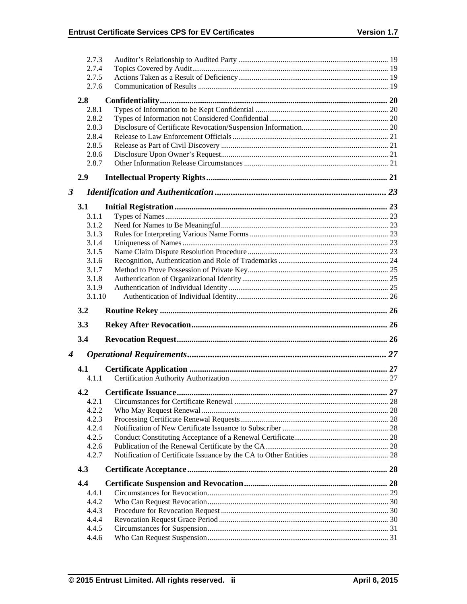|                      | 2.7.3          |  |
|----------------------|----------------|--|
|                      | 2.7.4          |  |
|                      | 2.7.5          |  |
|                      | 2.7.6          |  |
|                      | 2.8            |  |
|                      | 2.8.1          |  |
|                      | 2.8.2          |  |
|                      | 2.8.3          |  |
|                      | 2.8.4          |  |
|                      | 2.8.5          |  |
|                      | 2.8.6          |  |
|                      | 2.8.7          |  |
|                      | 2.9            |  |
| $\boldsymbol{\beta}$ |                |  |
|                      | <b>3.1</b>     |  |
|                      | 3.1.1          |  |
|                      | 3.1.2          |  |
|                      | 3.1.3          |  |
|                      | 3.1.4          |  |
|                      | 3.1.5          |  |
|                      | 3.1.6          |  |
|                      | 3.1.7          |  |
|                      | 3.1.8          |  |
|                      | 3.1.9          |  |
|                      | 3.1.10         |  |
|                      |                |  |
|                      | 3.2            |  |
|                      | 3.3            |  |
|                      | 3.4            |  |
| $\boldsymbol{4}$     |                |  |
|                      |                |  |
|                      | 4.1<br>4.1.1   |  |
|                      | 4.2            |  |
|                      | 4.2.1          |  |
|                      | 4.2.2          |  |
|                      | 4.2.3          |  |
|                      | 4.2.4          |  |
|                      | 4.2.5          |  |
|                      | 4.2.6          |  |
|                      | 4.2.7          |  |
|                      | 4.3            |  |
|                      | 4.4            |  |
|                      | 4.4.1          |  |
|                      | 4.4.2          |  |
|                      | 4.4.3          |  |
|                      | 4.4.4          |  |
|                      | 4.4.5<br>4.4.6 |  |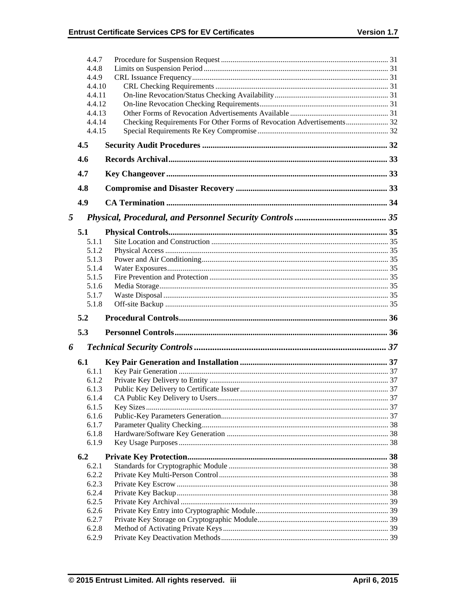|   | 4.4.7          |                                                                       |  |
|---|----------------|-----------------------------------------------------------------------|--|
|   | 4.4.8          |                                                                       |  |
|   | 4.4.9          |                                                                       |  |
|   | 4.4.10         |                                                                       |  |
|   | 4.4.11         |                                                                       |  |
|   | 4.4.12         |                                                                       |  |
|   | 4.4.13         |                                                                       |  |
|   | 4.4.14         | Checking Requirements For Other Forms of Revocation Advertisements 32 |  |
|   | 4.4.15         |                                                                       |  |
|   | 4.5            |                                                                       |  |
|   | 4.6            |                                                                       |  |
|   | 4.7            |                                                                       |  |
|   | 4.8            |                                                                       |  |
|   | 4.9            |                                                                       |  |
| 5 |                |                                                                       |  |
|   | 5.1            |                                                                       |  |
|   | 5.1.1          |                                                                       |  |
|   | 5.1.2          |                                                                       |  |
|   | 5.1.3          |                                                                       |  |
|   | 5.1.4          |                                                                       |  |
|   | 5.1.5          |                                                                       |  |
|   | 5.1.6          |                                                                       |  |
|   | 5.1.7          |                                                                       |  |
|   | 5.1.8          |                                                                       |  |
|   | 5.2            |                                                                       |  |
|   | 5.3            |                                                                       |  |
|   |                |                                                                       |  |
| 6 |                |                                                                       |  |
|   | 6.1            |                                                                       |  |
|   | 6.1.1          |                                                                       |  |
|   | 6.1.2          |                                                                       |  |
|   | 6.1.3          |                                                                       |  |
|   | 6.1.4          |                                                                       |  |
|   | 6.1.5          |                                                                       |  |
|   | 6.1.6          |                                                                       |  |
|   | 6.1.7          |                                                                       |  |
|   | 6.1.8          |                                                                       |  |
|   | 6.1.9          |                                                                       |  |
|   | 6.2            |                                                                       |  |
|   | 6.2.1          |                                                                       |  |
|   | 6.2.2          |                                                                       |  |
|   | 6.2.3          |                                                                       |  |
|   | 6.2.4          |                                                                       |  |
|   | 6.2.5          |                                                                       |  |
|   | 6.2.6          |                                                                       |  |
|   | 6.2.7          |                                                                       |  |
|   | 6.2.8<br>6.2.9 |                                                                       |  |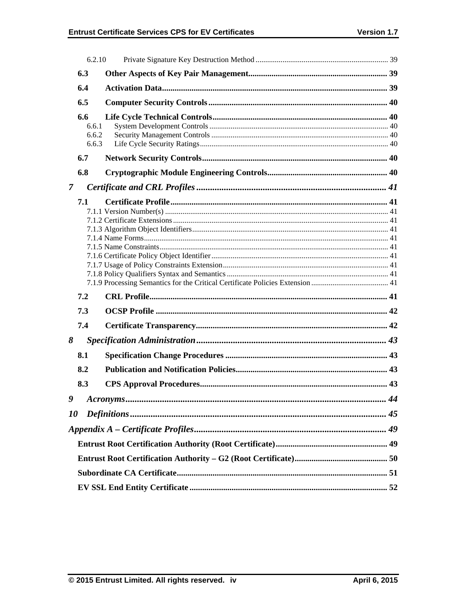|                | 6.2.10                         |  |
|----------------|--------------------------------|--|
|                | 6.3                            |  |
|                | 6.4                            |  |
|                | 6.5                            |  |
|                | 6.6<br>6.6.1<br>6.6.2<br>6.6.3 |  |
|                | 6.7                            |  |
|                | 6.8                            |  |
| $\overline{7}$ |                                |  |
|                | 7.1                            |  |
|                | 7.2                            |  |
|                | 7.3                            |  |
|                | 7.4                            |  |
| 8              |                                |  |
|                | 8.1                            |  |
|                | 8.2                            |  |
|                | 8.3                            |  |
| 9              |                                |  |
| 10             |                                |  |
|                |                                |  |
|                |                                |  |
|                |                                |  |
|                |                                |  |
|                |                                |  |
|                |                                |  |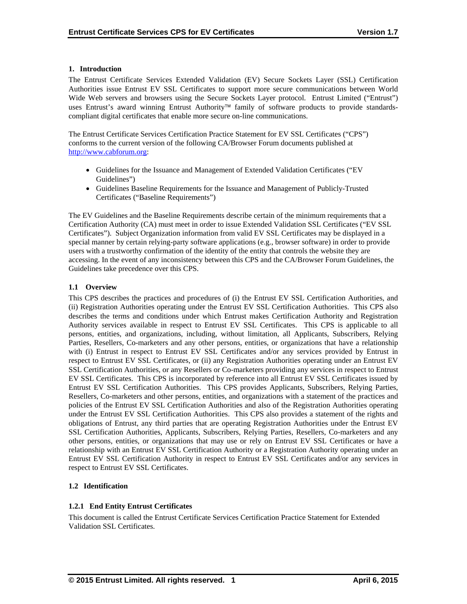## **1. Introduction**

The Entrust Certificate Services Extended Validation (EV) Secure Sockets Layer (SSL) Certification Authorities issue Entrust EV SSL Certificates to support more secure communications between World Wide Web servers and browsers using the Secure Sockets Layer protocol. Entrust Limited ("Entrust") uses Entrust's award winning Entrust Authority<sup>™</sup> family of software products to provide standardscompliant digital certificates that enable more secure on-line communications.

The Entrust Certificate Services Certification Practice Statement for EV SSL Certificates ("CPS") conforms to the current version of the following CA/Browser Forum documents published at http://www.cabforum.org:

- Guidelines for the Issuance and Management of Extended Validation Certificates ("EV Guidelines")
- Guidelines Baseline Requirements for the Issuance and Management of Publicly-Trusted Certificates ("Baseline Requirements")

The EV Guidelines and the Baseline Requirements describe certain of the minimum requirements that a Certification Authority (CA) must meet in order to issue Extended Validation SSL Certificates ("EV SSL Certificates"). Subject Organization information from valid EV SSL Certificates may be displayed in a special manner by certain relying-party software applications (e.g., browser software) in order to provide users with a trustworthy confirmation of the identity of the entity that controls the website they are accessing. In the event of any inconsistency between this CPS and the CA/Browser Forum Guidelines, the Guidelines take precedence over this CPS.

## **1.1 Overview**

This CPS describes the practices and procedures of (i) the Entrust EV SSL Certification Authorities, and (ii) Registration Authorities operating under the Entrust EV SSL Certification Authorities. This CPS also describes the terms and conditions under which Entrust makes Certification Authority and Registration Authority services available in respect to Entrust EV SSL Certificates. This CPS is applicable to all persons, entities, and organizations, including, without limitation, all Applicants, Subscribers, Relying Parties, Resellers, Co-marketers and any other persons, entities, or organizations that have a relationship with (i) Entrust in respect to Entrust EV SSL Certificates and/or any services provided by Entrust in respect to Entrust EV SSL Certificates, or (ii) any Registration Authorities operating under an Entrust EV SSL Certification Authorities, or any Resellers or Co-marketers providing any services in respect to Entrust EV SSL Certificates. This CPS is incorporated by reference into all Entrust EV SSL Certificates issued by Entrust EV SSL Certification Authorities. This CPS provides Applicants, Subscribers, Relying Parties, Resellers, Co-marketers and other persons, entities, and organizations with a statement of the practices and policies of the Entrust EV SSL Certification Authorities and also of the Registration Authorities operating under the Entrust EV SSL Certification Authorities. This CPS also provides a statement of the rights and obligations of Entrust, any third parties that are operating Registration Authorities under the Entrust EV SSL Certification Authorities, Applicants, Subscribers, Relying Parties, Resellers, Co-marketers and any other persons, entities, or organizations that may use or rely on Entrust EV SSL Certificates or have a relationship with an Entrust EV SSL Certification Authority or a Registration Authority operating under an Entrust EV SSL Certification Authority in respect to Entrust EV SSL Certificates and/or any services in respect to Entrust EV SSL Certificates.

# **1.2 Identification**

# **1.2.1 End Entity Entrust Certificates**

This document is called the Entrust Certificate Services Certification Practice Statement for Extended Validation SSL Certificates.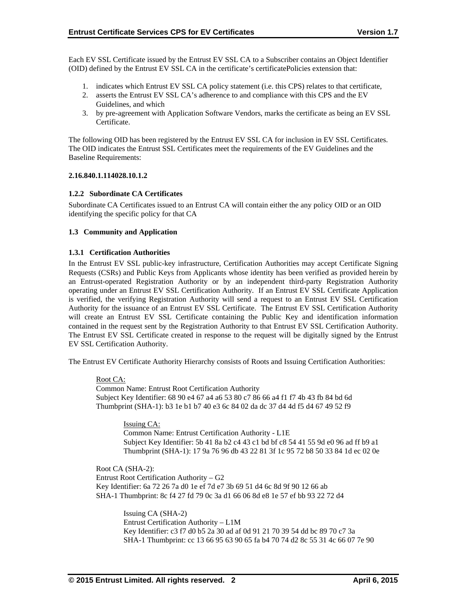Each EV SSL Certificate issued by the Entrust EV SSL CA to a Subscriber contains an Object Identifier (OID) defined by the Entrust EV SSL CA in the certificate's certificatePolicies extension that:

- 1. indicates which Entrust EV SSL CA policy statement (i.e. this CPS) relates to that certificate,
- 2. asserts the Entrust EV SSL CA's adherence to and compliance with this CPS and the EV Guidelines, and which
- 3. by pre-agreement with Application Software Vendors, marks the certificate as being an EV SSL Certificate.

The following OID has been registered by the Entrust EV SSL CA for inclusion in EV SSL Certificates. The OID indicates the Entrust SSL Certificates meet the requirements of the EV Guidelines and the Baseline Requirements:

## **2.16.840.1.114028.10.1.2**

## **1.2.2 Subordinate CA Certificates**

Subordinate CA Certificates issued to an Entrust CA will contain either the any policy OID or an OID identifying the specific policy for that CA

## **1.3 Community and Application**

## **1.3.1 Certification Authorities**

In the Entrust EV SSL public-key infrastructure, Certification Authorities may accept Certificate Signing Requests (CSRs) and Public Keys from Applicants whose identity has been verified as provided herein by an Entrust-operated Registration Authority or by an independent third-party Registration Authority operating under an Entrust EV SSL Certification Authority. If an Entrust EV SSL Certificate Application is verified, the verifying Registration Authority will send a request to an Entrust EV SSL Certification Authority for the issuance of an Entrust EV SSL Certificate. The Entrust EV SSL Certification Authority will create an Entrust EV SSL Certificate containing the Public Key and identification information contained in the request sent by the Registration Authority to that Entrust EV SSL Certification Authority. The Entrust EV SSL Certificate created in response to the request will be digitally signed by the Entrust EV SSL Certification Authority.

The Entrust EV Certificate Authority Hierarchy consists of Roots and Issuing Certification Authorities:

Root CA: Common Name: Entrust Root Certification Authority Subject Key Identifier: 68 90 e4 67 a4 a6 53 80 c7 86 66 a4 f1 f7 4b 43 fb 84 bd 6d Thumbprint (SHA-1): b3 1e b1 b7 40 e3 6c 84 02 da dc 37 d4 4d f5 d4 67 49 52 f9

> Issuing CA: Common Name: Entrust Certification Authority - L1E Subject Key Identifier: 5b 41 8a b2 c4 43 c1 bd bf c8 54 41 55 9d e0 96 ad ff b9 a1 Thumbprint (SHA-1): 17 9a 76 96 db 43 22 81 3f 1c 95 72 b8 50 33 84 1d ec 02 0e

Root CA (SHA-2): Entrust Root Certification Authority – G2 Key Identifier: 6a 72 26 7a d0 1e ef 7d e7 3b 69 51 d4 6c 8d 9f 90 12 66 ab SHA-1 Thumbprint: 8c f4 27 fd 79 0c 3a d1 66 06 8d e8 1e 57 ef bb 93 22 72 d4

Issuing CA (SHA-2) Entrust Certification Authority – L1M Key Identifier: c3 f7 d0 b5 2a 30 ad af 0d 91 21 70 39 54 dd bc 89 70 c7 3a SHA-1 Thumbprint: cc 13 66 95 63 90 65 fa b4 70 74 d2 8c 55 31 4c 66 07 7e 90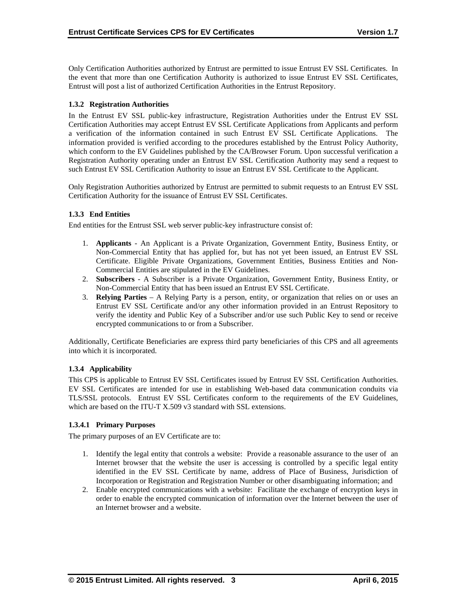Only Certification Authorities authorized by Entrust are permitted to issue Entrust EV SSL Certificates. In the event that more than one Certification Authority is authorized to issue Entrust EV SSL Certificates, Entrust will post a list of authorized Certification Authorities in the Entrust Repository.

# **1.3.2 Registration Authorities**

In the Entrust EV SSL public-key infrastructure, Registration Authorities under the Entrust EV SSL Certification Authorities may accept Entrust EV SSL Certificate Applications from Applicants and perform a verification of the information contained in such Entrust EV SSL Certificate Applications. The information provided is verified according to the procedures established by the Entrust Policy Authority, which conform to the EV Guidelines published by the CA/Browser Forum. Upon successful verification a Registration Authority operating under an Entrust EV SSL Certification Authority may send a request to such Entrust EV SSL Certification Authority to issue an Entrust EV SSL Certificate to the Applicant.

Only Registration Authorities authorized by Entrust are permitted to submit requests to an Entrust EV SSL Certification Authority for the issuance of Entrust EV SSL Certificates.

## **1.3.3 End Entities**

End entities for the Entrust SSL web server public-key infrastructure consist of:

- 1. **Applicants** An Applicant is a Private Organization, Government Entity, Business Entity, or Non-Commercial Entity that has applied for, but has not yet been issued, an Entrust EV SSL Certificate. Eligible Private Organizations, Government Entities, Business Entities and Non-Commercial Entities are stipulated in the EV Guidelines.
- 2. **Subscribers**  A Subscriber is a Private Organization, Government Entity, Business Entity, or Non-Commercial Entity that has been issued an Entrust EV SSL Certificate.
- 3. **Relying Parties**  A Relying Party is a person, entity, or organization that relies on or uses an Entrust EV SSL Certificate and/or any other information provided in an Entrust Repository to verify the identity and Public Key of a Subscriber and/or use such Public Key to send or receive encrypted communications to or from a Subscriber.

Additionally, Certificate Beneficiaries are express third party beneficiaries of this CPS and all agreements into which it is incorporated.

# **1.3.4 Applicability**

This CPS is applicable to Entrust EV SSL Certificates issued by Entrust EV SSL Certification Authorities. EV SSL Certificates are intended for use in establishing Web-based data communication conduits via TLS/SSL protocols. Entrust EV SSL Certificates conform to the requirements of the EV Guidelines, which are based on the ITU-T X.509 v3 standard with SSL extensions.

# **1.3.4.1 Primary Purposes**

The primary purposes of an EV Certificate are to:

- 1. Identify the legal entity that controls a website: Provide a reasonable assurance to the user of an Internet browser that the website the user is accessing is controlled by a specific legal entity identified in the EV SSL Certificate by name, address of Place of Business, Jurisdiction of Incorporation or Registration and Registration Number or other disambiguating information; and
- 2. Enable encrypted communications with a website: Facilitate the exchange of encryption keys in order to enable the encrypted communication of information over the Internet between the user of an Internet browser and a website.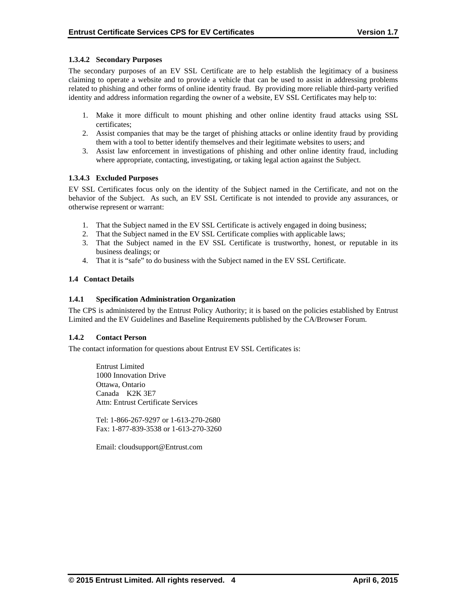# **1.3.4.2 Secondary Purposes**

The secondary purposes of an EV SSL Certificate are to help establish the legitimacy of a business claiming to operate a website and to provide a vehicle that can be used to assist in addressing problems related to phishing and other forms of online identity fraud. By providing more reliable third-party verified identity and address information regarding the owner of a website, EV SSL Certificates may help to:

- 1. Make it more difficult to mount phishing and other online identity fraud attacks using SSL certificates;
- 2. Assist companies that may be the target of phishing attacks or online identity fraud by providing them with a tool to better identify themselves and their legitimate websites to users; and
- 3. Assist law enforcement in investigations of phishing and other online identity fraud, including where appropriate, contacting, investigating, or taking legal action against the Subject.

## **1.3.4.3 Excluded Purposes**

EV SSL Certificates focus only on the identity of the Subject named in the Certificate, and not on the behavior of the Subject. As such, an EV SSL Certificate is not intended to provide any assurances, or otherwise represent or warrant:

- 1. That the Subject named in the EV SSL Certificate is actively engaged in doing business;
- 2. That the Subject named in the EV SSL Certificate complies with applicable laws;
- 3. That the Subject named in the EV SSL Certificate is trustworthy, honest, or reputable in its business dealings; or
- 4. That it is "safe" to do business with the Subject named in the EV SSL Certificate.

## **1.4 Contact Details**

## **1.4.1 Specification Administration Organization**

The CPS is administered by the Entrust Policy Authority; it is based on the policies established by Entrust Limited and the EV Guidelines and Baseline Requirements published by the CA/Browser Forum.

## **1.4.2 Contact Person**

The contact information for questions about Entrust EV SSL Certificates is:

 Entrust Limited 1000 Innovation Drive Ottawa, Ontario Canada K2K 3E7 Attn: Entrust Certificate Services

Tel: 1-866-267-9297 or 1-613-270-2680 Fax: 1-877-839-3538 or 1-613-270-3260

Email: cloudsupport@Entrust.com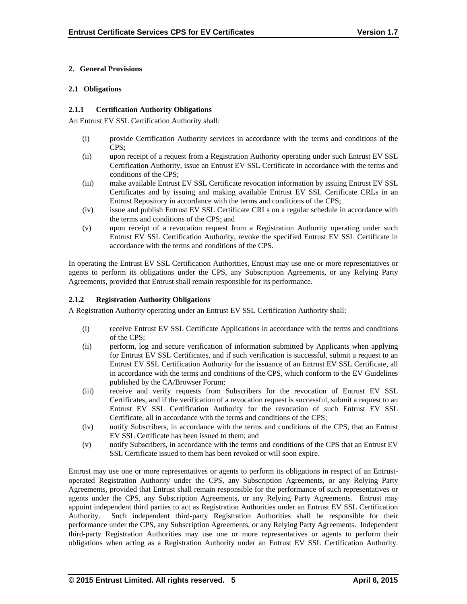# **2. General Provisions**

## **2.1 Obligations**

## **2.1.1 Certification Authority Obligations**

An Entrust EV SSL Certification Authority shall:

- (i) provide Certification Authority services in accordance with the terms and conditions of the CPS;
- (ii) upon receipt of a request from a Registration Authority operating under such Entrust EV SSL Certification Authority, issue an Entrust EV SSL Certificate in accordance with the terms and conditions of the CPS;
- (iii) make available Entrust EV SSL Certificate revocation information by issuing Entrust EV SSL Certificates and by issuing and making available Entrust EV SSL Certificate CRLs in an Entrust Repository in accordance with the terms and conditions of the CPS;
- (iv) issue and publish Entrust EV SSL Certificate CRLs on a regular schedule in accordance with the terms and conditions of the CPS; and
- (v) upon receipt of a revocation request from a Registration Authority operating under such Entrust EV SSL Certification Authority, revoke the specified Entrust EV SSL Certificate in accordance with the terms and conditions of the CPS.

In operating the Entrust EV SSL Certification Authorities, Entrust may use one or more representatives or agents to perform its obligations under the CPS, any Subscription Agreements, or any Relying Party Agreements, provided that Entrust shall remain responsible for its performance.

# **2.1.2 Registration Authority Obligations**

A Registration Authority operating under an Entrust EV SSL Certification Authority shall:

- (i) receive Entrust EV SSL Certificate Applications in accordance with the terms and conditions of the CPS;
- (ii) perform, log and secure verification of information submitted by Applicants when applying for Entrust EV SSL Certificates, and if such verification is successful, submit a request to an Entrust EV SSL Certification Authority for the issuance of an Entrust EV SSL Certificate, all in accordance with the terms and conditions of the CPS, which conform to the EV Guidelines published by the CA/Browser Forum;
- (iii) receive and verify requests from Subscribers for the revocation of Entrust EV SSL Certificates, and if the verification of a revocation request is successful, submit a request to an Entrust EV SSL Certification Authority for the revocation of such Entrust EV SSL Certificate, all in accordance with the terms and conditions of the CPS;
- (iv) notify Subscribers, in accordance with the terms and conditions of the CPS, that an Entrust EV SSL Certificate has been issued to them; and
- (v) notify Subscribers, in accordance with the terms and conditions of the CPS that an Entrust EV SSL Certificate issued to them has been revoked or will soon expire.

Entrust may use one or more representatives or agents to perform its obligations in respect of an Entrustoperated Registration Authority under the CPS, any Subscription Agreements, or any Relying Party Agreements, provided that Entrust shall remain responsible for the performance of such representatives or agents under the CPS, any Subscription Agreements, or any Relying Party Agreements. Entrust may appoint independent third parties to act as Registration Authorities under an Entrust EV SSL Certification Authority. Such independent third-party Registration Authorities shall be responsible for their performance under the CPS, any Subscription Agreements, or any Relying Party Agreements. Independent third-party Registration Authorities may use one or more representatives or agents to perform their obligations when acting as a Registration Authority under an Entrust EV SSL Certification Authority.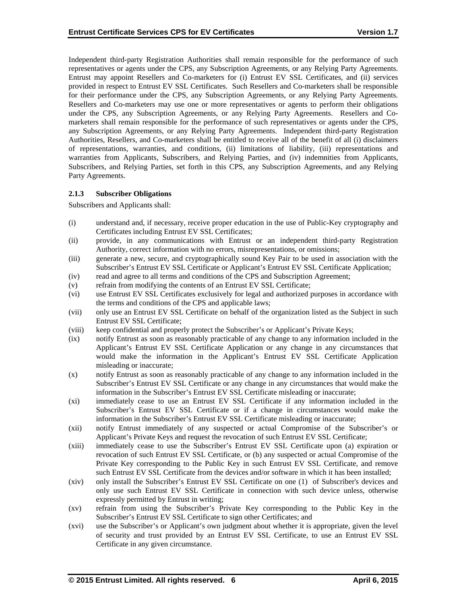Independent third-party Registration Authorities shall remain responsible for the performance of such representatives or agents under the CPS, any Subscription Agreements, or any Relying Party Agreements. Entrust may appoint Resellers and Co-marketers for (i) Entrust EV SSL Certificates, and (ii) services provided in respect to Entrust EV SSL Certificates. Such Resellers and Co-marketers shall be responsible for their performance under the CPS, any Subscription Agreements, or any Relying Party Agreements. Resellers and Co-marketers may use one or more representatives or agents to perform their obligations under the CPS, any Subscription Agreements, or any Relying Party Agreements. Resellers and Comarketers shall remain responsible for the performance of such representatives or agents under the CPS, any Subscription Agreements, or any Relying Party Agreements. Independent third-party Registration Authorities, Resellers, and Co-marketers shall be entitled to receive all of the benefit of all (i) disclaimers of representations, warranties, and conditions, (ii) limitations of liability, (iii) representations and warranties from Applicants, Subscribers, and Relying Parties, and (iv) indemnities from Applicants, Subscribers, and Relying Parties, set forth in this CPS, any Subscription Agreements, and any Relying Party Agreements.

## **2.1.3 Subscriber Obligations**

Subscribers and Applicants shall:

- (i) understand and, if necessary, receive proper education in the use of Public-Key cryptography and Certificates including Entrust EV SSL Certificates;
- (ii) provide, in any communications with Entrust or an independent third-party Registration Authority, correct information with no errors, misrepresentations, or omissions;
- (iii) generate a new, secure, and cryptographically sound Key Pair to be used in association with the Subscriber's Entrust EV SSL Certificate or Applicant's Entrust EV SSL Certificate Application;
- (iv) read and agree to all terms and conditions of the CPS and Subscription Agreement;
- (v) refrain from modifying the contents of an Entrust EV SSL Certificate;
- (vi) use Entrust EV SSL Certificates exclusively for legal and authorized purposes in accordance with the terms and conditions of the CPS and applicable laws;
- (vii) only use an Entrust EV SSL Certificate on behalf of the organization listed as the Subject in such Entrust EV SSL Certificate;
- (viii) keep confidential and properly protect the Subscriber's or Applicant's Private Keys;
- (ix) notify Entrust as soon as reasonably practicable of any change to any information included in the Applicant's Entrust EV SSL Certificate Application or any change in any circumstances that would make the information in the Applicant's Entrust EV SSL Certificate Application misleading or inaccurate;
- (x) notify Entrust as soon as reasonably practicable of any change to any information included in the Subscriber's Entrust EV SSL Certificate or any change in any circumstances that would make the information in the Subscriber's Entrust EV SSL Certificate misleading or inaccurate;
- (xi) immediately cease to use an Entrust EV SSL Certificate if any information included in the Subscriber's Entrust EV SSL Certificate or if a change in circumstances would make the information in the Subscriber's Entrust EV SSL Certificate misleading or inaccurate;
- (xii) notify Entrust immediately of any suspected or actual Compromise of the Subscriber's or Applicant's Private Keys and request the revocation of such Entrust EV SSL Certificate;
- (xiii) immediately cease to use the Subscriber's Entrust EV SSL Certificate upon (a) expiration or revocation of such Entrust EV SSL Certificate, or (b) any suspected or actual Compromise of the Private Key corresponding to the Public Key in such Entrust EV SSL Certificate, and remove such Entrust EV SSL Certificate from the devices and/or software in which it has been installed;
- (xiv) only install the Subscriber's Entrust EV SSL Certificate on one (1) of Subscriber's devices and only use such Entrust EV SSL Certificate in connection with such device unless, otherwise expressly permitted by Entrust in writing;
- (xv) refrain from using the Subscriber's Private Key corresponding to the Public Key in the Subscriber's Entrust EV SSL Certificate to sign other Certificates; and
- (xvi) use the Subscriber's or Applicant's own judgment about whether it is appropriate, given the level of security and trust provided by an Entrust EV SSL Certificate, to use an Entrust EV SSL Certificate in any given circumstance.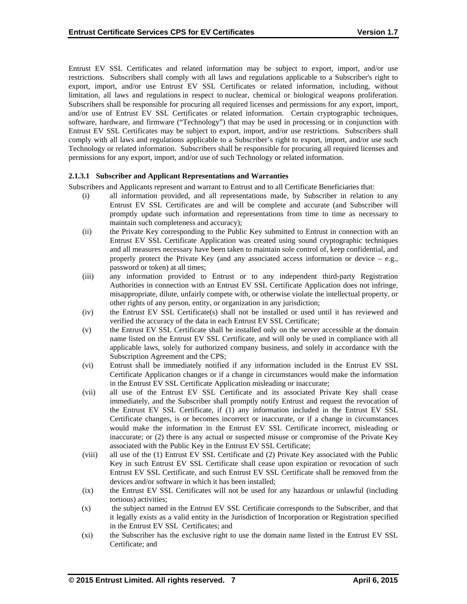Entrust EV SSL Certificates and related information may be subject to export, import, and/or use restrictions. Subscribers shall comply with all laws and regulations applicable to a Subscriber's right to export, import, and/or use Entrust EV SSL Certificates or related information, including, without limitation, all laws and regulations in respect to nuclear, chemical or biological weapons proliferation. Subscribers shall be responsible for procuring all required licenses and permissions for any export, import, and/or use of Entrust EV SSL Certificates or related information. Certain cryptographic techniques, software, hardware, and firmware ("Technology") that may be used in processing or in conjunction with Entrust EV SSL Certificates may be subject to export, import, and/or use restrictions. Subscribers shall comply with all laws and regulations applicable to a Subscriber's right to export, import, and/or use such Technology or related information. Subscribers shall be responsible for procuring all required licenses and permissions for any export, import, and/or use of such Technology or related information.

## **2.1.3.1 Subscriber and Applicant Representations and Warranties**

Subscribers and Applicants represent and warrant to Entrust and to all Certificate Beneficiaries that:

- (i) all information provided, and all representations made, by Subscriber in relation to any Entrust EV SSL Certificates are and will be complete and accurate (and Subscriber will promptly update such information and representations from time to time as necessary to maintain such completeness and accuracy);
- (ii) the Private Key corresponding to the Public Key submitted to Entrust in connection with an Entrust EV SSL Certificate Application was created using sound cryptographic techniques and all measures necessary have been taken to maintain sole control of, keep confidential, and properly protect the Private Key (and any associated access information or device  $-$  e.g., password or token) at all times;
- (iii) any information provided to Entrust or to any independent third-party Registration Authorities in connection with an Entrust EV SSL Certificate Application does not infringe, misappropriate, dilute, unfairly compete with, or otherwise violate the intellectual property, or other rights of any person, entity, or organization in any jurisdiction;
- (iv) the Entrust EV SSL Certificate(s) shall not be installed or used until it has reviewed and verified the accuracy of the data in each Entrust EV SSL Certificate;
- (v) the Entrust EV SSL Certificate shall be installed only on the server accessible at the domain name listed on the Entrust EV SSL Certificate, and will only be used in compliance with all applicable laws, solely for authorized company business, and solely in accordance with the Subscription Agreement and the CPS;
- (vi) Entrust shall be immediately notified if any information included in the Entrust EV SSL Certificate Application changes or if a change in circumstances would make the information in the Entrust EV SSL Certificate Application misleading or inaccurate;
- (vii) all use of the Entrust EV SSL Certificate and its associated Private Key shall cease immediately, and the Subscriber shall promptly notify Entrust and request the revocation of the Entrust EV SSL Certificate, if (1) any information included in the Entrust EV SSL Certificate changes, is or becomes incorrect or inaccurate, or if a change in circumstances would make the information in the Entrust EV SSL Certificate incorrect, misleading or inaccurate; or (2) there is any actual or suspected misuse or compromise of the Private Key associated with the Public Key in the Entrust EV SSL Certificate;
- (viii) all use of the (1) Entrust EV SSL Certificate and (2) Private Key associated with the Public Key in such Entrust EV SSL Certificate shall cease upon expiration or revocation of such Entrust EV SSL Certificate, and such Entrust EV SSL Certificate shall be removed from the devices and/or software in which it has been installed;
- (ix) the Entrust EV SSL Certificates will not be used for any hazardous or unlawful (including tortious) activities;
- (x) the subject named in the Entrust EV SSL Certificate corresponds to the Subscriber, and that it legally exists as a valid entity in the Jurisdiction of Incorporation or Registration specified in the Entrust EV SSL Certificates; and
- (xi) the Subscriber has the exclusive right to use the domain name listed in the Entrust EV SSL Certificate; and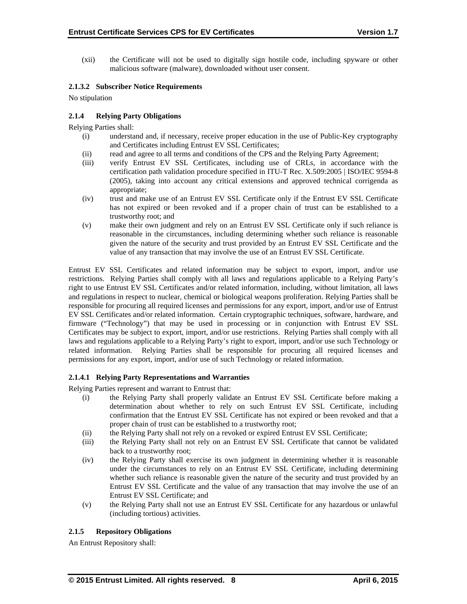(xii) the Certificate will not be used to digitally sign hostile code, including spyware or other malicious software (malware), downloaded without user consent.

#### **2.1.3.2 Subscriber Notice Requirements**

No stipulation

## **2.1.4 Relying Party Obligations**

Relying Parties shall:

- (i) understand and, if necessary, receive proper education in the use of Public-Key cryptography and Certificates including Entrust EV SSL Certificates;
- (ii) read and agree to all terms and conditions of the CPS and the Relying Party Agreement;
- (iii) verify Entrust EV SSL Certificates, including use of CRLs, in accordance with the certification path validation procedure specified in ITU-T Rec. X.509:2005 | ISO/IEC 9594-8 (2005), taking into account any critical extensions and approved technical corrigenda as appropriate;
- (iv) trust and make use of an Entrust EV SSL Certificate only if the Entrust EV SSL Certificate has not expired or been revoked and if a proper chain of trust can be established to a trustworthy root; and
- (v) make their own judgment and rely on an Entrust EV SSL Certificate only if such reliance is reasonable in the circumstances, including determining whether such reliance is reasonable given the nature of the security and trust provided by an Entrust EV SSL Certificate and the value of any transaction that may involve the use of an Entrust EV SSL Certificate.

Entrust EV SSL Certificates and related information may be subject to export, import, and/or use restrictions. Relying Parties shall comply with all laws and regulations applicable to a Relying Party's right to use Entrust EV SSL Certificates and/or related information, including, without limitation, all laws and regulations in respect to nuclear, chemical or biological weapons proliferation. Relying Parties shall be responsible for procuring all required licenses and permissions for any export, import, and/or use of Entrust EV SSL Certificates and/or related information. Certain cryptographic techniques, software, hardware, and firmware ("Technology") that may be used in processing or in conjunction with Entrust EV SSL Certificates may be subject to export, import, and/or use restrictions. Relying Parties shall comply with all laws and regulations applicable to a Relying Party's right to export, import, and/or use such Technology or related information. Relying Parties shall be responsible for procuring all required licenses and permissions for any export, import, and/or use of such Technology or related information.

## **2.1.4.1 Relying Party Representations and Warranties**

Relying Parties represent and warrant to Entrust that:

- (i) the Relying Party shall properly validate an Entrust EV SSL Certificate before making a determination about whether to rely on such Entrust EV SSL Certificate, including confirmation that the Entrust EV SSL Certificate has not expired or been revoked and that a proper chain of trust can be established to a trustworthy root;
- (ii) the Relying Party shall not rely on a revoked or expired Entrust EV SSL Certificate;
- (iii) the Relying Party shall not rely on an Entrust EV SSL Certificate that cannot be validated back to a trustworthy root;
- (iv) the Relying Party shall exercise its own judgment in determining whether it is reasonable under the circumstances to rely on an Entrust EV SSL Certificate, including determining whether such reliance is reasonable given the nature of the security and trust provided by an Entrust EV SSL Certificate and the value of any transaction that may involve the use of an Entrust EV SSL Certificate; and
- (v) the Relying Party shall not use an Entrust EV SSL Certificate for any hazardous or unlawful (including tortious) activities.

## **2.1.5 Repository Obligations**

An Entrust Repository shall: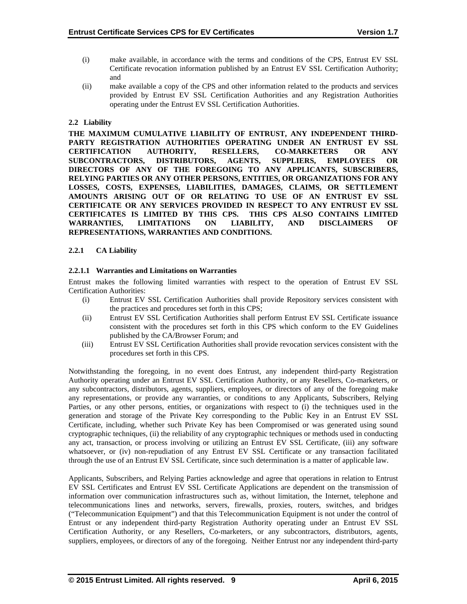- (i) make available, in accordance with the terms and conditions of the CPS, Entrust EV SSL Certificate revocation information published by an Entrust EV SSL Certification Authority; and
- (ii) make available a copy of the CPS and other information related to the products and services provided by Entrust EV SSL Certification Authorities and any Registration Authorities operating under the Entrust EV SSL Certification Authorities.

## **2.2 Liability**

**THE MAXIMUM CUMULATIVE LIABILITY OF ENTRUST, ANY INDEPENDENT THIRD-PARTY REGISTRATION AUTHORITIES OPERATING UNDER AN ENTRUST EV SSL CERTIFICATION AUTHORITY, RESELLERS, CO-MARKETERS OR ANY SUBCONTRACTORS, DISTRIBUTORS, AGENTS, SUPPLIERS, EMPLOYEES OR DIRECTORS OF ANY OF THE FOREGOING TO ANY APPLICANTS, SUBSCRIBERS, RELYING PARTIES OR ANY OTHER PERSONS, ENTITIES, OR ORGANIZATIONS FOR ANY LOSSES, COSTS, EXPENSES, LIABILITIES, DAMAGES, CLAIMS, OR SETTLEMENT AMOUNTS ARISING OUT OF OR RELATING TO USE OF AN ENTRUST EV SSL CERTIFICATE OR ANY SERVICES PROVIDED IN RESPECT TO ANY ENTRUST EV SSL CERTIFICATES IS LIMITED BY THIS CPS. THIS CPS ALSO CONTAINS LIMITED WARRANTIES, LIMITATIONS ON LIABILITY, AND DISCLAIMERS OF REPRESENTATIONS, WARRANTIES AND CONDITIONS.** 

## **2.2.1 CA Liability**

## **2.2.1.1 Warranties and Limitations on Warranties**

Entrust makes the following limited warranties with respect to the operation of Entrust EV SSL Certification Authorities:

- (i) Entrust EV SSL Certification Authorities shall provide Repository services consistent with the practices and procedures set forth in this CPS;
- (ii) Entrust EV SSL Certification Authorities shall perform Entrust EV SSL Certificate issuance consistent with the procedures set forth in this CPS which conform to the EV Guidelines published by the CA/Browser Forum; and
- (iii) Entrust EV SSL Certification Authorities shall provide revocation services consistent with the procedures set forth in this CPS.

Notwithstanding the foregoing, in no event does Entrust, any independent third-party Registration Authority operating under an Entrust EV SSL Certification Authority, or any Resellers, Co-marketers, or any subcontractors, distributors, agents, suppliers, employees, or directors of any of the foregoing make any representations, or provide any warranties, or conditions to any Applicants, Subscribers, Relying Parties, or any other persons, entities, or organizations with respect to (i) the techniques used in the generation and storage of the Private Key corresponding to the Public Key in an Entrust EV SSL Certificate, including, whether such Private Key has been Compromised or was generated using sound cryptographic techniques, (ii) the reliability of any cryptographic techniques or methods used in conducting any act, transaction, or process involving or utilizing an Entrust EV SSL Certificate, (iii) any software whatsoever, or (iv) non-repudiation of any Entrust EV SSL Certificate or any transaction facilitated through the use of an Entrust EV SSL Certificate, since such determination is a matter of applicable law.

Applicants, Subscribers, and Relying Parties acknowledge and agree that operations in relation to Entrust EV SSL Certificates and Entrust EV SSL Certificate Applications are dependent on the transmission of information over communication infrastructures such as, without limitation, the Internet, telephone and telecommunications lines and networks, servers, firewalls, proxies, routers, switches, and bridges ("Telecommunication Equipment") and that this Telecommunication Equipment is not under the control of Entrust or any independent third-party Registration Authority operating under an Entrust EV SSL Certification Authority, or any Resellers, Co-marketers, or any subcontractors, distributors, agents, suppliers, employees, or directors of any of the foregoing. Neither Entrust nor any independent third-party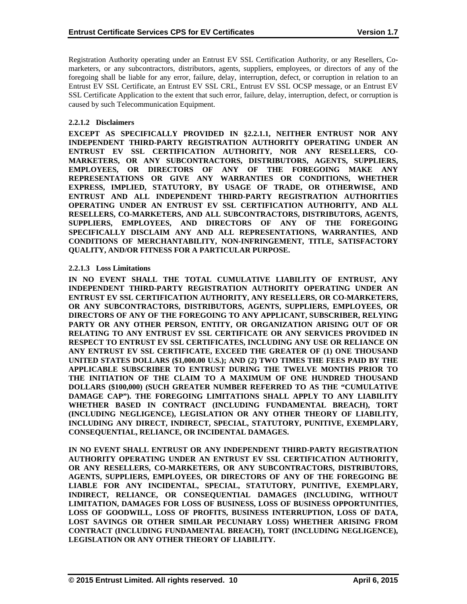Registration Authority operating under an Entrust EV SSL Certification Authority, or any Resellers, Comarketers, or any subcontractors, distributors, agents, suppliers, employees, or directors of any of the foregoing shall be liable for any error, failure, delay, interruption, defect, or corruption in relation to an Entrust EV SSL Certificate, an Entrust EV SSL CRL, Entrust EV SSL OCSP message, or an Entrust EV SSL Certificate Application to the extent that such error, failure, delay, interruption, defect, or corruption is caused by such Telecommunication Equipment.

## **2.2.1.2 Disclaimers**

**EXCEPT AS SPECIFICALLY PROVIDED IN §2.2.1.1, NEITHER ENTRUST NOR ANY INDEPENDENT THIRD-PARTY REGISTRATION AUTHORITY OPERATING UNDER AN ENTRUST EV SSL CERTIFICATION AUTHORITY, NOR ANY RESELLERS, CO-MARKETERS, OR ANY SUBCONTRACTORS, DISTRIBUTORS, AGENTS, SUPPLIERS, EMPLOYEES, OR DIRECTORS OF ANY OF THE FOREGOING MAKE ANY REPRESENTATIONS OR GIVE ANY WARRANTIES OR CONDITIONS, WHETHER EXPRESS, IMPLIED, STATUTORY, BY USAGE OF TRADE, OR OTHERWISE, AND ENTRUST AND ALL INDEPENDENT THIRD-PARTY REGISTRATION AUTHORITIES OPERATING UNDER AN ENTRUST EV SSL CERTIFICATION AUTHORITY, AND ALL RESELLERS, CO-MARKETERS, AND ALL SUBCONTRACTORS, DISTRIBUTORS, AGENTS, SUPPLIERS, EMPLOYEES, AND DIRECTORS OF ANY OF THE FOREGOING SPECIFICALLY DISCLAIM ANY AND ALL REPRESENTATIONS, WARRANTIES, AND CONDITIONS OF MERCHANTABILITY, NON-INFRINGEMENT, TITLE, SATISFACTORY QUALITY, AND/OR FITNESS FOR A PARTICULAR PURPOSE.** 

## **2.2.1.3 Loss Limitations**

**IN NO EVENT SHALL THE TOTAL CUMULATIVE LIABILITY OF ENTRUST, ANY INDEPENDENT THIRD-PARTY REGISTRATION AUTHORITY OPERATING UNDER AN ENTRUST EV SSL CERTIFICATION AUTHORITY, ANY RESELLERS, OR CO-MARKETERS, OR ANY SUBCONTRACTORS, DISTRIBUTORS, AGENTS, SUPPLIERS, EMPLOYEES, OR DIRECTORS OF ANY OF THE FOREGOING TO ANY APPLICANT, SUBSCRIBER, RELYING PARTY OR ANY OTHER PERSON, ENTITY, OR ORGANIZATION ARISING OUT OF OR RELATING TO ANY ENTRUST EV SSL CERTIFICATE OR ANY SERVICES PROVIDED IN RESPECT TO ENTRUST EV SSL CERTIFICATES, INCLUDING ANY USE OR RELIANCE ON ANY ENTRUST EV SSL CERTIFICATE, EXCEED THE GREATER OF (1) ONE THOUSAND UNITED STATES DOLLARS (\$1,000.00 U.S.); AND (2) TWO TIMES THE FEES PAID BY THE APPLICABLE SUBSCRIBER TO ENTRUST DURING THE TWELVE MONTHS PRIOR TO THE INITIATION OF THE CLAIM TO A MAXIMUM OF ONE HUNDRED THOUSAND DOLLARS (\$100,000) (SUCH GREATER NUMBER REFERRED TO AS THE "CUMULATIVE DAMAGE CAP"). THE FOREGOING LIMITATIONS SHALL APPLY TO ANY LIABILITY WHETHER BASED IN CONTRACT (INCLUDING FUNDAMENTAL BREACH), TORT (INCLUDING NEGLIGENCE), LEGISLATION OR ANY OTHER THEORY OF LIABILITY, INCLUDING ANY DIRECT, INDIRECT, SPECIAL, STATUTORY, PUNITIVE, EXEMPLARY, CONSEQUENTIAL, RELIANCE, OR INCIDENTAL DAMAGES.** 

**IN NO EVENT SHALL ENTRUST OR ANY INDEPENDENT THIRD-PARTY REGISTRATION AUTHORITY OPERATING UNDER AN ENTRUST EV SSL CERTIFICATION AUTHORITY, OR ANY RESELLERS, CO-MARKETERS, OR ANY SUBCONTRACTORS, DISTRIBUTORS, AGENTS, SUPPLIERS, EMPLOYEES, OR DIRECTORS OF ANY OF THE FOREGOING BE LIABLE FOR ANY INCIDENTAL, SPECIAL, STATUTORY, PUNITIVE, EXEMPLARY, INDIRECT, RELIANCE, OR CONSEQUENTIAL DAMAGES (INCLUDING, WITHOUT LIMITATION, DAMAGES FOR LOSS OF BUSINESS, LOSS OF BUSINESS OPPORTUNITIES, LOSS OF GOODWILL, LOSS OF PROFITS, BUSINESS INTERRUPTION, LOSS OF DATA, LOST SAVINGS OR OTHER SIMILAR PECUNIARY LOSS) WHETHER ARISING FROM CONTRACT (INCLUDING FUNDAMENTAL BREACH), TORT (INCLUDING NEGLIGENCE), LEGISLATION OR ANY OTHER THEORY OF LIABILITY.**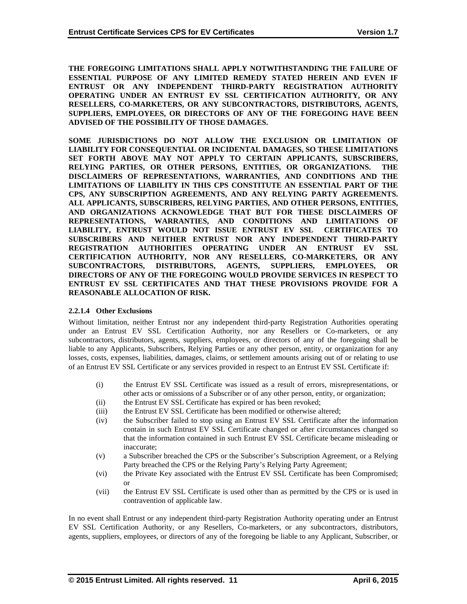**THE FOREGOING LIMITATIONS SHALL APPLY NOTWITHSTANDING THE FAILURE OF ESSENTIAL PURPOSE OF ANY LIMITED REMEDY STATED HEREIN AND EVEN IF ENTRUST OR ANY INDEPENDENT THIRD-PARTY REGISTRATION AUTHORITY OPERATING UNDER AN ENTRUST EV SSL CERTIFICATION AUTHORITY, OR ANY RESELLERS, CO-MARKETERS, OR ANY SUBCONTRACTORS, DISTRIBUTORS, AGENTS, SUPPLIERS, EMPLOYEES, OR DIRECTORS OF ANY OF THE FOREGOING HAVE BEEN ADVISED OF THE POSSIBILITY OF THOSE DAMAGES.** 

**SOME JURISDICTIONS DO NOT ALLOW THE EXCLUSION OR LIMITATION OF LIABILITY FOR CONSEQUENTIAL OR INCIDENTAL DAMAGES, SO THESE LIMITATIONS SET FORTH ABOVE MAY NOT APPLY TO CERTAIN APPLICANTS, SUBSCRIBERS, RELYING PARTIES, OR OTHER PERSONS, ENTITIES, OR ORGANIZATIONS. THE DISCLAIMERS OF REPRESENTATIONS, WARRANTIES, AND CONDITIONS AND THE LIMITATIONS OF LIABILITY IN THIS CPS CONSTITUTE AN ESSENTIAL PART OF THE CPS, ANY SUBSCRIPTION AGREEMENTS, AND ANY RELYING PARTY AGREEMENTS. ALL APPLICANTS, SUBSCRIBERS, RELYING PARTIES, AND OTHER PERSONS, ENTITIES, AND ORGANIZATIONS ACKNOWLEDGE THAT BUT FOR THESE DISCLAIMERS OF REPRESENTATIONS, WARRANTIES, AND CONDITIONS AND LIMITATIONS OF LIABILITY, ENTRUST WOULD NOT ISSUE ENTRUST EV SSL CERTIFICATES TO SUBSCRIBERS AND NEITHER ENTRUST NOR ANY INDEPENDENT THIRD-PARTY REGISTRATION AUTHORITIES OPERATING UNDER AN ENTRUST EV SSL CERTIFICATION AUTHORITY, NOR ANY RESELLERS, CO-MARKETERS, OR ANY SUBCONTRACTORS, DISTRIBUTORS, AGENTS, SUPPLIERS, EMPLOYEES, OR DIRECTORS OF ANY OF THE FOREGOING WOULD PROVIDE SERVICES IN RESPECT TO ENTRUST EV SSL CERTIFICATES AND THAT THESE PROVISIONS PROVIDE FOR A REASONABLE ALLOCATION OF RISK.** 

## **2.2.1.4 Other Exclusions**

Without limitation, neither Entrust nor any independent third-party Registration Authorities operating under an Entrust EV SSL Certification Authority, nor any Resellers or Co-marketers, or any subcontractors, distributors, agents, suppliers, employees, or directors of any of the foregoing shall be liable to any Applicants, Subscribers, Relying Parties or any other person, entity, or organization for any losses, costs, expenses, liabilities, damages, claims, or settlement amounts arising out of or relating to use of an Entrust EV SSL Certificate or any services provided in respect to an Entrust EV SSL Certificate if:

- (i) the Entrust EV SSL Certificate was issued as a result of errors, misrepresentations, or other acts or omissions of a Subscriber or of any other person, entity, or organization;
- (ii) the Entrust EV SSL Certificate has expired or has been revoked;
- (iii) the Entrust EV SSL Certificate has been modified or otherwise altered;
- (iv) the Subscriber failed to stop using an Entrust EV SSL Certificate after the information contain in such Entrust EV SSL Certificate changed or after circumstances changed so that the information contained in such Entrust EV SSL Certificate became misleading or inaccurate;
- (v) a Subscriber breached the CPS or the Subscriber's Subscription Agreement, or a Relying Party breached the CPS or the Relying Party's Relying Party Agreement;
- (vi) the Private Key associated with the Entrust EV SSL Certificate has been Compromised; or
- (vii) the Entrust EV SSL Certificate is used other than as permitted by the CPS or is used in contravention of applicable law.

In no event shall Entrust or any independent third-party Registration Authority operating under an Entrust EV SSL Certification Authority, or any Resellers, Co-marketers, or any subcontractors, distributors, agents, suppliers, employees, or directors of any of the foregoing be liable to any Applicant, Subscriber, or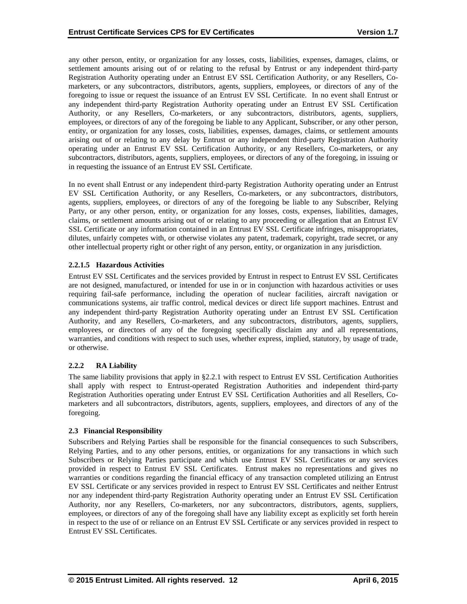any other person, entity, or organization for any losses, costs, liabilities, expenses, damages, claims, or settlement amounts arising out of or relating to the refusal by Entrust or any independent third-party Registration Authority operating under an Entrust EV SSL Certification Authority, or any Resellers, Comarketers, or any subcontractors, distributors, agents, suppliers, employees, or directors of any of the foregoing to issue or request the issuance of an Entrust EV SSL Certificate. In no event shall Entrust or any independent third-party Registration Authority operating under an Entrust EV SSL Certification Authority, or any Resellers, Co-marketers, or any subcontractors, distributors, agents, suppliers, employees, or directors of any of the foregoing be liable to any Applicant, Subscriber, or any other person, entity, or organization for any losses, costs, liabilities, expenses, damages, claims, or settlement amounts arising out of or relating to any delay by Entrust or any independent third-party Registration Authority operating under an Entrust EV SSL Certification Authority, or any Resellers, Co-marketers, or any subcontractors, distributors, agents, suppliers, employees, or directors of any of the foregoing, in issuing or in requesting the issuance of an Entrust EV SSL Certificate.

In no event shall Entrust or any independent third-party Registration Authority operating under an Entrust EV SSL Certification Authority, or any Resellers, Co-marketers, or any subcontractors, distributors, agents, suppliers, employees, or directors of any of the foregoing be liable to any Subscriber, Relying Party, or any other person, entity, or organization for any losses, costs, expenses, liabilities, damages, claims, or settlement amounts arising out of or relating to any proceeding or allegation that an Entrust EV SSL Certificate or any information contained in an Entrust EV SSL Certificate infringes, misappropriates, dilutes, unfairly competes with, or otherwise violates any patent, trademark, copyright, trade secret, or any other intellectual property right or other right of any person, entity, or organization in any jurisdiction.

## **2.2.1.5 Hazardous Activities**

Entrust EV SSL Certificates and the services provided by Entrust in respect to Entrust EV SSL Certificates are not designed, manufactured, or intended for use in or in conjunction with hazardous activities or uses requiring fail-safe performance, including the operation of nuclear facilities, aircraft navigation or communications systems, air traffic control, medical devices or direct life support machines. Entrust and any independent third-party Registration Authority operating under an Entrust EV SSL Certification Authority, and any Resellers, Co-marketers, and any subcontractors, distributors, agents, suppliers, employees, or directors of any of the foregoing specifically disclaim any and all representations, warranties, and conditions with respect to such uses, whether express, implied, statutory, by usage of trade, or otherwise.

# **2.2.2 RA Liability**

The same liability provisions that apply in §2.2.1 with respect to Entrust EV SSL Certification Authorities shall apply with respect to Entrust-operated Registration Authorities and independent third-party Registration Authorities operating under Entrust EV SSL Certification Authorities and all Resellers, Comarketers and all subcontractors, distributors, agents, suppliers, employees, and directors of any of the foregoing.

## **2.3 Financial Responsibility**

Subscribers and Relying Parties shall be responsible for the financial consequences to such Subscribers, Relying Parties, and to any other persons, entities, or organizations for any transactions in which such Subscribers or Relying Parties participate and which use Entrust EV SSL Certificates or any services provided in respect to Entrust EV SSL Certificates. Entrust makes no representations and gives no warranties or conditions regarding the financial efficacy of any transaction completed utilizing an Entrust EV SSL Certificate or any services provided in respect to Entrust EV SSL Certificates and neither Entrust nor any independent third-party Registration Authority operating under an Entrust EV SSL Certification Authority, nor any Resellers, Co-marketers, nor any subcontractors, distributors, agents, suppliers, employees, or directors of any of the foregoing shall have any liability except as explicitly set forth herein in respect to the use of or reliance on an Entrust EV SSL Certificate or any services provided in respect to Entrust EV SSL Certificates.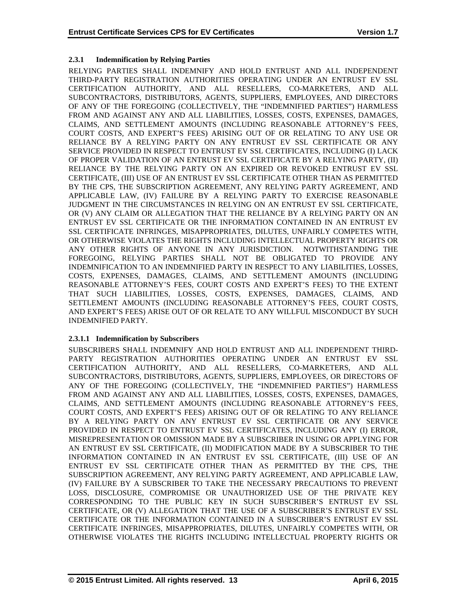# **2.3.1 Indemnification by Relying Parties**

RELYING PARTIES SHALL INDEMNIFY AND HOLD ENTRUST AND ALL INDEPENDENT THIRD-PARTY REGISTRATION AUTHORITIES OPERATING UNDER AN ENTRUST EV SSL CERTIFICATION AUTHORITY, AND ALL RESELLERS, CO-MARKETERS, AND ALL SUBCONTRACTORS, DISTRIBUTORS, AGENTS, SUPPLIERS, EMPLOYEES, AND DIRECTORS OF ANY OF THE FOREGOING (COLLECTIVELY, THE "INDEMNIFIED PARTIES") HARMLESS FROM AND AGAINST ANY AND ALL LIABILITIES, LOSSES, COSTS, EXPENSES, DAMAGES, CLAIMS, AND SETTLEMENT AMOUNTS (INCLUDING REASONABLE ATTORNEY'S FEES, COURT COSTS, AND EXPERT'S FEES) ARISING OUT OF OR RELATING TO ANY USE OR RELIANCE BY A RELYING PARTY ON ANY ENTRUST EV SSL CERTIFICATE OR ANY SERVICE PROVIDED IN RESPECT TO ENTRUST EV SSL CERTIFICATES, INCLUDING (I) LACK OF PROPER VALIDATION OF AN ENTRUST EV SSL CERTIFICATE BY A RELYING PARTY, (II) RELIANCE BY THE RELYING PARTY ON AN EXPIRED OR REVOKED ENTRUST EV SSL CERTIFICATE, (III) USE OF AN ENTRUST EV SSL CERTIFICATE OTHER THAN AS PERMITTED BY THE CPS, THE SUBSCRIPTION AGREEMENT, ANY RELYING PARTY AGREEMENT, AND APPLICABLE LAW, (IV) FAILURE BY A RELYING PARTY TO EXERCISE REASONABLE JUDGMENT IN THE CIRCUMSTANCES IN RELYING ON AN ENTRUST EV SSL CERTIFICATE, OR (V) ANY CLAIM OR ALLEGATION THAT THE RELIANCE BY A RELYING PARTY ON AN ENTRUST EV SSL CERTIFICATE OR THE INFORMATION CONTAINED IN AN ENTRUST EV SSL CERTIFICATE INFRINGES, MISAPPROPRIATES, DILUTES, UNFAIRLY COMPETES WITH, OR OTHERWISE VIOLATES THE RIGHTS INCLUDING INTELLECTUAL PROPERTY RIGHTS OR ANY OTHER RIGHTS OF ANYONE IN ANY JURISDICTION. NOTWITHSTANDING THE FOREGOING, RELYING PARTIES SHALL NOT BE OBLIGATED TO PROVIDE ANY INDEMNIFICATION TO AN INDEMNIFIED PARTY IN RESPECT TO ANY LIABILITIES, LOSSES, COSTS, EXPENSES, DAMAGES, CLAIMS, AND SETTLEMENT AMOUNTS (INCLUDING REASONABLE ATTORNEY'S FEES, COURT COSTS AND EXPERT'S FEES) TO THE EXTENT THAT SUCH LIABILITIES, LOSSES, COSTS, EXPENSES, DAMAGES, CLAIMS, AND SETTLEMENT AMOUNTS (INCLUDING REASONABLE ATTORNEY'S FEES, COURT COSTS, AND EXPERT'S FEES) ARISE OUT OF OR RELATE TO ANY WILLFUL MISCONDUCT BY SUCH INDEMNIFIED PARTY.

# **2.3.1.1 Indemnification by Subscribers**

SUBSCRIBERS SHALL INDEMNIFY AND HOLD ENTRUST AND ALL INDEPENDENT THIRD-PARTY REGISTRATION AUTHORITIES OPERATING UNDER AN ENTRUST EV SSL CERTIFICATION AUTHORITY, AND ALL RESELLERS, CO-MARKETERS, AND ALL SUBCONTRACTORS, DISTRIBUTORS, AGENTS, SUPPLIERS, EMPLOYEES, OR DIRECTORS OF ANY OF THE FOREGOING (COLLECTIVELY, THE "INDEMNIFIED PARTIES") HARMLESS FROM AND AGAINST ANY AND ALL LIABILITIES, LOSSES, COSTS, EXPENSES, DAMAGES, CLAIMS, AND SETTLEMENT AMOUNTS (INCLUDING REASONABLE ATTORNEY'S FEES, COURT COSTS, AND EXPERT'S FEES) ARISING OUT OF OR RELATING TO ANY RELIANCE BY A RELYING PARTY ON ANY ENTRUST EV SSL CERTIFICATE OR ANY SERVICE PROVIDED IN RESPECT TO ENTRUST EV SSL CERTIFICATES, INCLUDING ANY (I) ERROR, MISREPRESENTATION OR OMISSION MADE BY A SUBSCRIBER IN USING OR APPLYING FOR AN ENTRUST EV SSL CERTIFICATE, (II) MODIFICATION MADE BY A SUBSCRIBER TO THE INFORMATION CONTAINED IN AN ENTRUST EV SSL CERTIFICATE, (III) USE OF AN ENTRUST EV SSL CERTIFICATE OTHER THAN AS PERMITTED BY THE CPS, THE SUBSCRIPTION AGREEMENT, ANY RELYING PARTY AGREEMENT, AND APPLICABLE LAW, (IV) FAILURE BY A SUBSCRIBER TO TAKE THE NECESSARY PRECAUTIONS TO PREVENT LOSS, DISCLOSURE, COMPROMISE OR UNAUTHORIZED USE OF THE PRIVATE KEY CORRESPONDING TO THE PUBLIC KEY IN SUCH SUBSCRIBER'S ENTRUST EV SSL CERTIFICATE, OR (V) ALLEGATION THAT THE USE OF A SUBSCRIBER'S ENTRUST EV SSL CERTIFICATE OR THE INFORMATION CONTAINED IN A SUBSCRIBER'S ENTRUST EV SSL CERTIFICATE INFRINGES, MISAPPROPRIATES, DILUTES, UNFAIRLY COMPETES WITH, OR OTHERWISE VIOLATES THE RIGHTS INCLUDING INTELLECTUAL PROPERTY RIGHTS OR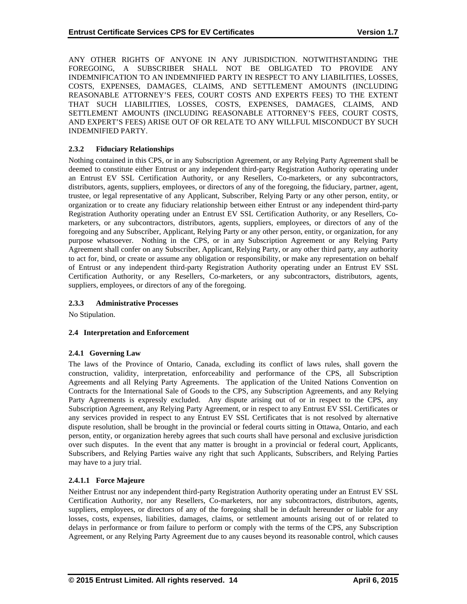ANY OTHER RIGHTS OF ANYONE IN ANY JURISDICTION. NOTWITHSTANDING THE FOREGOING, A SUBSCRIBER SHALL NOT BE OBLIGATED TO PROVIDE ANY INDEMNIFICATION TO AN INDEMNIFIED PARTY IN RESPECT TO ANY LIABILITIES, LOSSES, COSTS, EXPENSES, DAMAGES, CLAIMS, AND SETTLEMENT AMOUNTS (INCLUDING REASONABLE ATTORNEY'S FEES, COURT COSTS AND EXPERTS FEES) TO THE EXTENT THAT SUCH LIABILITIES, LOSSES, COSTS, EXPENSES, DAMAGES, CLAIMS, AND SETTLEMENT AMOUNTS (INCLUDING REASONABLE ATTORNEY'S FEES, COURT COSTS, AND EXPERT'S FEES) ARISE OUT OF OR RELATE TO ANY WILLFUL MISCONDUCT BY SUCH INDEMNIFIED PARTY.

# **2.3.2 Fiduciary Relationships**

Nothing contained in this CPS, or in any Subscription Agreement, or any Relying Party Agreement shall be deemed to constitute either Entrust or any independent third-party Registration Authority operating under an Entrust EV SSL Certification Authority, or any Resellers, Co-marketers, or any subcontractors, distributors, agents, suppliers, employees, or directors of any of the foregoing, the fiduciary, partner, agent, trustee, or legal representative of any Applicant, Subscriber, Relying Party or any other person, entity, or organization or to create any fiduciary relationship between either Entrust or any independent third-party Registration Authority operating under an Entrust EV SSL Certification Authority, or any Resellers, Comarketers, or any subcontractors, distributors, agents, suppliers, employees, or directors of any of the foregoing and any Subscriber, Applicant, Relying Party or any other person, entity, or organization, for any purpose whatsoever. Nothing in the CPS, or in any Subscription Agreement or any Relying Party Agreement shall confer on any Subscriber, Applicant, Relying Party, or any other third party, any authority to act for, bind, or create or assume any obligation or responsibility, or make any representation on behalf of Entrust or any independent third-party Registration Authority operating under an Entrust EV SSL Certification Authority, or any Resellers, Co-marketers, or any subcontractors, distributors, agents, suppliers, employees, or directors of any of the foregoing.

## **2.3.3 Administrative Processes**

No Stipulation.

## **2.4 Interpretation and Enforcement**

## **2.4.1 Governing Law**

The laws of the Province of Ontario, Canada, excluding its conflict of laws rules, shall govern the construction, validity, interpretation, enforceability and performance of the CPS, all Subscription Agreements and all Relying Party Agreements. The application of the United Nations Convention on Contracts for the International Sale of Goods to the CPS, any Subscription Agreements, and any Relying Party Agreements is expressly excluded. Any dispute arising out of or in respect to the CPS, any Subscription Agreement, any Relying Party Agreement, or in respect to any Entrust EV SSL Certificates or any services provided in respect to any Entrust EV SSL Certificates that is not resolved by alternative dispute resolution, shall be brought in the provincial or federal courts sitting in Ottawa, Ontario, and each person, entity, or organization hereby agrees that such courts shall have personal and exclusive jurisdiction over such disputes. In the event that any matter is brought in a provincial or federal court, Applicants, Subscribers, and Relying Parties waive any right that such Applicants, Subscribers, and Relying Parties may have to a jury trial.

# **2.4.1.1 Force Majeure**

Neither Entrust nor any independent third-party Registration Authority operating under an Entrust EV SSL Certification Authority, nor any Resellers, Co-marketers, nor any subcontractors, distributors, agents, suppliers, employees, or directors of any of the foregoing shall be in default hereunder or liable for any losses, costs, expenses, liabilities, damages, claims, or settlement amounts arising out of or related to delays in performance or from failure to perform or comply with the terms of the CPS, any Subscription Agreement, or any Relying Party Agreement due to any causes beyond its reasonable control, which causes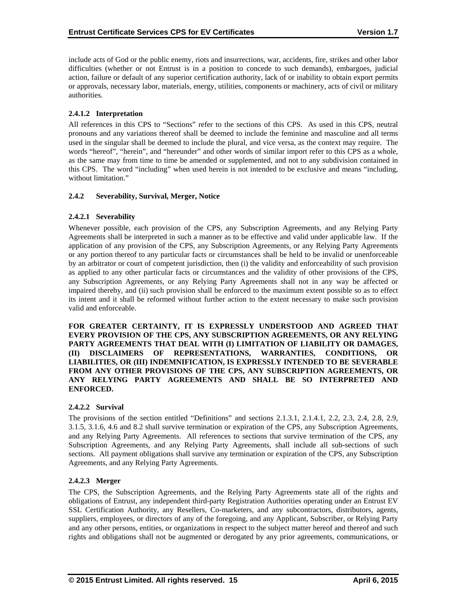include acts of God or the public enemy, riots and insurrections, war, accidents, fire, strikes and other labor difficulties (whether or not Entrust is in a position to concede to such demands), embargoes, judicial action, failure or default of any superior certification authority, lack of or inability to obtain export permits or approvals, necessary labor, materials, energy, utilities, components or machinery, acts of civil or military authorities.

# **2.4.1.2 Interpretation**

All references in this CPS to "Sections" refer to the sections of this CPS. As used in this CPS, neutral pronouns and any variations thereof shall be deemed to include the feminine and masculine and all terms used in the singular shall be deemed to include the plural, and vice versa, as the context may require. The words "hereof", "herein", and "hereunder" and other words of similar import refer to this CPS as a whole, as the same may from time to time be amended or supplemented, and not to any subdivision contained in this CPS. The word "including" when used herein is not intended to be exclusive and means "including, without limitation."

## **2.4.2 Severability, Survival, Merger, Notice**

## **2.4.2.1 Severability**

Whenever possible, each provision of the CPS, any Subscription Agreements, and any Relying Party Agreements shall be interpreted in such a manner as to be effective and valid under applicable law. If the application of any provision of the CPS, any Subscription Agreements, or any Relying Party Agreements or any portion thereof to any particular facts or circumstances shall be held to be invalid or unenforceable by an arbitrator or court of competent jurisdiction, then (i) the validity and enforceability of such provision as applied to any other particular facts or circumstances and the validity of other provisions of the CPS, any Subscription Agreements, or any Relying Party Agreements shall not in any way be affected or impaired thereby, and (ii) such provision shall be enforced to the maximum extent possible so as to effect its intent and it shall be reformed without further action to the extent necessary to make such provision valid and enforceable.

**FOR GREATER CERTAINTY, IT IS EXPRESSLY UNDERSTOOD AND AGREED THAT EVERY PROVISION OF THE CPS, ANY SUBSCRIPTION AGREEMENTS, OR ANY RELYING PARTY AGREEMENTS THAT DEAL WITH (I) LIMITATION OF LIABILITY OR DAMAGES, (II) DISCLAIMERS OF REPRESENTATIONS, WARRANTIES, CONDITIONS, OR LIABILITIES, OR (III) INDEMNIFICATION, IS EXPRESSLY INTENDED TO BE SEVERABLE FROM ANY OTHER PROVISIONS OF THE CPS, ANY SUBSCRIPTION AGREEMENTS, OR ANY RELYING PARTY AGREEMENTS AND SHALL BE SO INTERPRETED AND ENFORCED.** 

# **2.4.2.2 Survival**

The provisions of the section entitled "Definitions" and sections 2.1.3.1, 2.1.4.1, 2.2, 2.3, 2.4, 2.8, 2.9, 3.1.5, 3.1.6, 4.6 and 8.2 shall survive termination or expiration of the CPS, any Subscription Agreements, and any Relying Party Agreements. All references to sections that survive termination of the CPS, any Subscription Agreements, and any Relying Party Agreements, shall include all sub-sections of such sections. All payment obligations shall survive any termination or expiration of the CPS, any Subscription Agreements, and any Relying Party Agreements.

## **2.4.2.3 Merger**

The CPS, the Subscription Agreements, and the Relying Party Agreements state all of the rights and obligations of Entrust, any independent third-party Registration Authorities operating under an Entrust EV SSL Certification Authority, any Resellers, Co-marketers, and any subcontractors, distributors, agents, suppliers, employees, or directors of any of the foregoing, and any Applicant, Subscriber, or Relying Party and any other persons, entities, or organizations in respect to the subject matter hereof and thereof and such rights and obligations shall not be augmented or derogated by any prior agreements, communications, or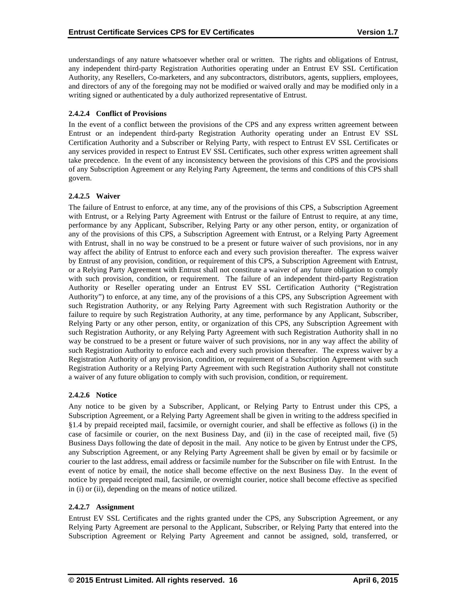understandings of any nature whatsoever whether oral or written. The rights and obligations of Entrust, any independent third-party Registration Authorities operating under an Entrust EV SSL Certification Authority, any Resellers, Co-marketers, and any subcontractors, distributors, agents, suppliers, employees, and directors of any of the foregoing may not be modified or waived orally and may be modified only in a writing signed or authenticated by a duly authorized representative of Entrust.

# **2.4.2.4 Conflict of Provisions**

In the event of a conflict between the provisions of the CPS and any express written agreement between Entrust or an independent third-party Registration Authority operating under an Entrust EV SSL Certification Authority and a Subscriber or Relying Party, with respect to Entrust EV SSL Certificates or any services provided in respect to Entrust EV SSL Certificates, such other express written agreement shall take precedence. In the event of any inconsistency between the provisions of this CPS and the provisions of any Subscription Agreement or any Relying Party Agreement, the terms and conditions of this CPS shall govern.

## **2.4.2.5 Waiver**

The failure of Entrust to enforce, at any time, any of the provisions of this CPS, a Subscription Agreement with Entrust, or a Relying Party Agreement with Entrust or the failure of Entrust to require, at any time, performance by any Applicant, Subscriber, Relying Party or any other person, entity, or organization of any of the provisions of this CPS, a Subscription Agreement with Entrust, or a Relying Party Agreement with Entrust, shall in no way be construed to be a present or future waiver of such provisions, nor in any way affect the ability of Entrust to enforce each and every such provision thereafter. The express waiver by Entrust of any provision, condition, or requirement of this CPS, a Subscription Agreement with Entrust, or a Relying Party Agreement with Entrust shall not constitute a waiver of any future obligation to comply with such provision, condition, or requirement. The failure of an independent third-party Registration Authority or Reseller operating under an Entrust EV SSL Certification Authority ("Registration Authority") to enforce, at any time, any of the provisions of a this CPS, any Subscription Agreement with such Registration Authority, or any Relying Party Agreement with such Registration Authority or the failure to require by such Registration Authority, at any time, performance by any Applicant, Subscriber, Relying Party or any other person, entity, or organization of this CPS, any Subscription Agreement with such Registration Authority, or any Relying Party Agreement with such Registration Authority shall in no way be construed to be a present or future waiver of such provisions, nor in any way affect the ability of such Registration Authority to enforce each and every such provision thereafter. The express waiver by a Registration Authority of any provision, condition, or requirement of a Subscription Agreement with such Registration Authority or a Relying Party Agreement with such Registration Authority shall not constitute a waiver of any future obligation to comply with such provision, condition, or requirement.

## **2.4.2.6 Notice**

Any notice to be given by a Subscriber, Applicant, or Relying Party to Entrust under this CPS, a Subscription Agreement, or a Relying Party Agreement shall be given in writing to the address specified in §1.4 by prepaid receipted mail, facsimile, or overnight courier, and shall be effective as follows (i) in the case of facsimile or courier, on the next Business Day, and (ii) in the case of receipted mail, five (5) Business Days following the date of deposit in the mail. Any notice to be given by Entrust under the CPS, any Subscription Agreement, or any Relying Party Agreement shall be given by email or by facsimile or courier to the last address, email address or facsimile number for the Subscriber on file with Entrust. In the event of notice by email, the notice shall become effective on the next Business Day. In the event of notice by prepaid receipted mail, facsimile, or overnight courier, notice shall become effective as specified in (i) or (ii), depending on the means of notice utilized.

## **2.4.2.7 Assignment**

Entrust EV SSL Certificates and the rights granted under the CPS, any Subscription Agreement, or any Relying Party Agreement are personal to the Applicant, Subscriber, or Relying Party that entered into the Subscription Agreement or Relying Party Agreement and cannot be assigned, sold, transferred, or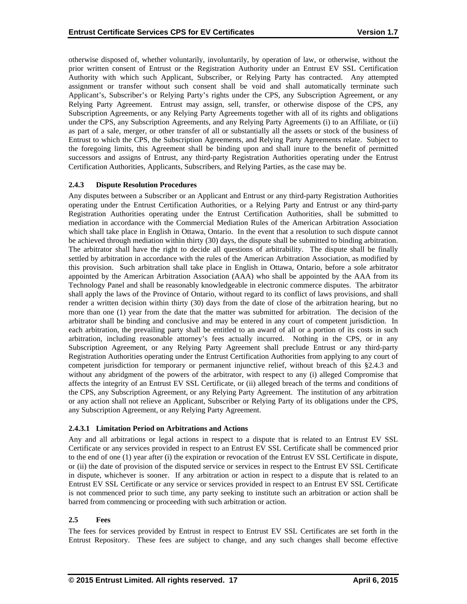otherwise disposed of, whether voluntarily, involuntarily, by operation of law, or otherwise, without the prior written consent of Entrust or the Registration Authority under an Entrust EV SSL Certification Authority with which such Applicant, Subscriber, or Relying Party has contracted. Any attempted assignment or transfer without such consent shall be void and shall automatically terminate such Applicant's, Subscriber's or Relying Party's rights under the CPS, any Subscription Agreement, or any Relying Party Agreement. Entrust may assign, sell, transfer, or otherwise dispose of the CPS, any Subscription Agreements, or any Relying Party Agreements together with all of its rights and obligations under the CPS, any Subscription Agreements, and any Relying Party Agreements (i) to an Affiliate, or (ii) as part of a sale, merger, or other transfer of all or substantially all the assets or stock of the business of Entrust to which the CPS, the Subscription Agreements, and Relying Party Agreements relate. Subject to the foregoing limits, this Agreement shall be binding upon and shall inure to the benefit of permitted successors and assigns of Entrust, any third-party Registration Authorities operating under the Entrust Certification Authorities, Applicants, Subscribers, and Relying Parties, as the case may be.

## **2.4.3 Dispute Resolution Procedures**

Any disputes between a Subscriber or an Applicant and Entrust or any third-party Registration Authorities operating under the Entrust Certification Authorities, or a Relying Party and Entrust or any third-party Registration Authorities operating under the Entrust Certification Authorities, shall be submitted to mediation in accordance with the Commercial Mediation Rules of the American Arbitration Association which shall take place in English in Ottawa, Ontario. In the event that a resolution to such dispute cannot be achieved through mediation within thirty (30) days, the dispute shall be submitted to binding arbitration. The arbitrator shall have the right to decide all questions of arbitrability. The dispute shall be finally settled by arbitration in accordance with the rules of the American Arbitration Association, as modified by this provision. Such arbitration shall take place in English in Ottawa, Ontario, before a sole arbitrator appointed by the American Arbitration Association (AAA) who shall be appointed by the AAA from its Technology Panel and shall be reasonably knowledgeable in electronic commerce disputes. The arbitrator shall apply the laws of the Province of Ontario, without regard to its conflict of laws provisions, and shall render a written decision within thirty (30) days from the date of close of the arbitration hearing, but no more than one (1) year from the date that the matter was submitted for arbitration. The decision of the arbitrator shall be binding and conclusive and may be entered in any court of competent jurisdiction. In each arbitration, the prevailing party shall be entitled to an award of all or a portion of its costs in such arbitration, including reasonable attorney's fees actually incurred. Nothing in the CPS, or in any Subscription Agreement, or any Relying Party Agreement shall preclude Entrust or any third-party Registration Authorities operating under the Entrust Certification Authorities from applying to any court of competent jurisdiction for temporary or permanent injunctive relief, without breach of this §2.4.3 and without any abridgment of the powers of the arbitrator, with respect to any (i) alleged Compromise that affects the integrity of an Entrust EV SSL Certificate, or (ii) alleged breach of the terms and conditions of the CPS, any Subscription Agreement, or any Relying Party Agreement. The institution of any arbitration or any action shall not relieve an Applicant, Subscriber or Relying Party of its obligations under the CPS, any Subscription Agreement, or any Relying Party Agreement.

## **2.4.3.1 Limitation Period on Arbitrations and Actions**

Any and all arbitrations or legal actions in respect to a dispute that is related to an Entrust EV SSL Certificate or any services provided in respect to an Entrust EV SSL Certificate shall be commenced prior to the end of one (1) year after (i) the expiration or revocation of the Entrust EV SSL Certificate in dispute, or (ii) the date of provision of the disputed service or services in respect to the Entrust EV SSL Certificate in dispute, whichever is sooner. If any arbitration or action in respect to a dispute that is related to an Entrust EV SSL Certificate or any service or services provided in respect to an Entrust EV SSL Certificate is not commenced prior to such time, any party seeking to institute such an arbitration or action shall be barred from commencing or proceeding with such arbitration or action.

## **2.5 Fees**

The fees for services provided by Entrust in respect to Entrust EV SSL Certificates are set forth in the Entrust Repository. These fees are subject to change, and any such changes shall become effective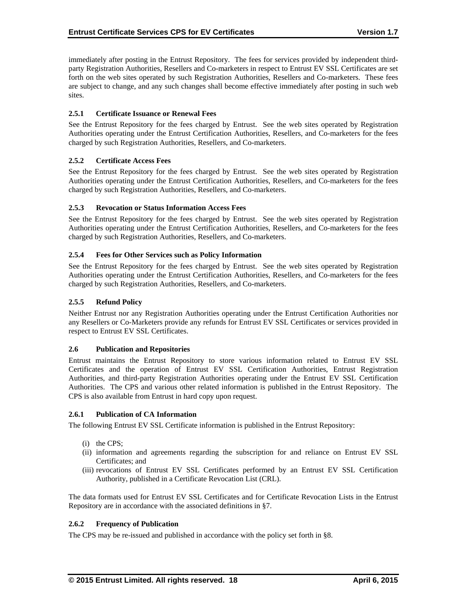immediately after posting in the Entrust Repository. The fees for services provided by independent thirdparty Registration Authorities, Resellers and Co-marketers in respect to Entrust EV SSL Certificates are set forth on the web sites operated by such Registration Authorities, Resellers and Co-marketers. These fees are subject to change, and any such changes shall become effective immediately after posting in such web sites.

# **2.5.1 Certificate Issuance or Renewal Fees**

See the Entrust Repository for the fees charged by Entrust. See the web sites operated by Registration Authorities operating under the Entrust Certification Authorities, Resellers, and Co-marketers for the fees charged by such Registration Authorities, Resellers, and Co-marketers.

## **2.5.2 Certificate Access Fees**

See the Entrust Repository for the fees charged by Entrust. See the web sites operated by Registration Authorities operating under the Entrust Certification Authorities, Resellers, and Co-marketers for the fees charged by such Registration Authorities, Resellers, and Co-marketers.

## **2.5.3 Revocation or Status Information Access Fees**

See the Entrust Repository for the fees charged by Entrust. See the web sites operated by Registration Authorities operating under the Entrust Certification Authorities, Resellers, and Co-marketers for the fees charged by such Registration Authorities, Resellers, and Co-marketers.

## **2.5.4 Fees for Other Services such as Policy Information**

See the Entrust Repository for the fees charged by Entrust. See the web sites operated by Registration Authorities operating under the Entrust Certification Authorities, Resellers, and Co-marketers for the fees charged by such Registration Authorities, Resellers, and Co-marketers.

## **2.5.5 Refund Policy**

Neither Entrust nor any Registration Authorities operating under the Entrust Certification Authorities nor any Resellers or Co-Marketers provide any refunds for Entrust EV SSL Certificates or services provided in respect to Entrust EV SSL Certificates.

## **2.6 Publication and Repositories**

Entrust maintains the Entrust Repository to store various information related to Entrust EV SSL Certificates and the operation of Entrust EV SSL Certification Authorities, Entrust Registration Authorities, and third-party Registration Authorities operating under the Entrust EV SSL Certification Authorities. The CPS and various other related information is published in the Entrust Repository. The CPS is also available from Entrust in hard copy upon request.

## **2.6.1 Publication of CA Information**

The following Entrust EV SSL Certificate information is published in the Entrust Repository:

- (i) the CPS;
- (ii) information and agreements regarding the subscription for and reliance on Entrust EV SSL Certificates; and
- (iii) revocations of Entrust EV SSL Certificates performed by an Entrust EV SSL Certification Authority, published in a Certificate Revocation List (CRL).

The data formats used for Entrust EV SSL Certificates and for Certificate Revocation Lists in the Entrust Repository are in accordance with the associated definitions in §7.

## **2.6.2 Frequency of Publication**

The CPS may be re-issued and published in accordance with the policy set forth in §8.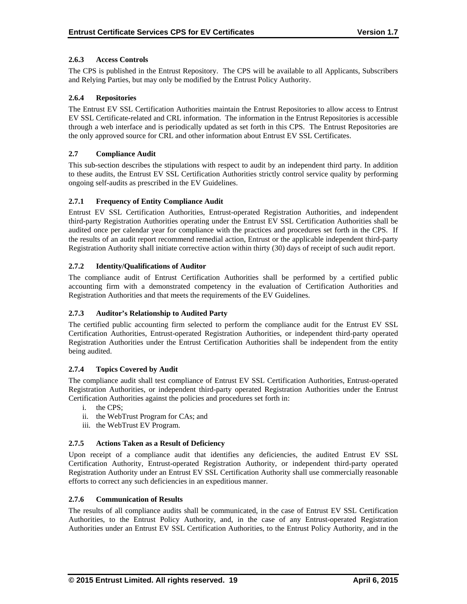# **2.6.3 Access Controls**

The CPS is published in the Entrust Repository. The CPS will be available to all Applicants, Subscribers and Relying Parties, but may only be modified by the Entrust Policy Authority.

## **2.6.4 Repositories**

The Entrust EV SSL Certification Authorities maintain the Entrust Repositories to allow access to Entrust EV SSL Certificate-related and CRL information. The information in the Entrust Repositories is accessible through a web interface and is periodically updated as set forth in this CPS. The Entrust Repositories are the only approved source for CRL and other information about Entrust EV SSL Certificates.

## **2.7 Compliance Audit**

This sub-section describes the stipulations with respect to audit by an independent third party. In addition to these audits, the Entrust EV SSL Certification Authorities strictly control service quality by performing ongoing self-audits as prescribed in the EV Guidelines.

## **2.7.1 Frequency of Entity Compliance Audit**

Entrust EV SSL Certification Authorities, Entrust-operated Registration Authorities, and independent third-party Registration Authorities operating under the Entrust EV SSL Certification Authorities shall be audited once per calendar year for compliance with the practices and procedures set forth in the CPS. If the results of an audit report recommend remedial action, Entrust or the applicable independent third-party Registration Authority shall initiate corrective action within thirty (30) days of receipt of such audit report.

## **2.7.2 Identity/Qualifications of Auditor**

The compliance audit of Entrust Certification Authorities shall be performed by a certified public accounting firm with a demonstrated competency in the evaluation of Certification Authorities and Registration Authorities and that meets the requirements of the EV Guidelines.

## **2.7.3 Auditor's Relationship to Audited Party**

The certified public accounting firm selected to perform the compliance audit for the Entrust EV SSL Certification Authorities, Entrust-operated Registration Authorities, or independent third-party operated Registration Authorities under the Entrust Certification Authorities shall be independent from the entity being audited.

## **2.7.4 Topics Covered by Audit**

The compliance audit shall test compliance of Entrust EV SSL Certification Authorities, Entrust-operated Registration Authorities, or independent third-party operated Registration Authorities under the Entrust Certification Authorities against the policies and procedures set forth in:

- i. the CPS;
- ii. the WebTrust Program for CAs; and
- iii. the WebTrust EV Program.

## **2.7.5 Actions Taken as a Result of Deficiency**

Upon receipt of a compliance audit that identifies any deficiencies, the audited Entrust EV SSL Certification Authority, Entrust-operated Registration Authority, or independent third-party operated Registration Authority under an Entrust EV SSL Certification Authority shall use commercially reasonable efforts to correct any such deficiencies in an expeditious manner.

## **2.7.6 Communication of Results**

The results of all compliance audits shall be communicated, in the case of Entrust EV SSL Certification Authorities, to the Entrust Policy Authority, and, in the case of any Entrust-operated Registration Authorities under an Entrust EV SSL Certification Authorities, to the Entrust Policy Authority, and in the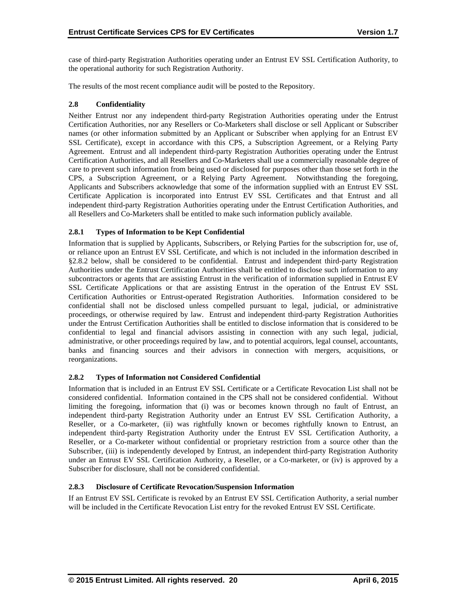case of third-party Registration Authorities operating under an Entrust EV SSL Certification Authority, to the operational authority for such Registration Authority.

The results of the most recent compliance audit will be posted to the Repository.

## **2.8 Confidentiality**

Neither Entrust nor any independent third-party Registration Authorities operating under the Entrust Certification Authorities, nor any Resellers or Co-Marketers shall disclose or sell Applicant or Subscriber names (or other information submitted by an Applicant or Subscriber when applying for an Entrust EV SSL Certificate), except in accordance with this CPS, a Subscription Agreement, or a Relying Party Agreement. Entrust and all independent third-party Registration Authorities operating under the Entrust Certification Authorities, and all Resellers and Co-Marketers shall use a commercially reasonable degree of care to prevent such information from being used or disclosed for purposes other than those set forth in the CPS, a Subscription Agreement, or a Relying Party Agreement. Notwithstanding the foregoing, Applicants and Subscribers acknowledge that some of the information supplied with an Entrust EV SSL Certificate Application is incorporated into Entrust EV SSL Certificates and that Entrust and all independent third-party Registration Authorities operating under the Entrust Certification Authorities, and all Resellers and Co-Marketers shall be entitled to make such information publicly available.

## **2.8.1 Types of Information to be Kept Confidential**

Information that is supplied by Applicants, Subscribers, or Relying Parties for the subscription for, use of, or reliance upon an Entrust EV SSL Certificate, and which is not included in the information described in §2.8.2 below, shall be considered to be confidential. Entrust and independent third-party Registration Authorities under the Entrust Certification Authorities shall be entitled to disclose such information to any subcontractors or agents that are assisting Entrust in the verification of information supplied in Entrust EV SSL Certificate Applications or that are assisting Entrust in the operation of the Entrust EV SSL Certification Authorities or Entrust-operated Registration Authorities. Information considered to be confidential shall not be disclosed unless compelled pursuant to legal, judicial, or administrative proceedings, or otherwise required by law. Entrust and independent third-party Registration Authorities under the Entrust Certification Authorities shall be entitled to disclose information that is considered to be confidential to legal and financial advisors assisting in connection with any such legal, judicial, administrative, or other proceedings required by law, and to potential acquirors, legal counsel, accountants, banks and financing sources and their advisors in connection with mergers, acquisitions, or reorganizations.

# **2.8.2 Types of Information not Considered Confidential**

Information that is included in an Entrust EV SSL Certificate or a Certificate Revocation List shall not be considered confidential. Information contained in the CPS shall not be considered confidential. Without limiting the foregoing, information that (i) was or becomes known through no fault of Entrust, an independent third-party Registration Authority under an Entrust EV SSL Certification Authority, a Reseller, or a Co-marketer, (ii) was rightfully known or becomes rightfully known to Entrust, an independent third-party Registration Authority under the Entrust EV SSL Certification Authority, a Reseller, or a Co-marketer without confidential or proprietary restriction from a source other than the Subscriber, (iii) is independently developed by Entrust, an independent third-party Registration Authority under an Entrust EV SSL Certification Authority, a Reseller, or a Co-marketer, or (iv) is approved by a Subscriber for disclosure, shall not be considered confidential.

## **2.8.3 Disclosure of Certificate Revocation/Suspension Information**

If an Entrust EV SSL Certificate is revoked by an Entrust EV SSL Certification Authority, a serial number will be included in the Certificate Revocation List entry for the revoked Entrust EV SSL Certificate.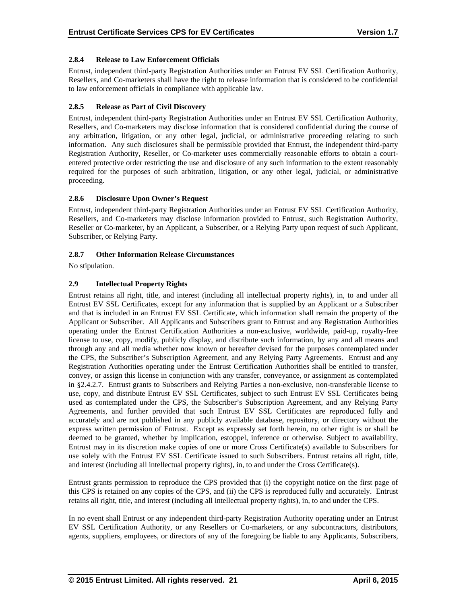## **2.8.4 Release to Law Enforcement Officials**

Entrust, independent third-party Registration Authorities under an Entrust EV SSL Certification Authority, Resellers, and Co-marketers shall have the right to release information that is considered to be confidential to law enforcement officials in compliance with applicable law.

# **2.8.5 Release as Part of Civil Discovery**

Entrust, independent third-party Registration Authorities under an Entrust EV SSL Certification Authority, Resellers, and Co-marketers may disclose information that is considered confidential during the course of any arbitration, litigation, or any other legal, judicial, or administrative proceeding relating to such information. Any such disclosures shall be permissible provided that Entrust, the independent third-party Registration Authority, Reseller, or Co-marketer uses commercially reasonable efforts to obtain a courtentered protective order restricting the use and disclosure of any such information to the extent reasonably required for the purposes of such arbitration, litigation, or any other legal, judicial, or administrative proceeding.

## **2.8.6 Disclosure Upon Owner's Request**

Entrust, independent third-party Registration Authorities under an Entrust EV SSL Certification Authority, Resellers, and Co-marketers may disclose information provided to Entrust, such Registration Authority, Reseller or Co-marketer, by an Applicant, a Subscriber, or a Relying Party upon request of such Applicant, Subscriber, or Relying Party.

## **2.8.7 Other Information Release Circumstances**

No stipulation.

## **2.9 Intellectual Property Rights**

Entrust retains all right, title, and interest (including all intellectual property rights), in, to and under all Entrust EV SSL Certificates, except for any information that is supplied by an Applicant or a Subscriber and that is included in an Entrust EV SSL Certificate, which information shall remain the property of the Applicant or Subscriber. All Applicants and Subscribers grant to Entrust and any Registration Authorities operating under the Entrust Certification Authorities a non-exclusive, worldwide, paid-up, royalty-free license to use, copy, modify, publicly display, and distribute such information, by any and all means and through any and all media whether now known or hereafter devised for the purposes contemplated under the CPS, the Subscriber's Subscription Agreement, and any Relying Party Agreements. Entrust and any Registration Authorities operating under the Entrust Certification Authorities shall be entitled to transfer, convey, or assign this license in conjunction with any transfer, conveyance, or assignment as contemplated in §2.4.2.7. Entrust grants to Subscribers and Relying Parties a non-exclusive, non-transferable license to use, copy, and distribute Entrust EV SSL Certificates, subject to such Entrust EV SSL Certificates being used as contemplated under the CPS, the Subscriber's Subscription Agreement, and any Relying Party Agreements, and further provided that such Entrust EV SSL Certificates are reproduced fully and accurately and are not published in any publicly available database, repository, or directory without the express written permission of Entrust. Except as expressly set forth herein, no other right is or shall be deemed to be granted, whether by implication, estoppel, inference or otherwise. Subject to availability, Entrust may in its discretion make copies of one or more Cross Certificate(s) available to Subscribers for use solely with the Entrust EV SSL Certificate issued to such Subscribers. Entrust retains all right, title, and interest (including all intellectual property rights), in, to and under the Cross Certificate(s).

Entrust grants permission to reproduce the CPS provided that (i) the copyright notice on the first page of this CPS is retained on any copies of the CPS, and (ii) the CPS is reproduced fully and accurately. Entrust retains all right, title, and interest (including all intellectual property rights), in, to and under the CPS.

In no event shall Entrust or any independent third-party Registration Authority operating under an Entrust EV SSL Certification Authority, or any Resellers or Co-marketers, or any subcontractors, distributors, agents, suppliers, employees, or directors of any of the foregoing be liable to any Applicants, Subscribers,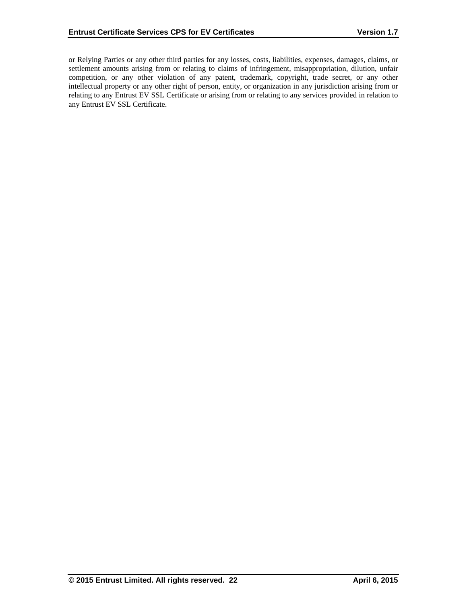or Relying Parties or any other third parties for any losses, costs, liabilities, expenses, damages, claims, or settlement amounts arising from or relating to claims of infringement, misappropriation, dilution, unfair competition, or any other violation of any patent, trademark, copyright, trade secret, or any other intellectual property or any other right of person, entity, or organization in any jurisdiction arising from or relating to any Entrust EV SSL Certificate or arising from or relating to any services provided in relation to any Entrust EV SSL Certificate.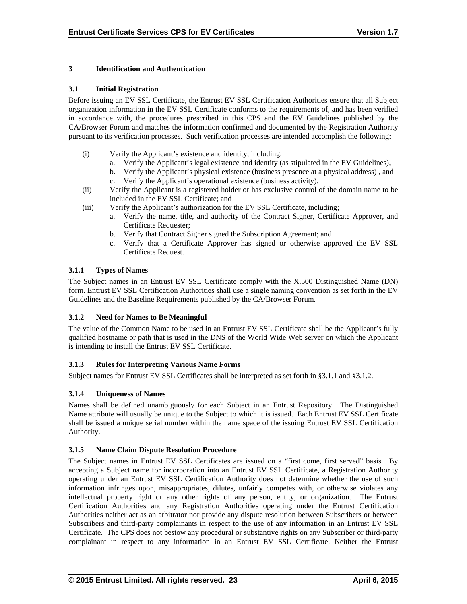## **3 Identification and Authentication**

## **3.1 Initial Registration**

Before issuing an EV SSL Certificate, the Entrust EV SSL Certification Authorities ensure that all Subject organization information in the EV SSL Certificate conforms to the requirements of, and has been verified in accordance with, the procedures prescribed in this CPS and the EV Guidelines published by the CA/Browser Forum and matches the information confirmed and documented by the Registration Authority pursuant to its verification processes. Such verification processes are intended accomplish the following:

- (i) Verify the Applicant's existence and identity, including;
	- a. Verify the Applicant's legal existence and identity (as stipulated in the EV Guidelines),
	- b. Verify the Applicant's physical existence (business presence at a physical address) , and
	- c. Verify the Applicant's operational existence (business activity).
- (ii) Verify the Applicant is a registered holder or has exclusive control of the domain name to be included in the EV SSL Certificate; and
- (iii) Verify the Applicant's authorization for the EV SSL Certificate, including;
	- a. Verify the name, title, and authority of the Contract Signer, Certificate Approver, and Certificate Requester;
	- b. Verify that Contract Signer signed the Subscription Agreement; and
	- c. Verify that a Certificate Approver has signed or otherwise approved the EV SSL Certificate Request.

## **3.1.1 Types of Names**

The Subject names in an Entrust EV SSL Certificate comply with the X.500 Distinguished Name (DN) form. Entrust EV SSL Certification Authorities shall use a single naming convention as set forth in the EV Guidelines and the Baseline Requirements published by the CA/Browser Forum.

## **3.1.2 Need for Names to Be Meaningful**

The value of the Common Name to be used in an Entrust EV SSL Certificate shall be the Applicant's fully qualified hostname or path that is used in the DNS of the World Wide Web server on which the Applicant is intending to install the Entrust EV SSL Certificate.

# **3.1.3 Rules for Interpreting Various Name Forms**

Subject names for Entrust EV SSL Certificates shall be interpreted as set forth in §3.1.1 and §3.1.2.

# **3.1.4 Uniqueness of Names**

Names shall be defined unambiguously for each Subject in an Entrust Repository. The Distinguished Name attribute will usually be unique to the Subject to which it is issued. Each Entrust EV SSL Certificate shall be issued a unique serial number within the name space of the issuing Entrust EV SSL Certification Authority.

## **3.1.5 Name Claim Dispute Resolution Procedure**

The Subject names in Entrust EV SSL Certificates are issued on a "first come, first served" basis. By accepting a Subject name for incorporation into an Entrust EV SSL Certificate, a Registration Authority operating under an Entrust EV SSL Certification Authority does not determine whether the use of such information infringes upon, misappropriates, dilutes, unfairly competes with, or otherwise violates any intellectual property right or any other rights of any person, entity, or organization. The Entrust Certification Authorities and any Registration Authorities operating under the Entrust Certification Authorities neither act as an arbitrator nor provide any dispute resolution between Subscribers or between Subscribers and third-party complainants in respect to the use of any information in an Entrust EV SSL Certificate. The CPS does not bestow any procedural or substantive rights on any Subscriber or third-party complainant in respect to any information in an Entrust EV SSL Certificate. Neither the Entrust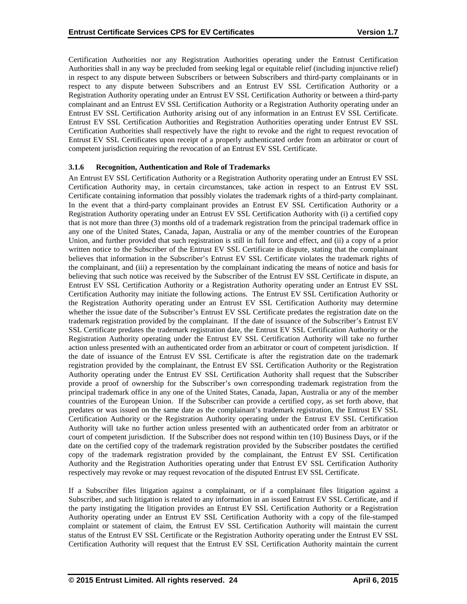Certification Authorities nor any Registration Authorities operating under the Entrust Certification Authorities shall in any way be precluded from seeking legal or equitable relief (including injunctive relief) in respect to any dispute between Subscribers or between Subscribers and third-party complainants or in respect to any dispute between Subscribers and an Entrust EV SSL Certification Authority or a Registration Authority operating under an Entrust EV SSL Certification Authority or between a third-party complainant and an Entrust EV SSL Certification Authority or a Registration Authority operating under an Entrust EV SSL Certification Authority arising out of any information in an Entrust EV SSL Certificate. Entrust EV SSL Certification Authorities and Registration Authorities operating under Entrust EV SSL Certification Authorities shall respectively have the right to revoke and the right to request revocation of Entrust EV SSL Certificates upon receipt of a properly authenticated order from an arbitrator or court of competent jurisdiction requiring the revocation of an Entrust EV SSL Certificate.

## **3.1.6 Recognition, Authentication and Role of Trademarks**

An Entrust EV SSL Certification Authority or a Registration Authority operating under an Entrust EV SSL Certification Authority may, in certain circumstances, take action in respect to an Entrust EV SSL Certificate containing information that possibly violates the trademark rights of a third-party complainant. In the event that a third-party complainant provides an Entrust EV SSL Certification Authority or a Registration Authority operating under an Entrust EV SSL Certification Authority with (i) a certified copy that is not more than three (3) months old of a trademark registration from the principal trademark office in any one of the United States, Canada, Japan, Australia or any of the member countries of the European Union, and further provided that such registration is still in full force and effect, and (ii) a copy of a prior written notice to the Subscriber of the Entrust EV SSL Certificate in dispute, stating that the complainant believes that information in the Subscriber's Entrust EV SSL Certificate violates the trademark rights of the complainant, and (iii) a representation by the complainant indicating the means of notice and basis for believing that such notice was received by the Subscriber of the Entrust EV SSL Certificate in dispute, an Entrust EV SSL Certification Authority or a Registration Authority operating under an Entrust EV SSL Certification Authority may initiate the following actions. The Entrust EV SSL Certification Authority or the Registration Authority operating under an Entrust EV SSL Certification Authority may determine whether the issue date of the Subscriber's Entrust EV SSL Certificate predates the registration date on the trademark registration provided by the complainant. If the date of issuance of the Subscriber's Entrust EV SSL Certificate predates the trademark registration date, the Entrust EV SSL Certification Authority or the Registration Authority operating under the Entrust EV SSL Certification Authority will take no further action unless presented with an authenticated order from an arbitrator or court of competent jurisdiction. If the date of issuance of the Entrust EV SSL Certificate is after the registration date on the trademark registration provided by the complainant, the Entrust EV SSL Certification Authority or the Registration Authority operating under the Entrust EV SSL Certification Authority shall request that the Subscriber provide a proof of ownership for the Subscriber's own corresponding trademark registration from the principal trademark office in any one of the United States, Canada, Japan, Australia or any of the member countries of the European Union. If the Subscriber can provide a certified copy, as set forth above, that predates or was issued on the same date as the complainant's trademark registration, the Entrust EV SSL Certification Authority or the Registration Authority operating under the Entrust EV SSL Certification Authority will take no further action unless presented with an authenticated order from an arbitrator or court of competent jurisdiction. If the Subscriber does not respond within ten (10) Business Days, or if the date on the certified copy of the trademark registration provided by the Subscriber postdates the certified copy of the trademark registration provided by the complainant, the Entrust EV SSL Certification Authority and the Registration Authorities operating under that Entrust EV SSL Certification Authority respectively may revoke or may request revocation of the disputed Entrust EV SSL Certificate.

If a Subscriber files litigation against a complainant, or if a complainant files litigation against a Subscriber, and such litigation is related to any information in an issued Entrust EV SSL Certificate, and if the party instigating the litigation provides an Entrust EV SSL Certification Authority or a Registration Authority operating under an Entrust EV SSL Certification Authority with a copy of the file-stamped complaint or statement of claim, the Entrust EV SSL Certification Authority will maintain the current status of the Entrust EV SSL Certificate or the Registration Authority operating under the Entrust EV SSL Certification Authority will request that the Entrust EV SSL Certification Authority maintain the current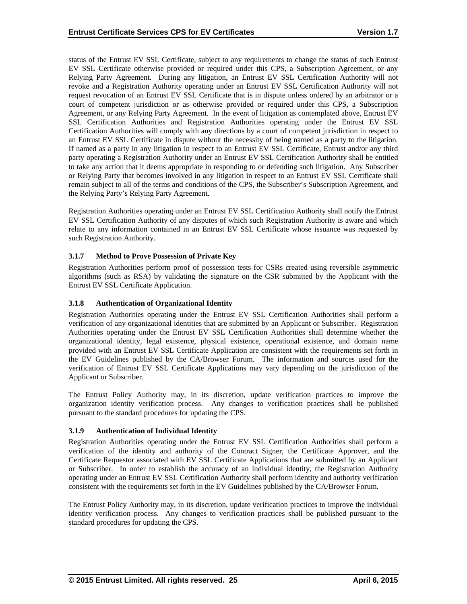status of the Entrust EV SSL Certificate, subject to any requirements to change the status of such Entrust EV SSL Certificate otherwise provided or required under this CPS, a Subscription Agreement, or any Relying Party Agreement. During any litigation, an Entrust EV SSL Certification Authority will not revoke and a Registration Authority operating under an Entrust EV SSL Certification Authority will not request revocation of an Entrust EV SSL Certificate that is in dispute unless ordered by an arbitrator or a court of competent jurisdiction or as otherwise provided or required under this CPS, a Subscription Agreement, or any Relying Party Agreement. In the event of litigation as contemplated above, Entrust EV SSL Certification Authorities and Registration Authorities operating under the Entrust EV SSL Certification Authorities will comply with any directions by a court of competent jurisdiction in respect to an Entrust EV SSL Certificate in dispute without the necessity of being named as a party to the litigation. If named as a party in any litigation in respect to an Entrust EV SSL Certificate, Entrust and/or any third party operating a Registration Authority under an Entrust EV SSL Certification Authority shall be entitled to take any action that it deems appropriate in responding to or defending such litigation. Any Subscriber or Relying Party that becomes involved in any litigation in respect to an Entrust EV SSL Certificate shall remain subject to all of the terms and conditions of the CPS, the Subscriber's Subscription Agreement, and the Relying Party's Relying Party Agreement.

Registration Authorities operating under an Entrust EV SSL Certification Authority shall notify the Entrust EV SSL Certification Authority of any disputes of which such Registration Authority is aware and which relate to any information contained in an Entrust EV SSL Certificate whose issuance was requested by such Registration Authority.

# **3.1.7 Method to Prove Possession of Private Key**

Registration Authorities perform proof of possession tests for CSRs created using reversible asymmetric algorithms (such as RSA) by validating the signature on the CSR submitted by the Applicant with the Entrust EV SSL Certificate Application.

## **3.1.8 Authentication of Organizational Identity**

Registration Authorities operating under the Entrust EV SSL Certification Authorities shall perform a verification of any organizational identities that are submitted by an Applicant or Subscriber. Registration Authorities operating under the Entrust EV SSL Certification Authorities shall determine whether the organizational identity, legal existence, physical existence, operational existence, and domain name provided with an Entrust EV SSL Certificate Application are consistent with the requirements set forth in the EV Guidelines published by the CA/Browser Forum. The information and sources used for the verification of Entrust EV SSL Certificate Applications may vary depending on the jurisdiction of the Applicant or Subscriber.

The Entrust Policy Authority may, in its discretion, update verification practices to improve the organization identity verification process. Any changes to verification practices shall be published pursuant to the standard procedures for updating the CPS.

## **3.1.9 Authentication of Individual Identity**

Registration Authorities operating under the Entrust EV SSL Certification Authorities shall perform a verification of the identity and authority of the Contract Signer, the Certificate Approver, and the Certificate Requestor associated with EV SSL Certificate Applications that are submitted by an Applicant or Subscriber. In order to establish the accuracy of an individual identity, the Registration Authority operating under an Entrust EV SSL Certification Authority shall perform identity and authority verification consistent with the requirements set forth in the EV Guidelines published by the CA/Browser Forum.

The Entrust Policy Authority may, in its discretion, update verification practices to improve the individual identity verification process. Any changes to verification practices shall be published pursuant to the standard procedures for updating the CPS.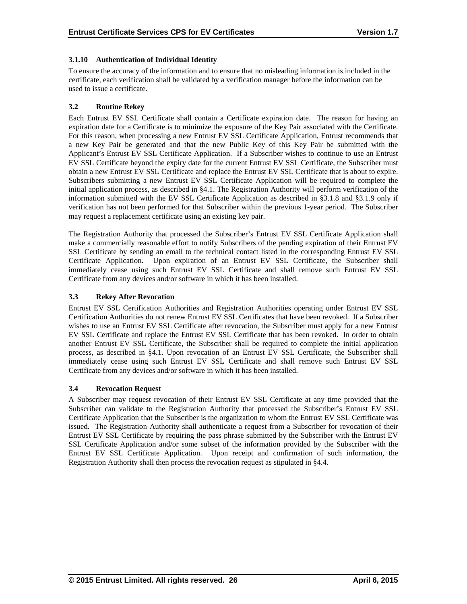# **3.1.10 Authentication of Individual Identity**

To ensure the accuracy of the information and to ensure that no misleading information is included in the certificate, each verification shall be validated by a verification manager before the information can be used to issue a certificate.

## **3.2 Routine Rekey**

Each Entrust EV SSL Certificate shall contain a Certificate expiration date. The reason for having an expiration date for a Certificate is to minimize the exposure of the Key Pair associated with the Certificate. For this reason, when processing a new Entrust EV SSL Certificate Application, Entrust recommends that a new Key Pair be generated and that the new Public Key of this Key Pair be submitted with the Applicant's Entrust EV SSL Certificate Application. If a Subscriber wishes to continue to use an Entrust EV SSL Certificate beyond the expiry date for the current Entrust EV SSL Certificate, the Subscriber must obtain a new Entrust EV SSL Certificate and replace the Entrust EV SSL Certificate that is about to expire. Subscribers submitting a new Entrust EV SSL Certificate Application will be required to complete the initial application process, as described in §4.1. The Registration Authority will perform verification of the information submitted with the EV SSL Certificate Application as described in §3.1.8 and §3.1.9 only if verification has not been performed for that Subscriber within the previous 1-year period. The Subscriber may request a replacement certificate using an existing key pair.

The Registration Authority that processed the Subscriber's Entrust EV SSL Certificate Application shall make a commercially reasonable effort to notify Subscribers of the pending expiration of their Entrust EV SSL Certificate by sending an email to the technical contact listed in the corresponding Entrust EV SSL Certificate Application. Upon expiration of an Entrust EV SSL Certificate, the Subscriber shall immediately cease using such Entrust EV SSL Certificate and shall remove such Entrust EV SSL Certificate from any devices and/or software in which it has been installed.

## **3.3 Rekey After Revocation**

Entrust EV SSL Certification Authorities and Registration Authorities operating under Entrust EV SSL Certification Authorities do not renew Entrust EV SSL Certificates that have been revoked. If a Subscriber wishes to use an Entrust EV SSL Certificate after revocation, the Subscriber must apply for a new Entrust EV SSL Certificate and replace the Entrust EV SSL Certificate that has been revoked. In order to obtain another Entrust EV SSL Certificate, the Subscriber shall be required to complete the initial application process, as described in §4.1. Upon revocation of an Entrust EV SSL Certificate, the Subscriber shall immediately cease using such Entrust EV SSL Certificate and shall remove such Entrust EV SSL Certificate from any devices and/or software in which it has been installed.

## **3.4 Revocation Request**

A Subscriber may request revocation of their Entrust EV SSL Certificate at any time provided that the Subscriber can validate to the Registration Authority that processed the Subscriber's Entrust EV SSL Certificate Application that the Subscriber is the organization to whom the Entrust EV SSL Certificate was issued. The Registration Authority shall authenticate a request from a Subscriber for revocation of their Entrust EV SSL Certificate by requiring the pass phrase submitted by the Subscriber with the Entrust EV SSL Certificate Application and/or some subset of the information provided by the Subscriber with the Entrust EV SSL Certificate Application. Upon receipt and confirmation of such information, the Registration Authority shall then process the revocation request as stipulated in §4.4.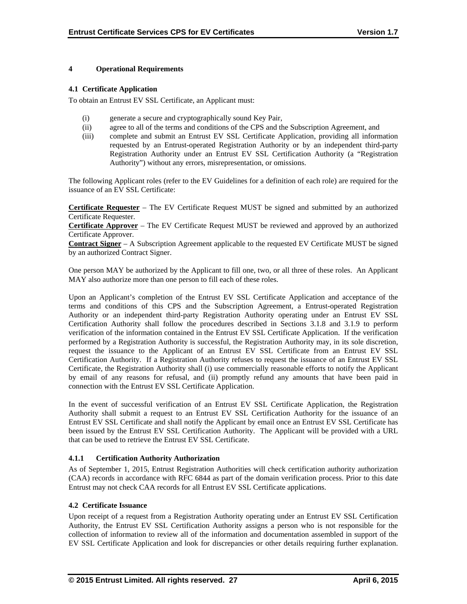## **4 Operational Requirements**

## **4.1 Certificate Application**

To obtain an Entrust EV SSL Certificate, an Applicant must:

- (i) generate a secure and cryptographically sound Key Pair,
- (ii) agree to all of the terms and conditions of the CPS and the Subscription Agreement, and
- (iii) complete and submit an Entrust EV SSL Certificate Application, providing all information requested by an Entrust-operated Registration Authority or by an independent third-party Registration Authority under an Entrust EV SSL Certification Authority (a "Registration Authority") without any errors, misrepresentation, or omissions.

The following Applicant roles (refer to the EV Guidelines for a definition of each role) are required for the issuance of an EV SSL Certificate:

**Certificate Requester** – The EV Certificate Request MUST be signed and submitted by an authorized Certificate Requester.

**Certificate Approver** – The EV Certificate Request MUST be reviewed and approved by an authorized Certificate Approver.

**Contract Signer** – A Subscription Agreement applicable to the requested EV Certificate MUST be signed by an authorized Contract Signer.

One person MAY be authorized by the Applicant to fill one, two, or all three of these roles. An Applicant MAY also authorize more than one person to fill each of these roles.

Upon an Applicant's completion of the Entrust EV SSL Certificate Application and acceptance of the terms and conditions of this CPS and the Subscription Agreement, a Entrust-operated Registration Authority or an independent third-party Registration Authority operating under an Entrust EV SSL Certification Authority shall follow the procedures described in Sections 3.1.8 and 3.1.9 to perform verification of the information contained in the Entrust EV SSL Certificate Application. If the verification performed by a Registration Authority is successful, the Registration Authority may, in its sole discretion, request the issuance to the Applicant of an Entrust EV SSL Certificate from an Entrust EV SSL Certification Authority. If a Registration Authority refuses to request the issuance of an Entrust EV SSL Certificate, the Registration Authority shall (i) use commercially reasonable efforts to notify the Applicant by email of any reasons for refusal, and (ii) promptly refund any amounts that have been paid in connection with the Entrust EV SSL Certificate Application.

In the event of successful verification of an Entrust EV SSL Certificate Application, the Registration Authority shall submit a request to an Entrust EV SSL Certification Authority for the issuance of an Entrust EV SSL Certificate and shall notify the Applicant by email once an Entrust EV SSL Certificate has been issued by the Entrust EV SSL Certification Authority. The Applicant will be provided with a URL that can be used to retrieve the Entrust EV SSL Certificate.

# **4.1.1 Certification Authority Authorization**

As of September 1, 2015, Entrust Registration Authorities will check certification authority authorization (CAA) records in accordance with RFC 6844 as part of the domain verification process. Prior to this date Entrust may not check CAA records for all Entrust EV SSL Certificate applications.

# **4.2 Certificate Issuance**

Upon receipt of a request from a Registration Authority operating under an Entrust EV SSL Certification Authority, the Entrust EV SSL Certification Authority assigns a person who is not responsible for the collection of information to review all of the information and documentation assembled in support of the EV SSL Certificate Application and look for discrepancies or other details requiring further explanation.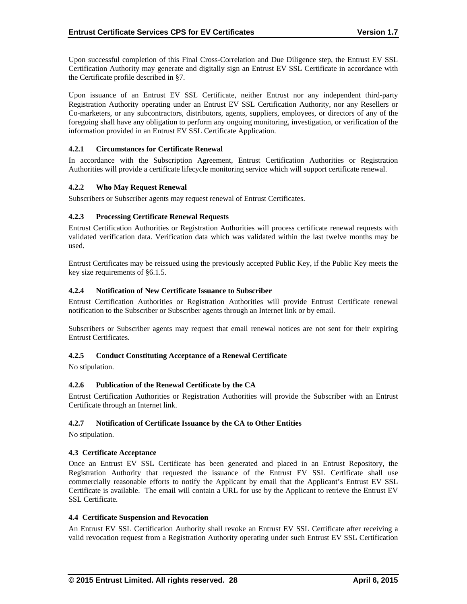Upon successful completion of this Final Cross-Correlation and Due Diligence step, the Entrust EV SSL Certification Authority may generate and digitally sign an Entrust EV SSL Certificate in accordance with the Certificate profile described in §7.

Upon issuance of an Entrust EV SSL Certificate, neither Entrust nor any independent third-party Registration Authority operating under an Entrust EV SSL Certification Authority, nor any Resellers or Co-marketers, or any subcontractors, distributors, agents, suppliers, employees, or directors of any of the foregoing shall have any obligation to perform any ongoing monitoring, investigation, or verification of the information provided in an Entrust EV SSL Certificate Application.

## **4.2.1 Circumstances for Certificate Renewal**

In accordance with the Subscription Agreement, Entrust Certification Authorities or Registration Authorities will provide a certificate lifecycle monitoring service which will support certificate renewal.

## **4.2.2 Who May Request Renewal**

Subscribers or Subscriber agents may request renewal of Entrust Certificates.

# **4.2.3 Processing Certificate Renewal Requests**

Entrust Certification Authorities or Registration Authorities will process certificate renewal requests with validated verification data. Verification data which was validated within the last twelve months may be used.

Entrust Certificates may be reissued using the previously accepted Public Key, if the Public Key meets the key size requirements of §6.1.5.

## **4.2.4 Notification of New Certificate Issuance to Subscriber**

Entrust Certification Authorities or Registration Authorities will provide Entrust Certificate renewal notification to the Subscriber or Subscriber agents through an Internet link or by email.

Subscribers or Subscriber agents may request that email renewal notices are not sent for their expiring Entrust Certificates.

## **4.2.5 Conduct Constituting Acceptance of a Renewal Certificate**

No stipulation.

## **4.2.6 Publication of the Renewal Certificate by the CA**

Entrust Certification Authorities or Registration Authorities will provide the Subscriber with an Entrust Certificate through an Internet link.

## **4.2.7 Notification of Certificate Issuance by the CA to Other Entities**

No stipulation.

## **4.3 Certificate Acceptance**

Once an Entrust EV SSL Certificate has been generated and placed in an Entrust Repository, the Registration Authority that requested the issuance of the Entrust EV SSL Certificate shall use commercially reasonable efforts to notify the Applicant by email that the Applicant's Entrust EV SSL Certificate is available. The email will contain a URL for use by the Applicant to retrieve the Entrust EV SSL Certificate.

## **4.4 Certificate Suspension and Revocation**

An Entrust EV SSL Certification Authority shall revoke an Entrust EV SSL Certificate after receiving a valid revocation request from a Registration Authority operating under such Entrust EV SSL Certification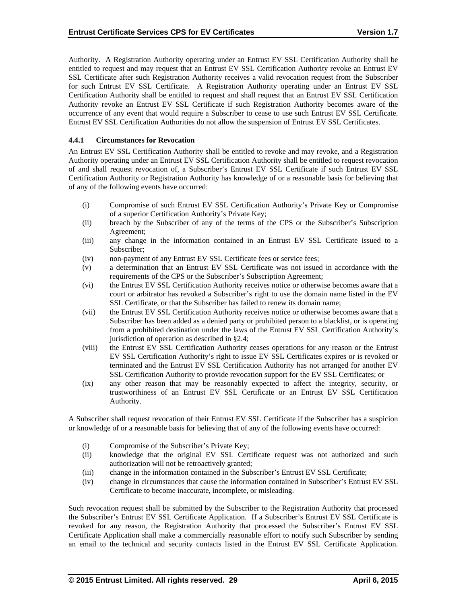Authority. A Registration Authority operating under an Entrust EV SSL Certification Authority shall be entitled to request and may request that an Entrust EV SSL Certification Authority revoke an Entrust EV SSL Certificate after such Registration Authority receives a valid revocation request from the Subscriber for such Entrust EV SSL Certificate. A Registration Authority operating under an Entrust EV SSL Certification Authority shall be entitled to request and shall request that an Entrust EV SSL Certification Authority revoke an Entrust EV SSL Certificate if such Registration Authority becomes aware of the occurrence of any event that would require a Subscriber to cease to use such Entrust EV SSL Certificate. Entrust EV SSL Certification Authorities do not allow the suspension of Entrust EV SSL Certificates.

# **4.4.1 Circumstances for Revocation**

An Entrust EV SSL Certification Authority shall be entitled to revoke and may revoke, and a Registration Authority operating under an Entrust EV SSL Certification Authority shall be entitled to request revocation of and shall request revocation of, a Subscriber's Entrust EV SSL Certificate if such Entrust EV SSL Certification Authority or Registration Authority has knowledge of or a reasonable basis for believing that of any of the following events have occurred:

- (i) Compromise of such Entrust EV SSL Certification Authority's Private Key or Compromise of a superior Certification Authority's Private Key;
- (ii) breach by the Subscriber of any of the terms of the CPS or the Subscriber's Subscription Agreement;
- (iii) any change in the information contained in an Entrust EV SSL Certificate issued to a Subscriber;
- (iv) non-payment of any Entrust EV SSL Certificate fees or service fees;
- (v) a determination that an Entrust EV SSL Certificate was not issued in accordance with the requirements of the CPS or the Subscriber's Subscription Agreement;
- (vi) the Entrust EV SSL Certification Authority receives notice or otherwise becomes aware that a court or arbitrator has revoked a Subscriber's right to use the domain name listed in the EV SSL Certificate, or that the Subscriber has failed to renew its domain name;
- (vii) the Entrust EV SSL Certification Authority receives notice or otherwise becomes aware that a Subscriber has been added as a denied party or prohibited person to a blacklist, or is operating from a prohibited destination under the laws of the Entrust EV SSL Certification Authority's jurisdiction of operation as described in §2.4;
- (viii) the Entrust EV SSL Certification Authority ceases operations for any reason or the Entrust EV SSL Certification Authority's right to issue EV SSL Certificates expires or is revoked or terminated and the Entrust EV SSL Certification Authority has not arranged for another EV SSL Certification Authority to provide revocation support for the EV SSL Certificates; or
- (ix) any other reason that may be reasonably expected to affect the integrity, security, or trustworthiness of an Entrust EV SSL Certificate or an Entrust EV SSL Certification Authority.

A Subscriber shall request revocation of their Entrust EV SSL Certificate if the Subscriber has a suspicion or knowledge of or a reasonable basis for believing that of any of the following events have occurred:

- (i) Compromise of the Subscriber's Private Key;
- (ii) knowledge that the original EV SSL Certificate request was not authorized and such authorization will not be retroactively granted;
- (iii) change in the information contained in the Subscriber's Entrust EV SSL Certificate;
- (iv) change in circumstances that cause the information contained in Subscriber's Entrust EV SSL Certificate to become inaccurate, incomplete, or misleading.

Such revocation request shall be submitted by the Subscriber to the Registration Authority that processed the Subscriber's Entrust EV SSL Certificate Application. If a Subscriber's Entrust EV SSL Certificate is revoked for any reason, the Registration Authority that processed the Subscriber's Entrust EV SSL Certificate Application shall make a commercially reasonable effort to notify such Subscriber by sending an email to the technical and security contacts listed in the Entrust EV SSL Certificate Application.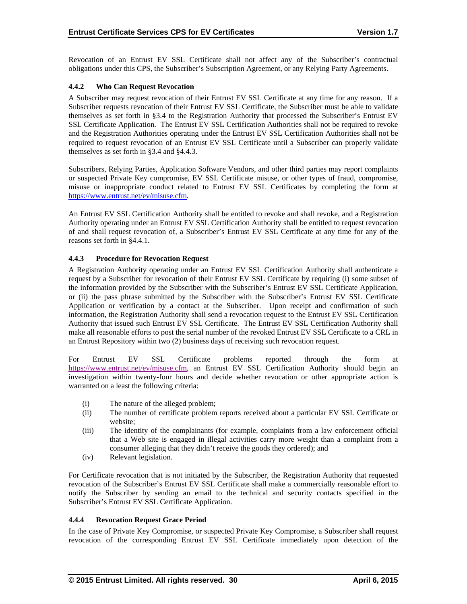Revocation of an Entrust EV SSL Certificate shall not affect any of the Subscriber's contractual obligations under this CPS, the Subscriber's Subscription Agreement, or any Relying Party Agreements.

# **4.4.2 Who Can Request Revocation**

A Subscriber may request revocation of their Entrust EV SSL Certificate at any time for any reason. If a Subscriber requests revocation of their Entrust EV SSL Certificate, the Subscriber must be able to validate themselves as set forth in §3.4 to the Registration Authority that processed the Subscriber's Entrust EV SSL Certificate Application. The Entrust EV SSL Certification Authorities shall not be required to revoke and the Registration Authorities operating under the Entrust EV SSL Certification Authorities shall not be required to request revocation of an Entrust EV SSL Certificate until a Subscriber can properly validate themselves as set forth in §3.4 and §4.4.3.

Subscribers, Relying Parties, Application Software Vendors, and other third parties may report complaints or suspected Private Key compromise, EV SSL Certificate misuse, or other types of fraud, compromise, misuse or inappropriate conduct related to Entrust EV SSL Certificates by completing the form at https://www.entrust.net/ev/misuse.cfm.

An Entrust EV SSL Certification Authority shall be entitled to revoke and shall revoke, and a Registration Authority operating under an Entrust EV SSL Certification Authority shall be entitled to request revocation of and shall request revocation of, a Subscriber's Entrust EV SSL Certificate at any time for any of the reasons set forth in §4.4.1.

## **4.4.3 Procedure for Revocation Request**

A Registration Authority operating under an Entrust EV SSL Certification Authority shall authenticate a request by a Subscriber for revocation of their Entrust EV SSL Certificate by requiring (i) some subset of the information provided by the Subscriber with the Subscriber's Entrust EV SSL Certificate Application, or (ii) the pass phrase submitted by the Subscriber with the Subscriber's Entrust EV SSL Certificate Application or verification by a contact at the Subscriber. Upon receipt and confirmation of such information, the Registration Authority shall send a revocation request to the Entrust EV SSL Certification Authority that issued such Entrust EV SSL Certificate. The Entrust EV SSL Certification Authority shall make all reasonable efforts to post the serial number of the revoked Entrust EV SSL Certificate to a CRL in an Entrust Repository within two (2) business days of receiving such revocation request.

For Entrust EV SSL Certificate problems reported through the form at https://www.entrust.net/ev/misuse.cfm, an Entrust EV SSL Certification Authority should begin an investigation within twenty-four hours and decide whether revocation or other appropriate action is warranted on a least the following criteria:

- (i) The nature of the alleged problem;
- (ii) The number of certificate problem reports received about a particular EV SSL Certificate or website;
- (iii) The identity of the complainants (for example, complaints from a law enforcement official that a Web site is engaged in illegal activities carry more weight than a complaint from a consumer alleging that they didn't receive the goods they ordered); and
- (iv) Relevant legislation.

For Certificate revocation that is not initiated by the Subscriber, the Registration Authority that requested revocation of the Subscriber's Entrust EV SSL Certificate shall make a commercially reasonable effort to notify the Subscriber by sending an email to the technical and security contacts specified in the Subscriber's Entrust EV SSL Certificate Application.

## **4.4.4 Revocation Request Grace Period**

In the case of Private Key Compromise, or suspected Private Key Compromise, a Subscriber shall request revocation of the corresponding Entrust EV SSL Certificate immediately upon detection of the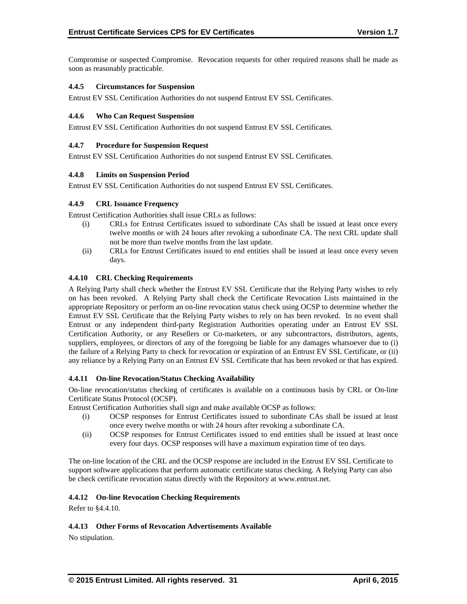Compromise or suspected Compromise. Revocation requests for other required reasons shall be made as soon as reasonably practicable.

## **4.4.5 Circumstances for Suspension**

Entrust EV SSL Certification Authorities do not suspend Entrust EV SSL Certificates.

## **4.4.6 Who Can Request Suspension**

Entrust EV SSL Certification Authorities do not suspend Entrust EV SSL Certificates.

#### **4.4.7 Procedure for Suspension Request**

Entrust EV SSL Certification Authorities do not suspend Entrust EV SSL Certificates.

#### **4.4.8 Limits on Suspension Period**

Entrust EV SSL Certification Authorities do not suspend Entrust EV SSL Certificates.

## **4.4.9 CRL Issuance Frequency**

Entrust Certification Authorities shall issue CRLs as follows:

- (i) CRLs for Entrust Certificates issued to subordinate CAs shall be issued at least once every twelve months or with 24 hours after revoking a subordinate CA. The next CRL update shall not be more than twelve months from the last update.
- (ii) CRLs for Entrust Certificates issued to end entities shall be issued at least once every seven days.

#### **4.4.10 CRL Checking Requirements**

A Relying Party shall check whether the Entrust EV SSL Certificate that the Relying Party wishes to rely on has been revoked. A Relying Party shall check the Certificate Revocation Lists maintained in the appropriate Repository or perform an on-line revocation status check using OCSP to determine whether the Entrust EV SSL Certificate that the Relying Party wishes to rely on has been revoked. In no event shall Entrust or any independent third-party Registration Authorities operating under an Entrust EV SSL Certification Authority, or any Resellers or Co-marketers, or any subcontractors, distributors, agents, suppliers, employees, or directors of any of the foregoing be liable for any damages whatsoever due to (i) the failure of a Relying Party to check for revocation or expiration of an Entrust EV SSL Certificate, or (ii) any reliance by a Relying Party on an Entrust EV SSL Certificate that has been revoked or that has expired.

## **4.4.11 On-line Revocation/Status Checking Availability**

On-line revocation/status checking of certificates is available on a continuous basis by CRL or On-line Certificate Status Protocol (OCSP).

Entrust Certification Authorities shall sign and make available OCSP as follows:

- (i) OCSP responses for Entrust Certificates issued to subordinate CAs shall be issued at least once every twelve months or with 24 hours after revoking a subordinate CA.
- (ii) OCSP responses for Entrust Certificates issued to end entities shall be issued at least once every four days. OCSP responses will have a maximum expiration time of ten days.

The on-line location of the CRL and the OCSP response are included in the Entrust EV SSL Certificate to support software applications that perform automatic certificate status checking. A Relying Party can also be check certificate revocation status directly with the Repository at www.entrust.net.

## **4.4.12 On-line Revocation Checking Requirements**

Refer to §4.4.10.

## **4.4.13 Other Forms of Revocation Advertisements Available**

No stipulation.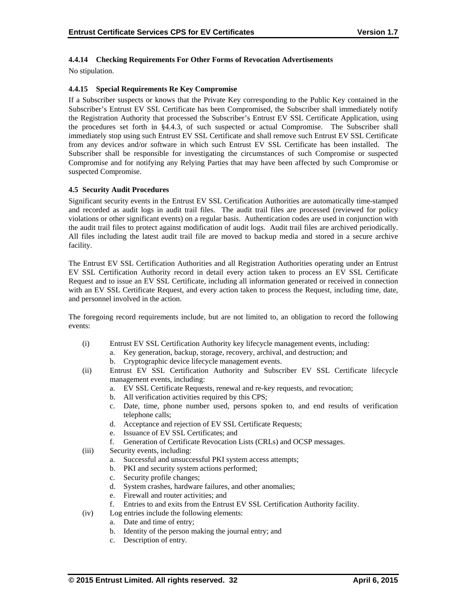# **4.4.14 Checking Requirements For Other Forms of Revocation Advertisements**

No stipulation.

# **4.4.15 Special Requirements Re Key Compromise**

If a Subscriber suspects or knows that the Private Key corresponding to the Public Key contained in the Subscriber's Entrust EV SSL Certificate has been Compromised, the Subscriber shall immediately notify the Registration Authority that processed the Subscriber's Entrust EV SSL Certificate Application, using the procedures set forth in §4.4.3, of such suspected or actual Compromise. The Subscriber shall immediately stop using such Entrust EV SSL Certificate and shall remove such Entrust EV SSL Certificate from any devices and/or software in which such Entrust EV SSL Certificate has been installed. The Subscriber shall be responsible for investigating the circumstances of such Compromise or suspected Compromise and for notifying any Relying Parties that may have been affected by such Compromise or suspected Compromise.

## **4.5 Security Audit Procedures**

Significant security events in the Entrust EV SSL Certification Authorities are automatically time-stamped and recorded as audit logs in audit trail files. The audit trail files are processed (reviewed for policy violations or other significant events) on a regular basis. Authentication codes are used in conjunction with the audit trail files to protect against modification of audit logs. Audit trail files are archived periodically. All files including the latest audit trail file are moved to backup media and stored in a secure archive facility.

The Entrust EV SSL Certification Authorities and all Registration Authorities operating under an Entrust EV SSL Certification Authority record in detail every action taken to process an EV SSL Certificate Request and to issue an EV SSL Certificate, including all information generated or received in connection with an EV SSL Certificate Request, and every action taken to process the Request, including time, date, and personnel involved in the action.

The foregoing record requirements include, but are not limited to, an obligation to record the following events:

- (i) Entrust EV SSL Certification Authority key lifecycle management events, including:
	- a. Key generation, backup, storage, recovery, archival, and destruction; and
	- b. Cryptographic device lifecycle management events.
- (ii) Entrust EV SSL Certification Authority and Subscriber EV SSL Certificate lifecycle management events, including:
	- a. EV SSL Certificate Requests, renewal and re-key requests, and revocation;
	- b. All verification activities required by this CPS;
	- c. Date, time, phone number used, persons spoken to, and end results of verification telephone calls;
	- d. Acceptance and rejection of EV SSL Certificate Requests;
	- e. Issuance of EV SSL Certificates; and
	- f. Generation of Certificate Revocation Lists (CRLs) and OCSP messages.
- (iii) Security events, including:
	- a. Successful and unsuccessful PKI system access attempts;
	- b. PKI and security system actions performed;
	- c. Security profile changes;
	- d. System crashes, hardware failures, and other anomalies;
	- e. Firewall and router activities; and
	- f. Entries to and exits from the Entrust EV SSL Certification Authority facility.
- (iv) Log entries include the following elements:
	- a. Date and time of entry;
		- b. Identity of the person making the journal entry; and
		- c. Description of entry.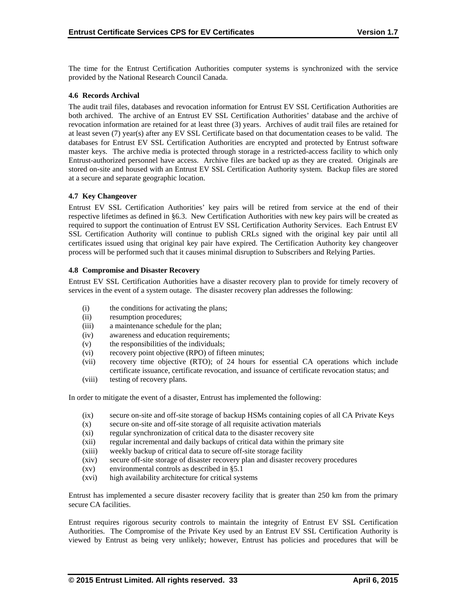The time for the Entrust Certification Authorities computer systems is synchronized with the service provided by the National Research Council Canada.

## **4.6 Records Archival**

The audit trail files, databases and revocation information for Entrust EV SSL Certification Authorities are both archived. The archive of an Entrust EV SSL Certification Authorities' database and the archive of revocation information are retained for at least three (3) years. Archives of audit trail files are retained for at least seven (7) year(s) after any EV SSL Certificate based on that documentation ceases to be valid. The databases for Entrust EV SSL Certification Authorities are encrypted and protected by Entrust software master keys. The archive media is protected through storage in a restricted-access facility to which only Entrust-authorized personnel have access. Archive files are backed up as they are created. Originals are stored on-site and housed with an Entrust EV SSL Certification Authority system. Backup files are stored at a secure and separate geographic location.

## **4.7 Key Changeover**

Entrust EV SSL Certification Authorities' key pairs will be retired from service at the end of their respective lifetimes as defined in §6.3. New Certification Authorities with new key pairs will be created as required to support the continuation of Entrust EV SSL Certification Authority Services. Each Entrust EV SSL Certification Authority will continue to publish CRLs signed with the original key pair until all certificates issued using that original key pair have expired. The Certification Authority key changeover process will be performed such that it causes minimal disruption to Subscribers and Relying Parties.

## **4.8 Compromise and Disaster Recovery**

Entrust EV SSL Certification Authorities have a disaster recovery plan to provide for timely recovery of services in the event of a system outage. The disaster recovery plan addresses the following:

- (i) the conditions for activating the plans;
- (ii) resumption procedures;
- (iii) a maintenance schedule for the plan;
- (iv) awareness and education requirements;
- (v) the responsibilities of the individuals;
- (vi) recovery point objective (RPO) of fifteen minutes;
- (vii) recovery time objective (RTO); of 24 hours for essential CA operations which include certificate issuance, certificate revocation, and issuance of certificate revocation status; and
- (viii) testing of recovery plans.

In order to mitigate the event of a disaster, Entrust has implemented the following:

- (ix) secure on-site and off-site storage of backup HSMs containing copies of all CA Private Keys
- (x) secure on-site and off-site storage of all requisite activation materials
- (xi) regular synchronization of critical data to the disaster recovery site
- (xii) regular incremental and daily backups of critical data within the primary site
- (xiii) weekly backup of critical data to secure off-site storage facility
- (xiv) secure off-site storage of disaster recovery plan and disaster recovery procedures
- (xv) environmental controls as described in §5.1
- (xvi) high availability architecture for critical systems

Entrust has implemented a secure disaster recovery facility that is greater than 250 km from the primary secure CA facilities.

Entrust requires rigorous security controls to maintain the integrity of Entrust EV SSL Certification Authorities. The Compromise of the Private Key used by an Entrust EV SSL Certification Authority is viewed by Entrust as being very unlikely; however, Entrust has policies and procedures that will be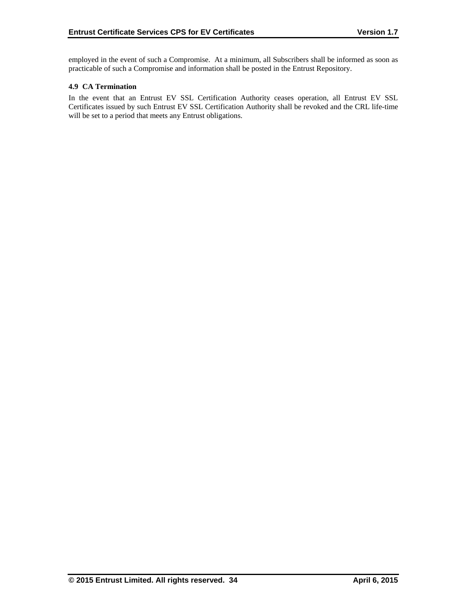employed in the event of such a Compromise. At a minimum, all Subscribers shall be informed as soon as practicable of such a Compromise and information shall be posted in the Entrust Repository.

## **4.9 CA Termination**

In the event that an Entrust EV SSL Certification Authority ceases operation, all Entrust EV SSL Certificates issued by such Entrust EV SSL Certification Authority shall be revoked and the CRL life-time will be set to a period that meets any Entrust obligations.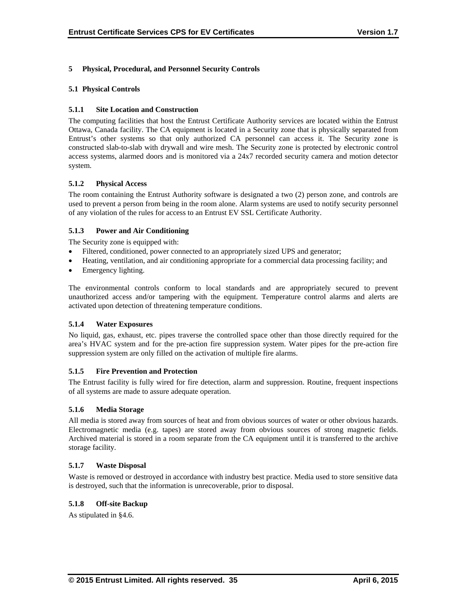## **5 Physical, Procedural, and Personnel Security Controls**

## **5.1 Physical Controls**

## **5.1.1 Site Location and Construction**

The computing facilities that host the Entrust Certificate Authority services are located within the Entrust Ottawa, Canada facility. The CA equipment is located in a Security zone that is physically separated from Entrust's other systems so that only authorized CA personnel can access it. The Security zone is constructed slab-to-slab with drywall and wire mesh. The Security zone is protected by electronic control access systems, alarmed doors and is monitored via a 24x7 recorded security camera and motion detector system.

## **5.1.2 Physical Access**

The room containing the Entrust Authority software is designated a two (2) person zone, and controls are used to prevent a person from being in the room alone. Alarm systems are used to notify security personnel of any violation of the rules for access to an Entrust EV SSL Certificate Authority.

## **5.1.3 Power and Air Conditioning**

The Security zone is equipped with:

- Filtered, conditioned, power connected to an appropriately sized UPS and generator;
- Heating, ventilation, and air conditioning appropriate for a commercial data processing facility; and
- Emergency lighting.

The environmental controls conform to local standards and are appropriately secured to prevent unauthorized access and/or tampering with the equipment. Temperature control alarms and alerts are activated upon detection of threatening temperature conditions.

## **5.1.4 Water Exposures**

No liquid, gas, exhaust, etc. pipes traverse the controlled space other than those directly required for the area's HVAC system and for the pre-action fire suppression system. Water pipes for the pre-action fire suppression system are only filled on the activation of multiple fire alarms.

## **5.1.5 Fire Prevention and Protection**

The Entrust facility is fully wired for fire detection, alarm and suppression. Routine, frequent inspections of all systems are made to assure adequate operation.

## **5.1.6 Media Storage**

All media is stored away from sources of heat and from obvious sources of water or other obvious hazards. Electromagnetic media (e.g. tapes) are stored away from obvious sources of strong magnetic fields. Archived material is stored in a room separate from the CA equipment until it is transferred to the archive storage facility.

## **5.1.7 Waste Disposal**

Waste is removed or destroyed in accordance with industry best practice. Media used to store sensitive data is destroyed, such that the information is unrecoverable, prior to disposal.

## **5.1.8 Off-site Backup**

As stipulated in §4.6.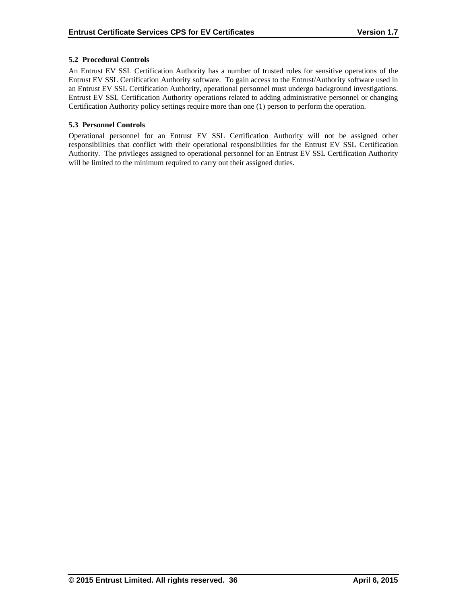## **5.2 Procedural Controls**

An Entrust EV SSL Certification Authority has a number of trusted roles for sensitive operations of the Entrust EV SSL Certification Authority software. To gain access to the Entrust/Authority software used in an Entrust EV SSL Certification Authority, operational personnel must undergo background investigations. Entrust EV SSL Certification Authority operations related to adding administrative personnel or changing Certification Authority policy settings require more than one (1) person to perform the operation.

## **5.3 Personnel Controls**

Operational personnel for an Entrust EV SSL Certification Authority will not be assigned other responsibilities that conflict with their operational responsibilities for the Entrust EV SSL Certification Authority. The privileges assigned to operational personnel for an Entrust EV SSL Certification Authority will be limited to the minimum required to carry out their assigned duties.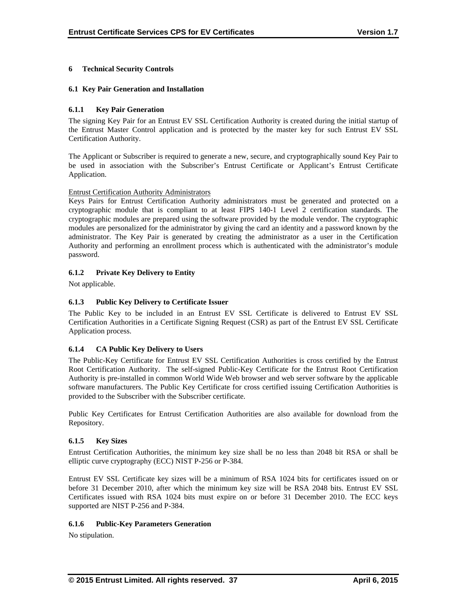# **6 Technical Security Controls**

## **6.1 Key Pair Generation and Installation**

## **6.1.1 Key Pair Generation**

The signing Key Pair for an Entrust EV SSL Certification Authority is created during the initial startup of the Entrust Master Control application and is protected by the master key for such Entrust EV SSL Certification Authority.

The Applicant or Subscriber is required to generate a new, secure, and cryptographically sound Key Pair to be used in association with the Subscriber's Entrust Certificate or Applicant's Entrust Certificate Application.

## Entrust Certification Authority Administrators

Keys Pairs for Entrust Certification Authority administrators must be generated and protected on a cryptographic module that is compliant to at least FIPS 140-1 Level 2 certification standards. The cryptographic modules are prepared using the software provided by the module vendor. The cryptographic modules are personalized for the administrator by giving the card an identity and a password known by the administrator. The Key Pair is generated by creating the administrator as a user in the Certification Authority and performing an enrollment process which is authenticated with the administrator's module password.

## **6.1.2 Private Key Delivery to Entity**

Not applicable.

## **6.1.3 Public Key Delivery to Certificate Issuer**

The Public Key to be included in an Entrust EV SSL Certificate is delivered to Entrust EV SSL Certification Authorities in a Certificate Signing Request (CSR) as part of the Entrust EV SSL Certificate Application process.

## **6.1.4 CA Public Key Delivery to Users**

The Public-Key Certificate for Entrust EV SSL Certification Authorities is cross certified by the Entrust Root Certification Authority. The self-signed Public-Key Certificate for the Entrust Root Certification Authority is pre-installed in common World Wide Web browser and web server software by the applicable software manufacturers. The Public Key Certificate for cross certified issuing Certification Authorities is provided to the Subscriber with the Subscriber certificate.

Public Key Certificates for Entrust Certification Authorities are also available for download from the Repository.

## **6.1.5 Key Sizes**

Entrust Certification Authorities, the minimum key size shall be no less than 2048 bit RSA or shall be elliptic curve cryptography (ECC) NIST P-256 or P-384.

Entrust EV SSL Certificate key sizes will be a minimum of RSA 1024 bits for certificates issued on or before 31 December 2010, after which the minimum key size will be RSA 2048 bits. Entrust EV SSL Certificates issued with RSA 1024 bits must expire on or before 31 December 2010. The ECC keys supported are NIST P-256 and P-384.

## **6.1.6 Public-Key Parameters Generation**

No stipulation.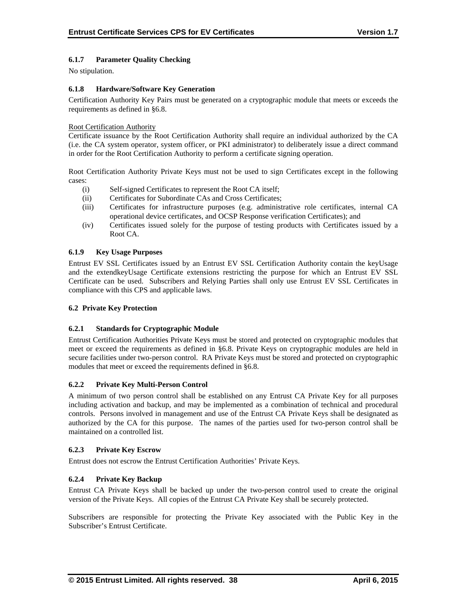# **6.1.7 Parameter Quality Checking**

No stipulation.

## **6.1.8 Hardware/Software Key Generation**

Certification Authority Key Pairs must be generated on a cryptographic module that meets or exceeds the requirements as defined in §6.8.

## Root Certification Authority

Certificate issuance by the Root Certification Authority shall require an individual authorized by the CA (i.e. the CA system operator, system officer, or PKI administrator) to deliberately issue a direct command in order for the Root Certification Authority to perform a certificate signing operation.

Root Certification Authority Private Keys must not be used to sign Certificates except in the following cases:

- (i) Self-signed Certificates to represent the Root CA itself;
- (ii) Certificates for Subordinate CAs and Cross Certificates;
- (iii) Certificates for infrastructure purposes (e.g. administrative role certificates, internal CA operational device certificates, and OCSP Response verification Certificates); and
- (iv) Certificates issued solely for the purpose of testing products with Certificates issued by a Root CA.

# **6.1.9 Key Usage Purposes**

Entrust EV SSL Certificates issued by an Entrust EV SSL Certification Authority contain the keyUsage and the extendkeyUsage Certificate extensions restricting the purpose for which an Entrust EV SSL Certificate can be used. Subscribers and Relying Parties shall only use Entrust EV SSL Certificates in compliance with this CPS and applicable laws.

## **6.2 Private Key Protection**

## **6.2.1 Standards for Cryptographic Module**

Entrust Certification Authorities Private Keys must be stored and protected on cryptographic modules that meet or exceed the requirements as defined in §6.8. Private Keys on cryptographic modules are held in secure facilities under two-person control. RA Private Keys must be stored and protected on cryptographic modules that meet or exceed the requirements defined in §6.8.

## **6.2.2 Private Key Multi-Person Control**

A minimum of two person control shall be established on any Entrust CA Private Key for all purposes including activation and backup, and may be implemented as a combination of technical and procedural controls. Persons involved in management and use of the Entrust CA Private Keys shall be designated as authorized by the CA for this purpose. The names of the parties used for two-person control shall be maintained on a controlled list.

## **6.2.3 Private Key Escrow**

Entrust does not escrow the Entrust Certification Authorities' Private Keys.

# **6.2.4 Private Key Backup**

Entrust CA Private Keys shall be backed up under the two-person control used to create the original version of the Private Keys. All copies of the Entrust CA Private Key shall be securely protected.

Subscribers are responsible for protecting the Private Key associated with the Public Key in the Subscriber's Entrust Certificate.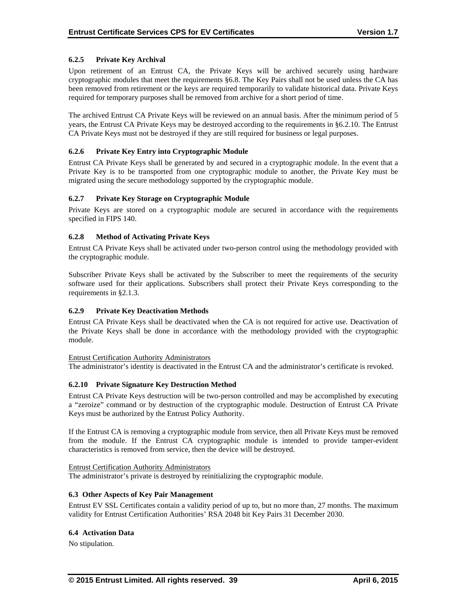# **6.2.5 Private Key Archival**

Upon retirement of an Entrust CA, the Private Keys will be archived securely using hardware cryptographic modules that meet the requirements §6.8. The Key Pairs shall not be used unless the CA has been removed from retirement or the keys are required temporarily to validate historical data. Private Keys required for temporary purposes shall be removed from archive for a short period of time.

The archived Entrust CA Private Keys will be reviewed on an annual basis. After the minimum period of 5 years, the Entrust CA Private Keys may be destroyed according to the requirements in §6.2.10. The Entrust CA Private Keys must not be destroyed if they are still required for business or legal purposes.

## **6.2.6 Private Key Entry into Cryptographic Module**

Entrust CA Private Keys shall be generated by and secured in a cryptographic module. In the event that a Private Key is to be transported from one cryptographic module to another, the Private Key must be migrated using the secure methodology supported by the cryptographic module.

## **6.2.7 Private Key Storage on Cryptographic Module**

Private Keys are stored on a cryptographic module are secured in accordance with the requirements specified in FIPS 140.

## **6.2.8 Method of Activating Private Keys**

Entrust CA Private Keys shall be activated under two-person control using the methodology provided with the cryptographic module.

Subscriber Private Keys shall be activated by the Subscriber to meet the requirements of the security software used for their applications. Subscribers shall protect their Private Keys corresponding to the requirements in §2.1.3.

## **6.2.9 Private Key Deactivation Methods**

Entrust CA Private Keys shall be deactivated when the CA is not required for active use. Deactivation of the Private Keys shall be done in accordance with the methodology provided with the cryptographic module.

## Entrust Certification Authority Administrators

The administrator's identity is deactivated in the Entrust CA and the administrator's certificate is revoked.

## **6.2.10 Private Signature Key Destruction Method**

Entrust CA Private Keys destruction will be two-person controlled and may be accomplished by executing a "zeroize" command or by destruction of the cryptographic module. Destruction of Entrust CA Private Keys must be authorized by the Entrust Policy Authority.

If the Entrust CA is removing a cryptographic module from service, then all Private Keys must be removed from the module. If the Entrust CA cryptographic module is intended to provide tamper-evident characteristics is removed from service, then the device will be destroyed.

## Entrust Certification Authority Administrators

The administrator's private is destroyed by reinitializing the cryptographic module.

## **6.3 Other Aspects of Key Pair Management**

Entrust EV SSL Certificates contain a validity period of up to, but no more than, 27 months. The maximum validity for Entrust Certification Authorities' RSA 2048 bit Key Pairs 31 December 2030.

## **6.4 Activation Data**

No stipulation.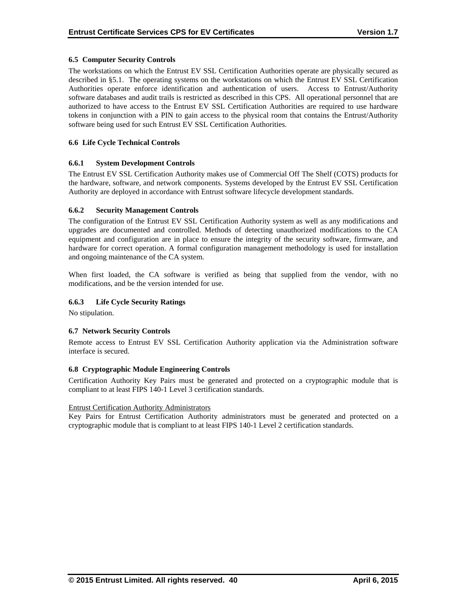## **6.5 Computer Security Controls**

The workstations on which the Entrust EV SSL Certification Authorities operate are physically secured as described in §5.1. The operating systems on the workstations on which the Entrust EV SSL Certification Authorities operate enforce identification and authentication of users. Access to Entrust/Authority software databases and audit trails is restricted as described in this CPS. All operational personnel that are authorized to have access to the Entrust EV SSL Certification Authorities are required to use hardware tokens in conjunction with a PIN to gain access to the physical room that contains the Entrust/Authority software being used for such Entrust EV SSL Certification Authorities.

## **6.6 Life Cycle Technical Controls**

## **6.6.1 System Development Controls**

The Entrust EV SSL Certification Authority makes use of Commercial Off The Shelf (COTS) products for the hardware, software, and network components. Systems developed by the Entrust EV SSL Certification Authority are deployed in accordance with Entrust software lifecycle development standards.

## **6.6.2 Security Management Controls**

The configuration of the Entrust EV SSL Certification Authority system as well as any modifications and upgrades are documented and controlled. Methods of detecting unauthorized modifications to the CA equipment and configuration are in place to ensure the integrity of the security software, firmware, and hardware for correct operation. A formal configuration management methodology is used for installation and ongoing maintenance of the CA system.

When first loaded, the CA software is verified as being that supplied from the vendor, with no modifications, and be the version intended for use.

# **6.6.3 Life Cycle Security Ratings**

No stipulation.

## **6.7 Network Security Controls**

Remote access to Entrust EV SSL Certification Authority application via the Administration software interface is secured.

## **6.8 Cryptographic Module Engineering Controls**

Certification Authority Key Pairs must be generated and protected on a cryptographic module that is compliant to at least FIPS 140-1 Level 3 certification standards.

## Entrust Certification Authority Administrators

Key Pairs for Entrust Certification Authority administrators must be generated and protected on a cryptographic module that is compliant to at least FIPS 140-1 Level 2 certification standards.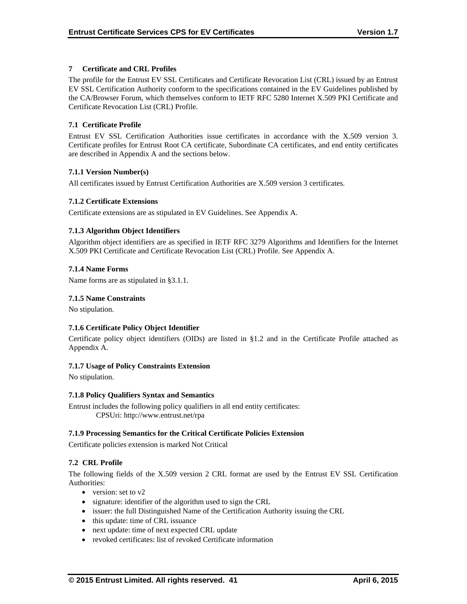## **7 Certificate and CRL Profiles**

The profile for the Entrust EV SSL Certificates and Certificate Revocation List (CRL) issued by an Entrust EV SSL Certification Authority conform to the specifications contained in the EV Guidelines published by the CA/Browser Forum, which themselves conform to IETF RFC 5280 Internet X.509 PKI Certificate and Certificate Revocation List (CRL) Profile.

## **7.1 Certificate Profile**

Entrust EV SSL Certification Authorities issue certificates in accordance with the X.509 version 3. Certificate profiles for Entrust Root CA certificate, Subordinate CA certificates, and end entity certificates are described in Appendix A and the sections below.

## **7.1.1 Version Number(s)**

All certificates issued by Entrust Certification Authorities are X.509 version 3 certificates.

## **7.1.2 Certificate Extensions**

Certificate extensions are as stipulated in EV Guidelines. See Appendix A.

## **7.1.3 Algorithm Object Identifiers**

Algorithm object identifiers are as specified in IETF RFC 3279 Algorithms and Identifiers for the Internet X.509 PKI Certificate and Certificate Revocation List (CRL) Profile. See Appendix A.

## **7.1.4 Name Forms**

Name forms are as stipulated in §3.1.1.

## **7.1.5 Name Constraints**

No stipulation.

## **7.1.6 Certificate Policy Object Identifier**

Certificate policy object identifiers (OIDs) are listed in §1.2 and in the Certificate Profile attached as Appendix A.

## **7.1.7 Usage of Policy Constraints Extension**

No stipulation.

## **7.1.8 Policy Qualifiers Syntax and Semantics**

Entrust includes the following policy qualifiers in all end entity certificates: CPSUri: http://www.entrust.net/rpa

## **7.1.9 Processing Semantics for the Critical Certificate Policies Extension**

Certificate policies extension is marked Not Critical

## **7.2 CRL Profile**

The following fields of the X.509 version 2 CRL format are used by the Entrust EV SSL Certification Authorities:

- version: set to  $v2$
- signature: identifier of the algorithm used to sign the CRL
- issuer: the full Distinguished Name of the Certification Authority issuing the CRL
- this update: time of CRL issuance
- next update: time of next expected CRL update
- revoked certificates: list of revoked Certificate information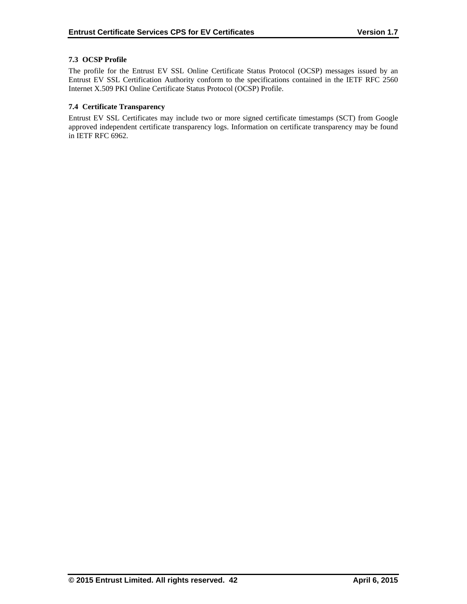# **7.3 OCSP Profile**

The profile for the Entrust EV SSL Online Certificate Status Protocol (OCSP) messages issued by an Entrust EV SSL Certification Authority conform to the specifications contained in the IETF RFC 2560 Internet X.509 PKI Online Certificate Status Protocol (OCSP) Profile.

## **7.4 Certificate Transparency**

Entrust EV SSL Certificates may include two or more signed certificate timestamps (SCT) from Google approved independent certificate transparency logs. Information on certificate transparency may be found in IETF RFC 6962.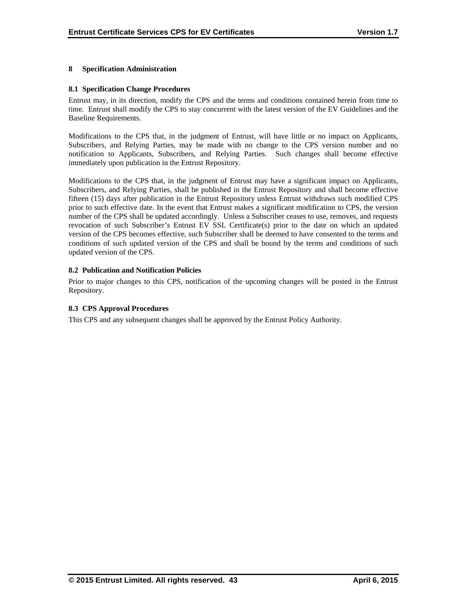## **8 Specification Administration**

#### **8.1 Specification Change Procedures**

Entrust may, in its direction, modify the CPS and the terms and conditions contained herein from time to time. Entrust shall modify the CPS to stay concurrent with the latest version of the EV Guidelines and the Baseline Requirements.

Modifications to the CPS that, in the judgment of Entrust, will have little or no impact on Applicants, Subscribers, and Relying Parties, may be made with no change to the CPS version number and no notification to Applicants, Subscribers, and Relying Parties. Such changes shall become effective immediately upon publication in the Entrust Repository.

Modifications to the CPS that, in the judgment of Entrust may have a significant impact on Applicants, Subscribers, and Relying Parties, shall be published in the Entrust Repository and shall become effective fifteen (15) days after publication in the Entrust Repository unless Entrust withdraws such modified CPS prior to such effective date. In the event that Entrust makes a significant modification to CPS, the version number of the CPS shall be updated accordingly. Unless a Subscriber ceases to use, removes, and requests revocation of such Subscriber's Entrust EV SSL Certificate(s) prior to the date on which an updated version of the CPS becomes effective, such Subscriber shall be deemed to have consented to the terms and conditions of such updated version of the CPS and shall be bound by the terms and conditions of such updated version of the CPS.

## **8.2 Publication and Notification Policies**

Prior to major changes to this CPS, notification of the upcoming changes will be posted in the Entrust Repository.

## **8.3 CPS Approval Procedures**

This CPS and any subsequent changes shall be approved by the Entrust Policy Authority.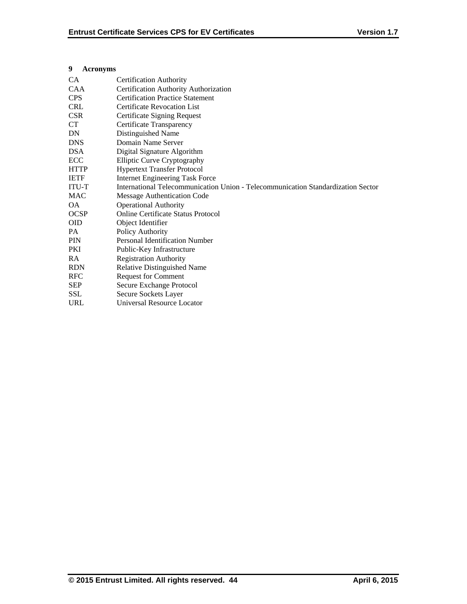## **9 Acronyms**

| <b>Certification Authority</b>                                                   |
|----------------------------------------------------------------------------------|
| Certification Authority Authorization                                            |
| <b>Certification Practice Statement</b>                                          |
| <b>Certificate Revocation List</b>                                               |
| Certificate Signing Request                                                      |
| Certificate Transparency                                                         |
| Distinguished Name                                                               |
| Domain Name Server                                                               |
| Digital Signature Algorithm                                                      |
| <b>Elliptic Curve Cryptography</b>                                               |
| <b>Hypertext Transfer Protocol</b>                                               |
| <b>Internet Engineering Task Force</b>                                           |
| International Telecommunication Union - Telecommunication Standardization Sector |
| <b>Message Authentication Code</b>                                               |
| <b>Operational Authority</b>                                                     |
| Online Certificate Status Protocol                                               |
| Object Identifier                                                                |
| Policy Authority                                                                 |
| Personal Identification Number                                                   |
| Public-Key Infrastructure                                                        |
| <b>Registration Authority</b>                                                    |
| <b>Relative Distinguished Name</b>                                               |
| <b>Request for Comment</b>                                                       |
| Secure Exchange Protocol                                                         |
| Secure Sockets Layer                                                             |
| Universal Resource Locator                                                       |
|                                                                                  |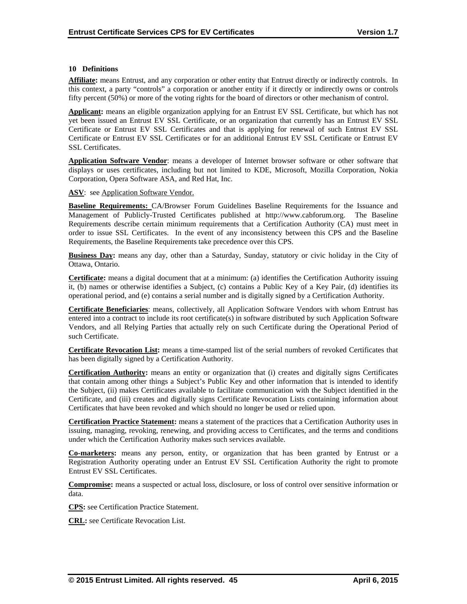## **10 Definitions**

**Affiliate:** means Entrust, and any corporation or other entity that Entrust directly or indirectly controls. In this context, a party "controls" a corporation or another entity if it directly or indirectly owns or controls fifty percent (50%) or more of the voting rights for the board of directors or other mechanism of control.

**Applicant:** means an eligible organization applying for an Entrust EV SSL Certificate, but which has not yet been issued an Entrust EV SSL Certificate, or an organization that currently has an Entrust EV SSL Certificate or Entrust EV SSL Certificates and that is applying for renewal of such Entrust EV SSL Certificate or Entrust EV SSL Certificates or for an additional Entrust EV SSL Certificate or Entrust EV SSL Certificates.

**Application Software Vendor**: means a developer of Internet browser software or other software that displays or uses certificates, including but not limited to KDE, Microsoft, Mozilla Corporation, Nokia Corporation, Opera Software ASA, and Red Hat, Inc.

ASV: see Application Software Vendor.

**Baseline Requirements:** CA/Browser Forum Guidelines Baseline Requirements for the Issuance and Management of Publicly-Trusted Certificates published at http://www.cabforum.org. The Baseline Requirements describe certain minimum requirements that a Certification Authority (CA) must meet in order to issue SSL Certificates. In the event of any inconsistency between this CPS and the Baseline Requirements, the Baseline Requirements take precedence over this CPS.

**Business Day:** means any day, other than a Saturday, Sunday, statutory or civic holiday in the City of Ottawa, Ontario.

**Certificate:** means a digital document that at a minimum: (a) identifies the Certification Authority issuing it, (b) names or otherwise identifies a Subject, (c) contains a Public Key of a Key Pair, (d) identifies its operational period, and (e) contains a serial number and is digitally signed by a Certification Authority.

**Certificate Beneficiaries**: means, collectively, all Application Software Vendors with whom Entrust has entered into a contract to include its root certificate(s) in software distributed by such Application Software Vendors, and all Relying Parties that actually rely on such Certificate during the Operational Period of such Certificate.

**Certificate Revocation List:** means a time-stamped list of the serial numbers of revoked Certificates that has been digitally signed by a Certification Authority.

**Certification Authority:** means an entity or organization that (i) creates and digitally signs Certificates that contain among other things a Subject's Public Key and other information that is intended to identify the Subject, (ii) makes Certificates available to facilitate communication with the Subject identified in the Certificate, and (iii) creates and digitally signs Certificate Revocation Lists containing information about Certificates that have been revoked and which should no longer be used or relied upon.

**Certification Practice Statement:** means a statement of the practices that a Certification Authority uses in issuing, managing, revoking, renewing, and providing access to Certificates, and the terms and conditions under which the Certification Authority makes such services available.

**Co-marketers:** means any person, entity, or organization that has been granted by Entrust or a Registration Authority operating under an Entrust EV SSL Certification Authority the right to promote Entrust EV SSL Certificates.

**Compromise:** means a suspected or actual loss, disclosure, or loss of control over sensitive information or data.

**CPS:** see Certification Practice Statement.

**CRL:** see Certificate Revocation List.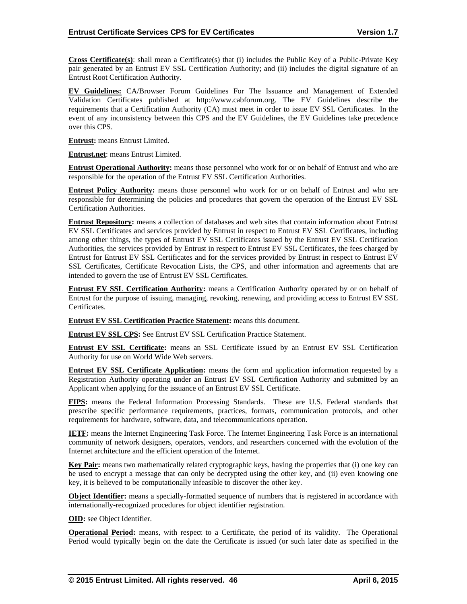**Cross Certificate(s)**: shall mean a Certificate(s) that (i) includes the Public Key of a Public-Private Key pair generated by an Entrust EV SSL Certification Authority; and (ii) includes the digital signature of an Entrust Root Certification Authority.

**EV Guidelines:** CA/Browser Forum Guidelines For The Issuance and Management of Extended Validation Certificates published at http://www.cabforum.org. The EV Guidelines describe the requirements that a Certification Authority (CA) must meet in order to issue EV SSL Certificates. In the event of any inconsistency between this CPS and the EV Guidelines, the EV Guidelines take precedence over this CPS.

**Entrust:** means Entrust Limited.

**Entrust.net**: means Entrust Limited.

**Entrust Operational Authority:** means those personnel who work for or on behalf of Entrust and who are responsible for the operation of the Entrust EV SSL Certification Authorities.

**Entrust Policy Authority:** means those personnel who work for or on behalf of Entrust and who are responsible for determining the policies and procedures that govern the operation of the Entrust EV SSL Certification Authorities.

**Entrust Repository:** means a collection of databases and web sites that contain information about Entrust EV SSL Certificates and services provided by Entrust in respect to Entrust EV SSL Certificates, including among other things, the types of Entrust EV SSL Certificates issued by the Entrust EV SSL Certification Authorities, the services provided by Entrust in respect to Entrust EV SSL Certificates, the fees charged by Entrust for Entrust EV SSL Certificates and for the services provided by Entrust in respect to Entrust EV SSL Certificates, Certificate Revocation Lists, the CPS, and other information and agreements that are intended to govern the use of Entrust EV SSL Certificates.

**Entrust EV SSL Certification Authority:** means a Certification Authority operated by or on behalf of Entrust for the purpose of issuing, managing, revoking, renewing, and providing access to Entrust EV SSL Certificates.

**Entrust EV SSL Certification Practice Statement:** means this document.

**Entrust EV SSL CPS:** See Entrust EV SSL Certification Practice Statement.

**Entrust EV SSL Certificate:** means an SSL Certificate issued by an Entrust EV SSL Certification Authority for use on World Wide Web servers.

**Entrust EV SSL Certificate Application:** means the form and application information requested by a Registration Authority operating under an Entrust EV SSL Certification Authority and submitted by an Applicant when applying for the issuance of an Entrust EV SSL Certificate.

**FIPS:** means the Federal Information Processing Standards. These are U.S. Federal standards that prescribe specific performance requirements, practices, formats, communication protocols, and other requirements for hardware, software, data, and telecommunications operation.

**IETF:** means the Internet Engineering Task Force. The Internet Engineering Task Force is an international community of network designers, operators, vendors, and researchers concerned with the evolution of the Internet architecture and the efficient operation of the Internet.

**Key Pair:** means two mathematically related cryptographic keys, having the properties that (i) one key can be used to encrypt a message that can only be decrypted using the other key, and (ii) even knowing one key, it is believed to be computationally infeasible to discover the other key.

**Object Identifier:** means a specially-formatted sequence of numbers that is registered in accordance with internationally-recognized procedures for object identifier registration.

**OID:** see Object Identifier.

**Operational Period:** means, with respect to a Certificate, the period of its validity. The Operational Period would typically begin on the date the Certificate is issued (or such later date as specified in the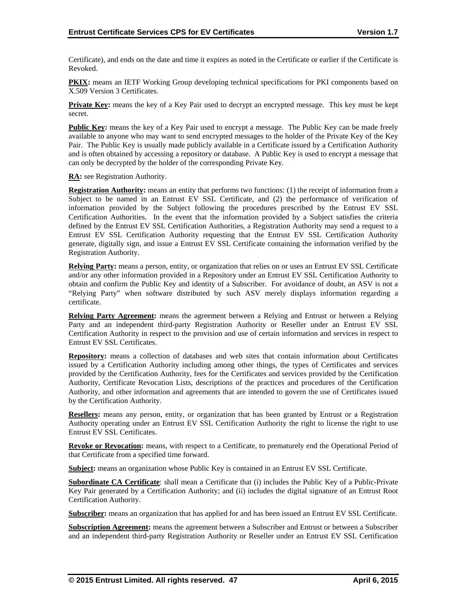Certificate), and ends on the date and time it expires as noted in the Certificate or earlier if the Certificate is Revoked.

**PKIX:** means an IETF Working Group developing technical specifications for PKI components based on X.509 Version 3 Certificates.

**Private Key:** means the key of a Key Pair used to decrypt an encrypted message. This key must be kept secret.

**Public Key:** means the key of a Key Pair used to encrypt a message. The Public Key can be made freely available to anyone who may want to send encrypted messages to the holder of the Private Key of the Key Pair. The Public Key is usually made publicly available in a Certificate issued by a Certification Authority and is often obtained by accessing a repository or database. A Public Key is used to encrypt a message that can only be decrypted by the holder of the corresponding Private Key.

**RA:** see Registration Authority.

**Registration Authority:** means an entity that performs two functions: (1) the receipt of information from a Subject to be named in an Entrust EV SSL Certificate, and (2) the performance of verification of information provided by the Subject following the procedures prescribed by the Entrust EV SSL Certification Authorities. In the event that the information provided by a Subject satisfies the criteria defined by the Entrust EV SSL Certification Authorities, a Registration Authority may send a request to a Entrust EV SSL Certification Authority requesting that the Entrust EV SSL Certification Authority generate, digitally sign, and issue a Entrust EV SSL Certificate containing the information verified by the Registration Authority.

**Relying Party:** means a person, entity, or organization that relies on or uses an Entrust EV SSL Certificate and/or any other information provided in a Repository under an Entrust EV SSL Certification Authority to obtain and confirm the Public Key and identity of a Subscriber. For avoidance of doubt, an ASV is not a "Relying Party" when software distributed by such ASV merely displays information regarding a certificate.

**Relying Party Agreement:** means the agreement between a Relying and Entrust or between a Relying Party and an independent third-party Registration Authority or Reseller under an Entrust EV SSL Certification Authority in respect to the provision and use of certain information and services in respect to Entrust EV SSL Certificates.

**Repository:** means a collection of databases and web sites that contain information about Certificates issued by a Certification Authority including among other things, the types of Certificates and services provided by the Certification Authority, fees for the Certificates and services provided by the Certification Authority, Certificate Revocation Lists, descriptions of the practices and procedures of the Certification Authority, and other information and agreements that are intended to govern the use of Certificates issued by the Certification Authority.

**Resellers:** means any person, entity, or organization that has been granted by Entrust or a Registration Authority operating under an Entrust EV SSL Certification Authority the right to license the right to use Entrust EV SSL Certificates.

**Revoke or Revocation:** means, with respect to a Certificate, to prematurely end the Operational Period of that Certificate from a specified time forward.

**Subject:** means an organization whose Public Key is contained in an Entrust EV SSL Certificate.

**Subordinate CA Certificate**: shall mean a Certificate that (i) includes the Public Key of a Public-Private Key Pair generated by a Certification Authority; and (ii) includes the digital signature of an Entrust Root Certification Authority.

**Subscriber:** means an organization that has applied for and has been issued an Entrust EV SSL Certificate.

**Subscription Agreement:** means the agreement between a Subscriber and Entrust or between a Subscriber and an independent third-party Registration Authority or Reseller under an Entrust EV SSL Certification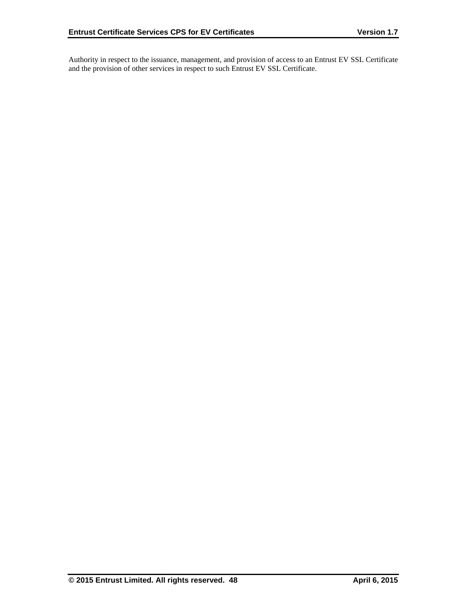Authority in respect to the issuance, management, and provision of access to an Entrust EV SSL Certificate and the provision of other services in respect to such Entrust EV SSL Certificate.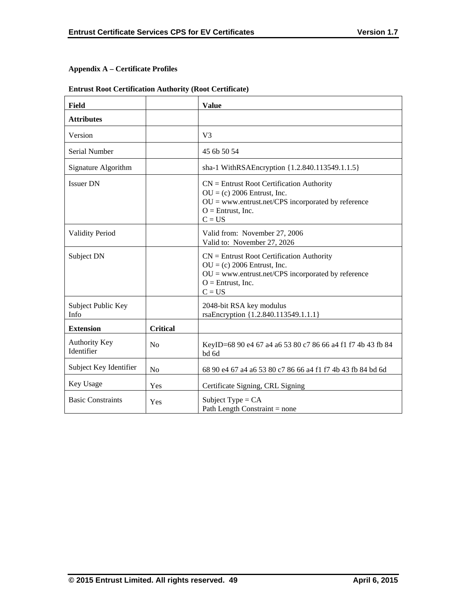# **Appendix A – Certificate Profiles**

| Field                              |                 | <b>Value</b>                                                                                                                                                            |
|------------------------------------|-----------------|-------------------------------------------------------------------------------------------------------------------------------------------------------------------------|
| <b>Attributes</b>                  |                 |                                                                                                                                                                         |
| Version                            |                 | V <sub>3</sub>                                                                                                                                                          |
| Serial Number                      |                 | 45 6b 50 54                                                                                                                                                             |
| Signature Algorithm                |                 | sha-1 WithRSAEncryption {1.2.840.113549.1.1.5}                                                                                                                          |
| <b>Issuer DN</b>                   |                 | $CN =$ Entrust Root Certification Authority<br>$OU = (c) 2006$ Entrust, Inc.<br>$OU = www.entrust.net/CPS incorporated by reference$<br>$O =$ Entrust, Inc.<br>$C = US$ |
| <b>Validity Period</b>             |                 | Valid from: November 27, 2006<br>Valid to: November 27, 2026                                                                                                            |
| Subject DN                         |                 | $CN =$ Entrust Root Certification Authority<br>$OU = (c) 2006$ Entrust, Inc.<br>$OU = www.entrust.net/CPS incorporated by reference$<br>$O =$ Entrust, Inc.<br>$C = US$ |
| Subject Public Key<br>Info         |                 | 2048-bit RSA key modulus<br>rsaEncryption {1.2.840.113549.1.1.1}                                                                                                        |
| <b>Extension</b>                   | <b>Critical</b> |                                                                                                                                                                         |
| <b>Authority Key</b><br>Identifier | N <sub>o</sub>  | KeyID=68 90 e4 67 a4 a6 53 80 c7 86 66 a4 f1 f7 4b 43 fb 84<br>bd 6d                                                                                                    |
| Subject Key Identifier             | N <sub>o</sub>  | 68 90 e4 67 a4 a6 53 80 c7 86 66 a4 f1 f7 4b 43 fb 84 bd 6d                                                                                                             |
| Key Usage                          | Yes             | Certificate Signing, CRL Signing                                                                                                                                        |
| <b>Basic Constraints</b>           | Yes             | Subject Type = $CA$<br>Path Length Constraint $=$ none                                                                                                                  |

# **Entrust Root Certification Authority (Root Certificate)**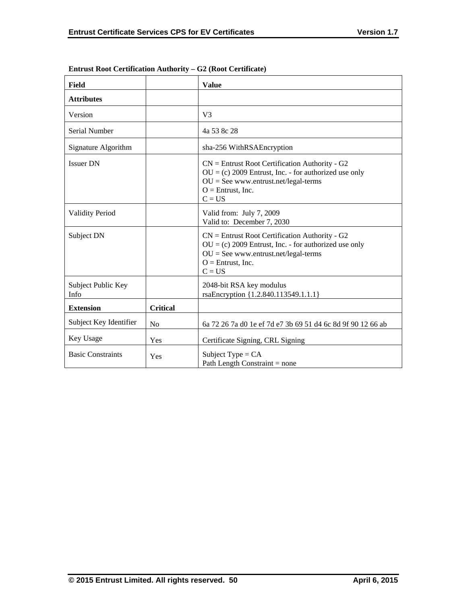| Field                      |                 | <b>Value</b>                                                                                                                                                                             |
|----------------------------|-----------------|------------------------------------------------------------------------------------------------------------------------------------------------------------------------------------------|
| <b>Attributes</b>          |                 |                                                                                                                                                                                          |
| Version                    |                 | V <sub>3</sub>                                                                                                                                                                           |
| Serial Number              |                 | 4a 53 8c 28                                                                                                                                                                              |
| Signature Algorithm        |                 | sha-256 WithRSAEncryption                                                                                                                                                                |
| <b>Issuer DN</b>           |                 | $CN =$ Entrust Root Certification Authority - G2<br>$OU = (c) 2009$ Entrust, Inc. - for authorized use only<br>$OU = See$ www.entrust.net/legal-terms<br>$O =$ Entrust, Inc.<br>$C = US$ |
| <b>Validity Period</b>     |                 | Valid from: July 7, 2009<br>Valid to: December 7, 2030                                                                                                                                   |
| Subject DN                 |                 | $CN =$ Entrust Root Certification Authority - G2<br>$OU = (c) 2009$ Entrust, Inc. - for authorized use only<br>$OU = See$ www.entrust.net/legal-terms<br>$O =$ Entrust, Inc.<br>$C = US$ |
| Subject Public Key<br>Info |                 | 2048-bit RSA key modulus<br>rsaEncryption {1.2.840.113549.1.1.1}                                                                                                                         |
| <b>Extension</b>           | <b>Critical</b> |                                                                                                                                                                                          |
| Subject Key Identifier     | N <sub>0</sub>  | 6a 72 26 7a d0 1e ef 7d e7 3b 69 51 d4 6c 8d 9f 90 12 66 ab                                                                                                                              |
| Key Usage                  | Yes             | Certificate Signing, CRL Signing                                                                                                                                                         |
| <b>Basic Constraints</b>   | Yes             | Subject Type = $CA$<br>Path Length Constraint = none                                                                                                                                     |

# **Entrust Root Certification Authority – G2 (Root Certificate)**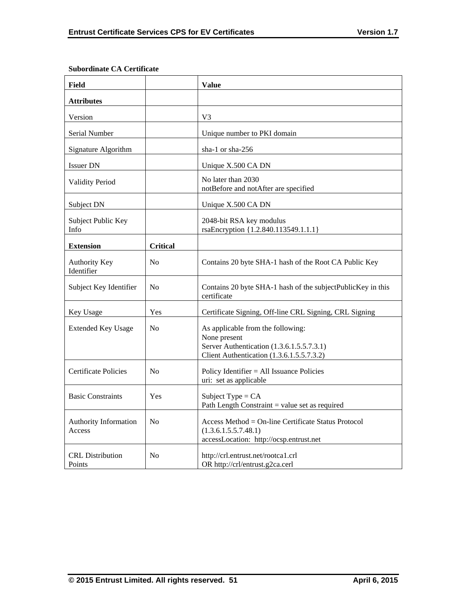| Field                             |                 | <b>Value</b>                                                                                                                                |
|-----------------------------------|-----------------|---------------------------------------------------------------------------------------------------------------------------------------------|
| <b>Attributes</b>                 |                 |                                                                                                                                             |
| Version                           |                 | V <sub>3</sub>                                                                                                                              |
| Serial Number                     |                 | Unique number to PKI domain                                                                                                                 |
| Signature Algorithm               |                 | sha-1 or sha- $256$                                                                                                                         |
| <b>Issuer DN</b>                  |                 | Unique X.500 CA DN                                                                                                                          |
| <b>Validity Period</b>            |                 | No later than 2030<br>notBefore and notAfter are specified                                                                                  |
| Subject DN                        |                 | Unique X.500 CA DN                                                                                                                          |
| Subject Public Key<br>Info        |                 | 2048-bit RSA key modulus<br>rsaEncryption {1.2.840.113549.1.1.1}                                                                            |
| <b>Extension</b>                  | <b>Critical</b> |                                                                                                                                             |
| Authority Key<br>Identifier       | No              | Contains 20 byte SHA-1 hash of the Root CA Public Key                                                                                       |
| Subject Key Identifier            | N <sub>o</sub>  | Contains 20 byte SHA-1 hash of the subjectPublicKey in this<br>certificate                                                                  |
| Key Usage                         | Yes             | Certificate Signing, Off-line CRL Signing, CRL Signing                                                                                      |
| <b>Extended Key Usage</b>         | N <sub>0</sub>  | As applicable from the following:<br>None present<br>Server Authentication (1.3.6.1.5.5.7.3.1)<br>Client Authentication (1.3.6.1.5.5.7.3.2) |
| <b>Certificate Policies</b>       | N <sub>0</sub>  | Policy Identifier = All Issuance Policies<br>uri: set as applicable                                                                         |
| <b>Basic Constraints</b>          | Yes             | Subject Type = $CA$<br>Path Length Constraint $=$ value set as required                                                                     |
| Authority Information<br>Access   | N <sub>0</sub>  | Access Method = On-line Certificate Status Protocol<br>(1.3.6.1.5.5.7.48.1)<br>accessLocation: http://ocsp.entrust.net                      |
| <b>CRL</b> Distribution<br>Points | N <sub>0</sub>  | http://crl.entrust.net/rootca1.crl<br>OR http://crl/entrust.g2ca.cerl                                                                       |

# **Subordinate CA Certificate**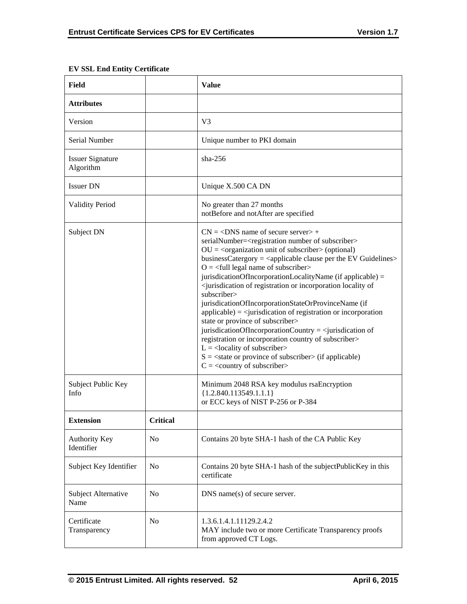| Field                                |                 | <b>Value</b>                                                                                                                                                                                                                                                                                                                                                                                                                                                                                                                                                                                                                                                                                                                                                                                                                                                                                                                                                                                                                                                                                           |
|--------------------------------------|-----------------|--------------------------------------------------------------------------------------------------------------------------------------------------------------------------------------------------------------------------------------------------------------------------------------------------------------------------------------------------------------------------------------------------------------------------------------------------------------------------------------------------------------------------------------------------------------------------------------------------------------------------------------------------------------------------------------------------------------------------------------------------------------------------------------------------------------------------------------------------------------------------------------------------------------------------------------------------------------------------------------------------------------------------------------------------------------------------------------------------------|
| <b>Attributes</b>                    |                 |                                                                                                                                                                                                                                                                                                                                                                                                                                                                                                                                                                                                                                                                                                                                                                                                                                                                                                                                                                                                                                                                                                        |
| Version                              |                 | V <sub>3</sub>                                                                                                                                                                                                                                                                                                                                                                                                                                                                                                                                                                                                                                                                                                                                                                                                                                                                                                                                                                                                                                                                                         |
| Serial Number                        |                 | Unique number to PKI domain                                                                                                                                                                                                                                                                                                                                                                                                                                                                                                                                                                                                                                                                                                                                                                                                                                                                                                                                                                                                                                                                            |
| <b>Issuer Signature</b><br>Algorithm |                 | $sha-256$                                                                                                                                                                                                                                                                                                                                                                                                                                                                                                                                                                                                                                                                                                                                                                                                                                                                                                                                                                                                                                                                                              |
| <b>Issuer DN</b>                     |                 | Unique X.500 CA DN                                                                                                                                                                                                                                                                                                                                                                                                                                                                                                                                                                                                                                                                                                                                                                                                                                                                                                                                                                                                                                                                                     |
| <b>Validity Period</b>               |                 | No greater than 27 months<br>notBefore and notAfter are specified                                                                                                                                                                                                                                                                                                                                                                                                                                                                                                                                                                                                                                                                                                                                                                                                                                                                                                                                                                                                                                      |
| Subject DN                           |                 | $CN = <$ DNS name of secure server $>$ +<br>serialNumber= <registration number="" of="" subscriber=""><br/><math>OU = corganization unit of subscripter &gt; (optional)</math><br/>businessCatergory = <math>\langle</math>applicable clause per the EV Guidelines<math>&gt;</math><br/><math>O = \left\langle \text{full legal name of subscripter} \right\rangle</math><br/>jurisdicationOfIncorporationLocalityName (if applicable) =<br/><jurisdication incorporation="" locality="" of="" of<br="" or="" registration="">subscriber&gt;<br/>jurisdicationOfIncorporationStateOrProvinceName (if<br/><math>applicable) = \langle</math>jurisdication of registration or incorporation<br/>state or province of subscriber&gt;<br/>jurisdicationOfIncorporationCountry = <math>\le</math>jurisdication of<br/>registration or incorporation country of subscriber&gt;<br/><math>L =</math> <locality of="" subscriber=""><br/><math>S = \text{state}</math> or province of subscriber (if applicable)<br/><math>C =</math> &lt; country of subscriber&gt;</locality></jurisdication></registration> |
| Subject Public Key<br>Info           |                 | Minimum 2048 RSA key modulus rsaEncryption<br>${1.2.840.113549.1.1.1}$<br>or ECC keys of NIST P-256 or P-384                                                                                                                                                                                                                                                                                                                                                                                                                                                                                                                                                                                                                                                                                                                                                                                                                                                                                                                                                                                           |
| <b>Extension</b>                     | <b>Critical</b> |                                                                                                                                                                                                                                                                                                                                                                                                                                                                                                                                                                                                                                                                                                                                                                                                                                                                                                                                                                                                                                                                                                        |
| Authority Key<br>Identifier          | N <sub>0</sub>  | Contains 20 byte SHA-1 hash of the CA Public Key                                                                                                                                                                                                                                                                                                                                                                                                                                                                                                                                                                                                                                                                                                                                                                                                                                                                                                                                                                                                                                                       |
| Subject Key Identifier               | N <sub>0</sub>  | Contains 20 byte SHA-1 hash of the subjectPublicKey in this<br>certificate                                                                                                                                                                                                                                                                                                                                                                                                                                                                                                                                                                                                                                                                                                                                                                                                                                                                                                                                                                                                                             |
| Subject Alternative<br>Name          | No              | DNS name(s) of secure server.                                                                                                                                                                                                                                                                                                                                                                                                                                                                                                                                                                                                                                                                                                                                                                                                                                                                                                                                                                                                                                                                          |
| Certificate<br>Transparency          | No              | 1.3.6.1.4.1.11129.2.4.2<br>MAY include two or more Certificate Transparency proofs<br>from approved CT Logs.                                                                                                                                                                                                                                                                                                                                                                                                                                                                                                                                                                                                                                                                                                                                                                                                                                                                                                                                                                                           |

# **EV SSL End Entity Certificate**